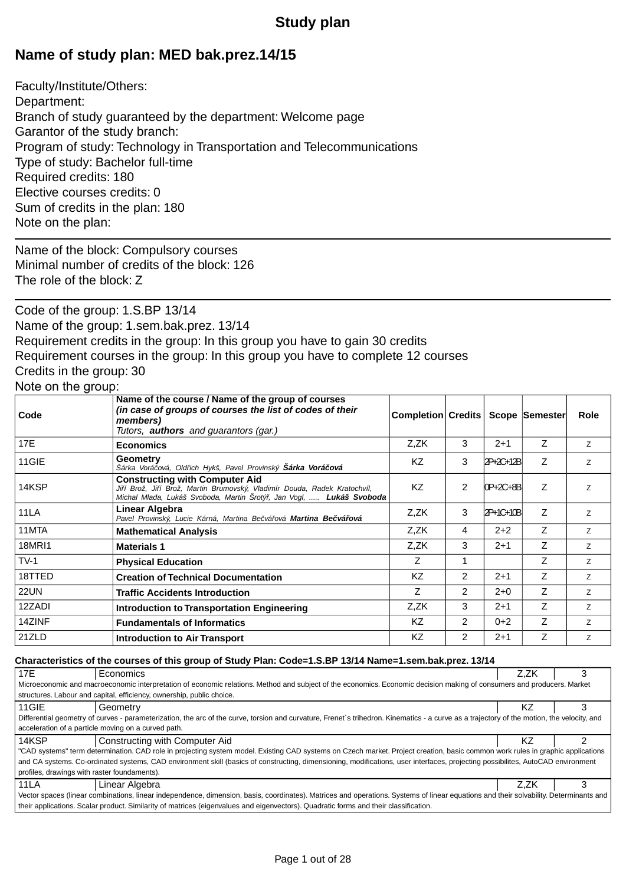# **Study plan**

# **Name of study plan: MED bak.prez.14/15**

Faculty/Institute/Others: Department: Branch of study guaranteed by the department: Welcome page Garantor of the study branch: Program of study: Technology in Transportation and Telecommunications Type of study: Bachelor full-time Required credits: 180 Elective courses credits: 0 Sum of credits in the plan: 180 Note on the plan:

Name of the block: Compulsory courses Minimal number of credits of the block: 126 The role of the block: Z

Code of the group: 1.S.BP 13/14 Name of the group: 1.sem.bak.prez. 13/14 Requirement credits in the group: In this group you have to gain 30 credits Requirement courses in the group: In this group you have to complete 12 courses Credits in the group: 30

# Note on the group:

| Code          | Name of the course / Name of the group of courses<br>(in case of groups of courses the list of codes of their<br>members)<br>Tutors, <b>authors</b> and quarantors (gar.)                       | <b>Completion Credits</b> |                |           | Scope Semester | Role |
|---------------|-------------------------------------------------------------------------------------------------------------------------------------------------------------------------------------------------|---------------------------|----------------|-----------|----------------|------|
| 17E           | <b>Economics</b>                                                                                                                                                                                | Z,ZK                      | 3              | $2+1$     | Z              | Z    |
| 11GIE         | Geometry<br>Šárka Vorá ová, Old ich Hykš, Pavel Provinský Šárka Vorá ová                                                                                                                        | KZ                        | 3              | 2P+2C+12B | Z              | Z    |
| 14KSP         | <b>Constructing with Computer Aid</b><br>Ji í Brož, Ji í Brož, Martin Brumovský, Vladimír Douda, Radek Kratochvíl,<br>Michal Mlada, Lukáš Svoboda, Martin Šrotý, Jan Vogl, <b>Lukáš Svoboda</b> | KZ                        | 2              | 0P+2C+8B  | Z              | Z    |
| 11LA          | Linear Algebra<br>Pavel Provinský, Lucie Kárná, Martina Be vá ová Martina Be vá ová                                                                                                             | Z,ZK                      | 3              | 2P+1C+10B | Z              | Z    |
| 11MTA         | <b>Mathematical Analysis</b>                                                                                                                                                                    | Z,ZK                      | 4              | $2+2$     | $\overline{z}$ | Z    |
| <b>18MRI1</b> | <b>Materials 1</b>                                                                                                                                                                              | Z.ZK                      | 3              | $2 + 1$   | Z              | Z    |
| $TV-1$        | <b>Physical Education</b>                                                                                                                                                                       | Z                         | 1              |           | Z              | Z    |
| 18TTED        | <b>Creation of Technical Documentation</b>                                                                                                                                                      | KZ                        | $\overline{2}$ | $2 + 1$   | Z              | Z    |
| <b>22UN</b>   | <b>Traffic Accidents Introduction</b>                                                                                                                                                           | Ζ                         | $\overline{2}$ | $2+0$     | Z              | Z    |
| 12ZADI        | Introduction to Transportation Engineering                                                                                                                                                      | Z,ZK                      | 3              | $2 + 1$   | Z              | Z    |
| 14ZINF        | <b>Fundamentals of Informatics</b>                                                                                                                                                              | KZ                        | $\overline{2}$ | $0+2$     | Z              | Z    |
| 21ZLD         | <b>Introduction to Air Transport</b>                                                                                                                                                            | KZ                        | $\overline{2}$ | $2+1$     | Z              | Z    |

### **Characteristics of the courses of this group of Study Plan: Code=1.S.BP 13/14 Name=1.sem.bak.prez. 13/14**

| 17E                                                                                                                                                                                   | Economics                                                                                                                                                                                  | Z.ZK |  |  |  |
|---------------------------------------------------------------------------------------------------------------------------------------------------------------------------------------|--------------------------------------------------------------------------------------------------------------------------------------------------------------------------------------------|------|--|--|--|
| Microeconomic and macroeconomic interpretation of economic relations. Method and subject of the economics. Economic decision making of consumers and producers. Market                |                                                                                                                                                                                            |      |  |  |  |
|                                                                                                                                                                                       | structures. Labour and capital, efficiency, ownership, public choice.                                                                                                                      |      |  |  |  |
| 11GIE                                                                                                                                                                                 | Geometry                                                                                                                                                                                   | ΚZ   |  |  |  |
|                                                                                                                                                                                       | Differential geometry of curves - parameterization, the arc of the curve, torsion and curvature. Frenet's trihedron. Kinematics - a curve as a trajectory of the motion, the velocity, and |      |  |  |  |
|                                                                                                                                                                                       | acceleration of a particle moving on a curved path.                                                                                                                                        |      |  |  |  |
| 14KSP                                                                                                                                                                                 | Constructing with Computer Aid                                                                                                                                                             | ΚZ   |  |  |  |
|                                                                                                                                                                                       | "CAD systems" term determination. CAD role in projecting system model. Existing CAD systems on Czech market. Project creation, basic common work rules in graphic applications             |      |  |  |  |
|                                                                                                                                                                                       | and CA systems. Co-ordinated systems, CAD environment skill (basics of constructing, dimensioning, modifications, user interfaces, projecting possibilites, AutoCAD environment            |      |  |  |  |
| profiles, drawings with raster foundaments).                                                                                                                                          |                                                                                                                                                                                            |      |  |  |  |
| <b>11LA</b>                                                                                                                                                                           | Linear Algebra                                                                                                                                                                             | Z.ZK |  |  |  |
| Vector spaces (linear combinations, linear independence, dimension, basis, coordinates). Matrices and operations. Systems of linear equations and their solvability. Determinants and |                                                                                                                                                                                            |      |  |  |  |
| their applications. Scalar product. Similarity of matrices (eigenvalues and eigenvectors). Quadratic forms and their classification.                                                  |                                                                                                                                                                                            |      |  |  |  |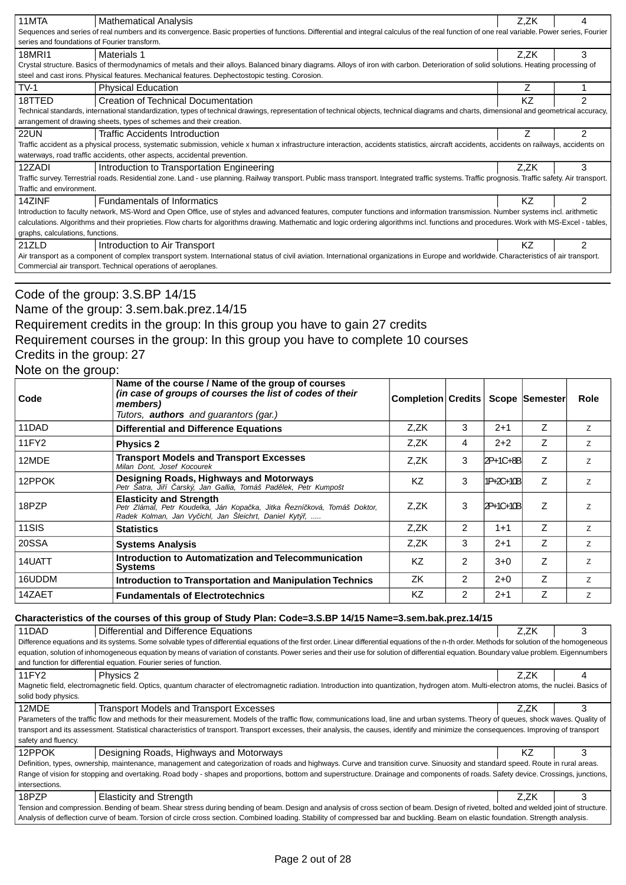| 11MTA                                                                                                                                                                                     | <b>Mathematical Analysis</b>                                                                                                                                                                      | Z,ZK |                |  |  |  |
|-------------------------------------------------------------------------------------------------------------------------------------------------------------------------------------------|---------------------------------------------------------------------------------------------------------------------------------------------------------------------------------------------------|------|----------------|--|--|--|
|                                                                                                                                                                                           | Sequences and series of real numbers and its convergence. Basic properties of functions. Differential and integral calculus of the real function of one real variable. Power series, Fourier      |      |                |  |  |  |
|                                                                                                                                                                                           | series and foundations of Fourier transform.                                                                                                                                                      |      |                |  |  |  |
| 18MRI1                                                                                                                                                                                    | <b>Materials 1</b>                                                                                                                                                                                | Z.ZK | 3              |  |  |  |
|                                                                                                                                                                                           | Crystal structure. Basics of thermodynamics of metals and their alloys. Balanced binary diagrams. Alloys of iron with carbon. Deterioration of solid solutions. Heating processing of             |      |                |  |  |  |
|                                                                                                                                                                                           | steel and cast irons. Physical features. Mechanical features. Dephectostopic testing. Corosion.                                                                                                   |      |                |  |  |  |
| $TV-1$                                                                                                                                                                                    | <b>Physical Education</b>                                                                                                                                                                         | Ζ    |                |  |  |  |
| 18TTED                                                                                                                                                                                    | Creation of Technical Documentation                                                                                                                                                               | ΚZ   | $\mathfrak{p}$ |  |  |  |
|                                                                                                                                                                                           | Technical standards, international standardization, types of technical drawings, representation of technical objects, technical diagrams and charts, dimensional and geometrical accuracy,        |      |                |  |  |  |
|                                                                                                                                                                                           | arrangement of drawing sheets, types of schemes and their creation.                                                                                                                               |      |                |  |  |  |
| <b>22UN</b>                                                                                                                                                                               | Traffic Accidents Introduction                                                                                                                                                                    |      | $\mathfrak{p}$ |  |  |  |
|                                                                                                                                                                                           | Traffic accident as a physical process, systematic submission, vehicle x human x infrastructure interaction, accidents statistics, aircraft accidents, accidents on railways, accidents on        |      |                |  |  |  |
|                                                                                                                                                                                           | waterways, road traffic accidents, other aspects, accidental prevention.                                                                                                                          |      |                |  |  |  |
| 12ZADI                                                                                                                                                                                    | Introduction to Transportation Engineering                                                                                                                                                        | Z.ZK | 3              |  |  |  |
|                                                                                                                                                                                           | Traffic survey. Terrestrial roads. Residential zone. Land - use planning. Railway transport. Public mass transport. Integrated traffic systems. Traffic prognosis. Traffic safety. Air transport. |      |                |  |  |  |
| Traffic and environment.                                                                                                                                                                  |                                                                                                                                                                                                   |      |                |  |  |  |
| 14ZINF                                                                                                                                                                                    | <b>Fundamentals of Informatics</b>                                                                                                                                                                | KZ.  | $\mathfrak{p}$ |  |  |  |
|                                                                                                                                                                                           | Introduction to faculty network, MS-Word and Open Office, use of styles and advanced features, computer functions and information transmission. Number systems incl. arithmetic                   |      |                |  |  |  |
| calculations. Algorithms and their proprieties. Flow charts for algorithms drawing. Mathematic and logic ordering algorithms incl. functions and procedures. Work with MS-Excel - tables, |                                                                                                                                                                                                   |      |                |  |  |  |
| graphs, calculations, functions.                                                                                                                                                          |                                                                                                                                                                                                   |      |                |  |  |  |
| 21ZLD                                                                                                                                                                                     | Introduction to Air Transport                                                                                                                                                                     | KZ.  | $\mathfrak{p}$ |  |  |  |
| Air transport as a component of complex transport system. International status of civil aviation. International organizations in Europe and worldwide. Characteristics of air transport.  |                                                                                                                                                                                                   |      |                |  |  |  |
|                                                                                                                                                                                           | Commercial air transport. Technical operations of aeroplanes.                                                                                                                                     |      |                |  |  |  |

Code of the group: 3.S.BP 14/15

Name of the group: 3.sem.bak.prez.14/15

Requirement credits in the group: In this group you have to gain 27 credits

Requirement courses in the group: In this group you have to complete 10 courses

Credits in the group: 27

Note on the group:

| Code   | Name of the course / Name of the group of courses<br>(in case of groups of courses the list of codes of their<br>members)<br>Tutors, <b>authors</b> and guarantors (gar.) | Completion Credits   Scope   Semester |                |           |   | Role |
|--------|---------------------------------------------------------------------------------------------------------------------------------------------------------------------------|---------------------------------------|----------------|-----------|---|------|
| 11DAD  | <b>Differential and Difference Equations</b>                                                                                                                              | Z.ZK                                  | 3              | $2 + 1$   | Ζ | Z    |
| 11FY2  | <b>Physics 2</b>                                                                                                                                                          | Z.ZK                                  | 4              | $2+2$     | Ζ | Z    |
| 12MDE  | <b>Transport Models and Transport Excesses</b><br>Milan Dont. Josef Kocourek                                                                                              | Z,ZK                                  | 3              | 2P+1C+8B  | Z | Z    |
| 12PPOK | <b>Designing Roads, Highways and Motorways</b><br>Petr Šatra, Ji í arský, Jan Gallia, Tomáš Pad lek, Petr Kumpošt                                                         | KZ                                    | 3              | 1P+2C+10B | Z | Z    |
| 18PZP  | <b>Elasticity and Strength</b><br>Petr Zlámal, Petr Koudelka, Ján Kopa ka, Jitka ezní ková, Tomáš Doktor,<br>Radek Kolman, Jan Vy ichl, Jan Šleichrt, Daniel Kytý,        | Z.ZK                                  | 3              | 2P+1C+10B | Ζ | Z    |
| 11SIS  | <b>Statistics</b>                                                                                                                                                         | Z,ZK                                  | $\overline{2}$ | $1 + 1$   | Z | Z    |
| 20SSA  | <b>Systems Analysis</b>                                                                                                                                                   | Z.ZK                                  | 3              | $2+1$     | Ζ | Z    |
| 14UATT | Introduction to Automatization and Telecommunication<br><b>Systems</b>                                                                                                    | <b>KZ</b>                             | 2              | $3 + 0$   | Z | Z    |
| 16UDDM | Introduction to Transportation and Manipulation Technics                                                                                                                  | ZK                                    | $\overline{2}$ | $2+0$     | Z | Z    |
| 14ZAET | <b>Fundamentals of Electrotechnics</b>                                                                                                                                    | KZ                                    | $\overline{2}$ | $2 + 1$   | Ζ | Z    |

#### **Characteristics of the courses of this group of Study Plan: Code=3.S.BP 14/15 Name=3.sem.bak.prez.14/15**

| 11DAD                                                                                                                                                                                            | Differential and Difference Equations                                                                                                                                                     | Z.ZK | 3 |  |  |  |
|--------------------------------------------------------------------------------------------------------------------------------------------------------------------------------------------------|-------------------------------------------------------------------------------------------------------------------------------------------------------------------------------------------|------|---|--|--|--|
| Difference equations and its systems. Some solvable types of differential equations of the first order. Linear differential equations of the n-th order. Methods for solution of the homogeneous |                                                                                                                                                                                           |      |   |  |  |  |
| equation, solution of inhomogeneous equation by means of variation of constants. Power series and their use for solution of differential equation. Boundary value problem. Eigennumbers          |                                                                                                                                                                                           |      |   |  |  |  |
|                                                                                                                                                                                                  | and function for differential equation. Fourier series of function.                                                                                                                       |      |   |  |  |  |
| 11FY2                                                                                                                                                                                            | Physics 2                                                                                                                                                                                 | Z.ZK | 4 |  |  |  |
|                                                                                                                                                                                                  | Magnetic field, electromagnetic field. Optics, quantum character of electromagnetic radiation. Introduction into quantization, hydrogen atom. Multi-electron atoms, the nuclei. Basics of |      |   |  |  |  |
| solid body physics.                                                                                                                                                                              |                                                                                                                                                                                           |      |   |  |  |  |
| 12MDE                                                                                                                                                                                            | Transport Models and Transport Excesses                                                                                                                                                   | Z.ZK | 3 |  |  |  |
|                                                                                                                                                                                                  | Parameters of the traffic flow and methods for their measurement. Models of the traffic flow, communications load, line and urban systems. Theory of queues, shock waves. Quality of      |      |   |  |  |  |
|                                                                                                                                                                                                  | transport and its assessment. Statistical characteristics of transport. Transport excesses, their analysis, the causes, identify and minimize the consequences. Improving of transport    |      |   |  |  |  |
| safety and fluency.                                                                                                                                                                              |                                                                                                                                                                                           |      |   |  |  |  |
| 12PPOK                                                                                                                                                                                           | Designing Roads, Highways and Motorways                                                                                                                                                   | KZ   | 3 |  |  |  |
|                                                                                                                                                                                                  | Definition, types, ownership, maintenance, management and categorization of roads and highways. Curve and transition curve. Sinuosity and standard speed. Route in rural areas.           |      |   |  |  |  |
|                                                                                                                                                                                                  | Range of vision for stopping and overtaking. Road body - shapes and proportions, bottom and superstructure. Drainage and components of roads. Safety device. Crossings, junctions,        |      |   |  |  |  |
| intersections.                                                                                                                                                                                   |                                                                                                                                                                                           |      |   |  |  |  |
| 18PZP                                                                                                                                                                                            | <b>Elasticity and Strength</b>                                                                                                                                                            | Z.ZK | 3 |  |  |  |
| Tension and compression. Bending of beam. Shear stress during bending of beam. Design and analysis of cross section of beam. Design of riveted, bolted and welded joint of structure.            |                                                                                                                                                                                           |      |   |  |  |  |
|                                                                                                                                                                                                  | Analysis of deflection curve of beam. Torsion of circle cross section. Combined loading. Stability of compressed bar and buckling. Beam on elastic foundation. Strength analysis.         |      |   |  |  |  |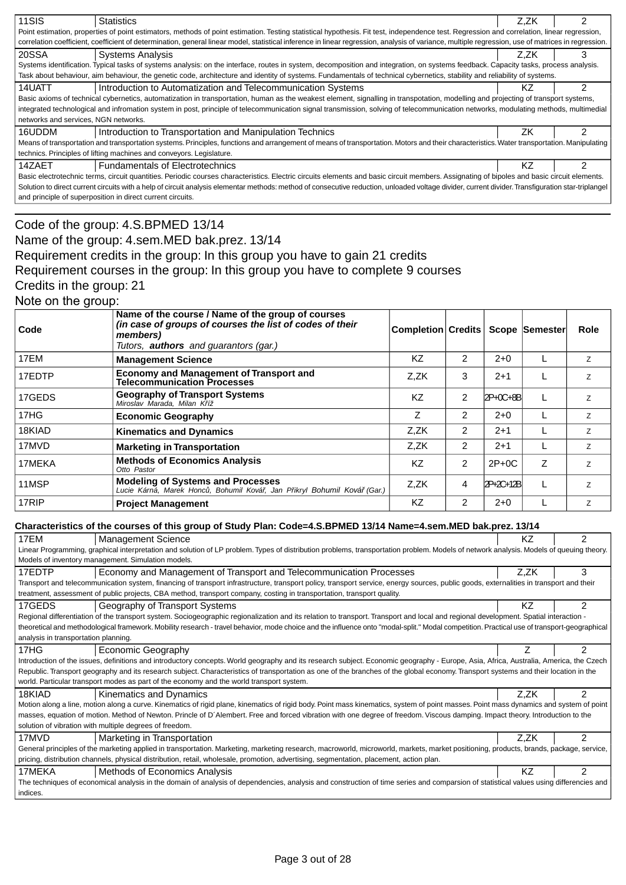| 11SIS                                                                                                                                                                                              | <b>Statistics</b>                                                                                                                                                                                  | Z.ZK |  |  |  |
|----------------------------------------------------------------------------------------------------------------------------------------------------------------------------------------------------|----------------------------------------------------------------------------------------------------------------------------------------------------------------------------------------------------|------|--|--|--|
|                                                                                                                                                                                                    | Point estimation, properties of point estimators, methods of point estimation. Testing statistical hypothesis. Fit test, independence test. Regression and correlation, linear regression,         |      |  |  |  |
|                                                                                                                                                                                                    | correlation coefficient, coefficient of determination, general linear model, statistical inference in linear regression, analysis of variance, multiple regression, use of matrices in regression. |      |  |  |  |
| 20SSA                                                                                                                                                                                              | <b>Systems Analysis</b>                                                                                                                                                                            | Z.ZK |  |  |  |
|                                                                                                                                                                                                    | Systems identification. Typical tasks of systems analysis: on the interface, routes in system, decomposition and integration, on systems feedback. Capacity tasks, process analysis.               |      |  |  |  |
|                                                                                                                                                                                                    | Task about behaviour, aim behaviour, the genetic code, architecture and identity of systems. Fundamentals of technical cybernetics, stability and reliability of systems.                          |      |  |  |  |
| 14UATT                                                                                                                                                                                             | Introduction to Automatization and Telecommunication Systems                                                                                                                                       | ΚZ   |  |  |  |
|                                                                                                                                                                                                    | Basic axioms of technical cybernetics, automatization in transportation, human as the weakest element, signalling in transpotation, modelling and projecting of transport systems,                 |      |  |  |  |
|                                                                                                                                                                                                    | integrated technological and infromation system in post, principle of telecommunication signal transmission, solving of telecommunication networks, modulating methods, multimedial                |      |  |  |  |
| networks and services, NGN networks.                                                                                                                                                               |                                                                                                                                                                                                    |      |  |  |  |
| 16UDDM                                                                                                                                                                                             | Introduction to Transportation and Manipulation Technics                                                                                                                                           | ΖK   |  |  |  |
|                                                                                                                                                                                                    | Means of transportation and transportation systems. Principles, functions and arrangement of means of transportation. Motors and their characteristics. Water transportation. Manipulating         |      |  |  |  |
|                                                                                                                                                                                                    | technics. Principles of lifting machines and conveyors. Legislature.                                                                                                                               |      |  |  |  |
| 14ZAET                                                                                                                                                                                             | <b>Fundamentals of Electrotechnics</b>                                                                                                                                                             | ΚZ   |  |  |  |
| Basic electrotechnic terms, circuit quantities. Periodic courses characteristics. Electric circuits elements and basic circuit members. Assignating of bipoles and basic circuit elements.         |                                                                                                                                                                                                    |      |  |  |  |
| Solution to direct current circuits with a help of circuit analysis elementar methods: method of consecutive reduction, unloaded voltage divider, current divider. Transfiguration star-triplangel |                                                                                                                                                                                                    |      |  |  |  |
| and principle of superposition in direct current circuits.                                                                                                                                         |                                                                                                                                                                                                    |      |  |  |  |
|                                                                                                                                                                                                    |                                                                                                                                                                                                    |      |  |  |  |

# Code of the group: 4.S.BPMED 13/14

## Name of the group: 4.sem.MED bak.prez. 13/14 Requirement credits in the group: In this group you have to gain 21 credits Requirement courses in the group: In this group you have to complete 9 courses Credits in the group: 21 Note on the group:

| Code   | Name of the course / Name of the group of courses<br>(in case of groups of courses the list of codes of their<br>members)<br>Tutors, <b>authors</b> and guarantors (gar.) | <b>Completion Credits</b> |                |           | Scope Semester | Role |
|--------|---------------------------------------------------------------------------------------------------------------------------------------------------------------------------|---------------------------|----------------|-----------|----------------|------|
| 17EM   | <b>Management Science</b>                                                                                                                                                 | <b>KZ</b>                 | 2              | $2+0$     |                | Z    |
| 17EDTP | <b>Economy and Management of Transport and</b><br><b>Telecommunication Processes</b>                                                                                      | Z,ZK                      | 3              | $2 + 1$   |                | Z    |
| 17GEDS | <b>Geography of Transport Systems</b><br>Miroslav Marada, Milan K íž                                                                                                      | KZ                        | 2              | 2P+0C+8B  |                | z    |
| 17HG   | <b>Economic Geography</b>                                                                                                                                                 | Z                         | $\overline{2}$ | $2+0$     |                | Z    |
| 18KIAD | <b>Kinematics and Dynamics</b>                                                                                                                                            | Z,ZK                      | 2              | $2 + 1$   |                | Z    |
| 17MVD  | <b>Marketing in Transportation</b>                                                                                                                                        | Z,ZK                      | 2              | $2 + 1$   |                | Z    |
| 17MEKA | <b>Methods of Economics Analysis</b><br>Otto Pastor                                                                                                                       | <b>KZ</b>                 | $\overline{2}$ | $2P+0C$   | Z              | z    |
| 11MSP  | <b>Modeling of Systems and Processes</b><br>Lucie Kárná, Marek Honc, Bohumil Ková, Jan P ikryl Bohumil Ková (Gar.)                                                        | Z.ZK                      | 4              | 2P+2C+12B |                | Z    |
| 17RIP  | <b>Project Management</b>                                                                                                                                                 | <b>KZ</b>                 | 2              | $2+0$     |                | Z    |

## **Characteristics of the courses of this group of Study Plan: Code=4.S.BPMED 13/14 Name=4.sem.MED bak.prez. 13/14**

| 17EM<br><b>Management Science</b>                                                                                                                                                           | ΚZ   | 2              |  |  |
|---------------------------------------------------------------------------------------------------------------------------------------------------------------------------------------------|------|----------------|--|--|
| Linear Programming, graphical interpretation and solution of LP problem. Types of distribution problems, transportation problem. Models of network analysis. Models of queuing theory.      |      |                |  |  |
| Models of inventory management. Simulation models.                                                                                                                                          |      |                |  |  |
| 17EDTP<br>Economy and Management of Transport and Telecommunication Processes                                                                                                               | Z.ZK | 3              |  |  |
| Transport and telecommunication system, financing of transport infrastructure, transport policy, transport service, energy sources, public goods, externalities in transport and their      |      |                |  |  |
| treatment, assessment of public projects, CBA method, transport company, costing in transportation, transport quality.                                                                      |      |                |  |  |
| 17GEDS<br>Geography of Transport Systems                                                                                                                                                    | KZ   | $\overline{2}$ |  |  |
| Regional differentiation of the transport system. Sociogeographic regionalization and its relation to transport. Transport and local and regional development. Spatial interaction -        |      |                |  |  |
| theoretical and methodological framework. Mobility research - travel behavior, mode choice and the influence onto "modal-split." Modal competition. Practical use of transport-geographical |      |                |  |  |
| analysis in transportation planning.                                                                                                                                                        |      |                |  |  |
| 17HG<br>Economic Geography                                                                                                                                                                  |      | $\mathfrak{p}$ |  |  |
| Introduction of the issues, definitions and introductory concepts. World geography and its research subject. Economic geography - Europe, Asia, Africa, Australia, America, the Czech       |      |                |  |  |
| Republic. Transport geography and its research subject. Characteristics of transportation as one of the branches of the global economy. Transport systems and their location in the         |      |                |  |  |
| world. Particular transport modes as part of the economy and the world transport system.                                                                                                    |      |                |  |  |
| 18KIAD<br>Kinematics and Dynamics                                                                                                                                                           | Z.ZK | 2              |  |  |
| Motion along a line, motion along a curve. Kinematics of rigid plane, kinematics of rigid body. Point mass kinematics, system of point masses. Point mass dynamics and system of point      |      |                |  |  |
| masses, equation of motion. Method of Newton. Princle of D'Alembert. Free and forced vibration with one degree of freedom. Viscous damping. Impact theory. Introduction to the              |      |                |  |  |
| solution of vibration with multiple degrees of freedom.                                                                                                                                     |      |                |  |  |
| 17MVD<br>Marketing in Transportation                                                                                                                                                        | Z.ZK | 2              |  |  |
| General principles of the marketing applied in transportation. Marketing, marketing research, macroworld, microworld, markets, market positioning, products, brands, package, service,      |      |                |  |  |
| pricing, distribution channels, physical distribution, retail, wholesale, promotion, advertising, segmentation, placement, action plan.                                                     |      |                |  |  |
| 17MEKA<br>Methods of Economics Analysis                                                                                                                                                     | KZ   | $\mathfrak{p}$ |  |  |
| The techniques of economical analysis in the domain of analysis of dependencies, analysis and construction of time series and comparsion of statistical values using differencies and       |      |                |  |  |
| indices.                                                                                                                                                                                    |      |                |  |  |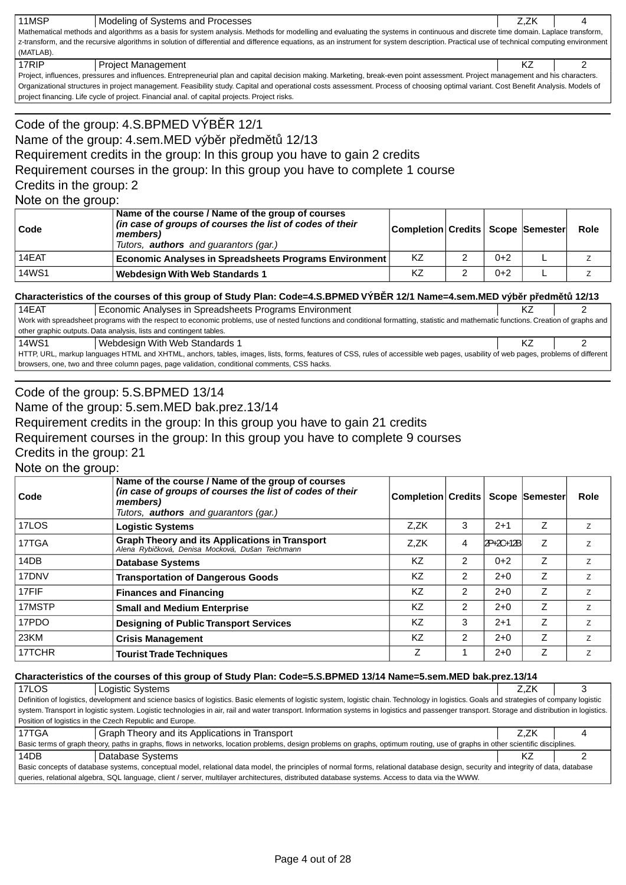| 11MSP                                                                                                                                                                           | Modeling of Systems and Processes                                                                                                                                                         | Z.ZK |  |  |  |  |  |
|---------------------------------------------------------------------------------------------------------------------------------------------------------------------------------|-------------------------------------------------------------------------------------------------------------------------------------------------------------------------------------------|------|--|--|--|--|--|
| Mathematical methods and algorithms as a basis for system analysis. Methods for modelling and evaluating the systems in continuous and discrete time domain. Laplace transform, |                                                                                                                                                                                           |      |  |  |  |  |  |
|                                                                                                                                                                                 | z-transform, and the recursive algorithms in solution of differential and difference equations, as an instrument for system description. Practical use of technical computing environment |      |  |  |  |  |  |
| (MATLAB).                                                                                                                                                                       |                                                                                                                                                                                           |      |  |  |  |  |  |
| 17RIP                                                                                                                                                                           | <b>Project Management</b>                                                                                                                                                                 |      |  |  |  |  |  |
|                                                                                                                                                                                 | Project influences pressures and influences Entrepreneurial plan and capital decision making. Marketing break-even point assessment. Project management and his characters.               |      |  |  |  |  |  |

Project, influences, pressures and influences. Entrepreneurial plan and capital decision making. Marketing, break-even point assessment. Project management and his characters. Organizational structures in project management. Feasibility study. Capital and operational costs assessment. Process of choosing optimal variant. Cost Benefit Analysis. Models of project financing. Life cycle of project. Financial anal. of capital projects. Project risks.

# Code of the group: 4.S.BPMED VÝB R 12/1 Name of the group: 4.sem.MED výb r p edm t 12/13 Requirement credits in the group: In this group you have to gain 2 credits Requirement courses in the group: In this group you have to complete 1 course Credits in the group: 2 Note on the group:

| Code         | Name of the course / Name of the group of courses<br>(in case of groups of courses the list of codes of their<br>members)<br>Tutors, <b>authors</b> and guarantors (gar.) | Completion Credits Scope Semester |   |       | Role |
|--------------|---------------------------------------------------------------------------------------------------------------------------------------------------------------------------|-----------------------------------|---|-------|------|
| 14EAT        | <b>Economic Analyses in Spreadsheets Programs Environment</b>                                                                                                             | KZ                                | ີ | $0+2$ |      |
| <b>14WS1</b> | <b>Webdesign With Web Standards 1</b>                                                                                                                                     | KZ                                | ົ | $0+2$ |      |

### **Characteristics of the courses of this group of Study Plan: Code=4.S.BPMED VÝB R 12/1 Name=4.sem.MED výb r p edm t 12/13**

14EAT Economic Analyses in Spreadsheets Programs Environment Communication Changes and Hangy 2 Work with spreadsheet programs with the respect to economic problems, use of nested functions and conditional formatting, statistic and mathematic functions. Creation of graphs and other graphic outputs. Data analysis, lists and contingent tables. 14WS1 Webdesign With Web Standards 1 KZ 2 HTTP, URL, markup languages HTML and XHTML, anchors, tables, images, lists, forms, features of CSS, rules of accessible web pages, usability of web pages, problems of different browsers, one, two and three column pages, page validation, conditional comments, CSS hacks.

### Code of the group: 5.S.BPMED 13/14

Name of the group: 5.sem.MED bak.prez.13/14

Requirement credits in the group: In this group you have to gain 21 credits

Requirement courses in the group: In this group you have to complete 9 courses

Credits in the group: 21

Note on the group:

| Code   | Name of the course / Name of the group of courses<br>(in case of groups of courses the list of codes of their<br>members)<br>Tutors, <b>authors</b> and quarantors (gar.) | Completion Credits |                |           | Scope Semester | Role |
|--------|---------------------------------------------------------------------------------------------------------------------------------------------------------------------------|--------------------|----------------|-----------|----------------|------|
| 17LOS  | <b>Logistic Systems</b>                                                                                                                                                   | Z.ZK               | 3              | $2 + 1$   | Z              | z    |
| 17TGA  | <b>Graph Theory and its Applications in Transport</b><br>Alena Rybi ková, Denisa Mocková, Dušan Teichmann                                                                 | Z.ZK               | 4              | 2P+2C+12B | Z              | Z.   |
| 14DB   | <b>Database Systems</b>                                                                                                                                                   | KZ                 | 2              | $0+2$     | Z              | Z    |
| 17DNV  | <b>Transportation of Dangerous Goods</b>                                                                                                                                  | ΚZ                 | 2              | $2 + 0$   | Z              | Z    |
| 17FIF  | <b>Finances and Financing</b>                                                                                                                                             | ΚZ                 | 2              | $2+0$     | Z              | Z    |
| 17MSTP | <b>Small and Medium Enterprise</b>                                                                                                                                        | KZ                 | $\overline{2}$ | $2+0$     | Z              | Z    |
| 17PDO  | <b>Designing of Public Transport Services</b>                                                                                                                             | KZ                 | 3              | $2 + 1$   | Z              | Z    |
| 23KM   | <b>Crisis Management</b>                                                                                                                                                  | KZ                 | $\overline{2}$ | $2+0$     | Z              | Z    |
| 17TCHR | <b>Tourist Trade Techniques</b>                                                                                                                                           | Ζ                  |                | $2 + 0$   | Z              | Z    |

### **Characteristics of the courses of this group of Study Plan: Code=5.S.BPMED 13/14 Name=5.sem.MED bak.prez.13/14**

| 17LOS                                                                                                                                                                                      | Logistic Systems                                                                                                                                                                               | Z.ZK |  |  |  |
|--------------------------------------------------------------------------------------------------------------------------------------------------------------------------------------------|------------------------------------------------------------------------------------------------------------------------------------------------------------------------------------------------|------|--|--|--|
| Definition of logistics, development and science basics of logistics. Basic elements of logistic system, logistic chain. Technology in logistics. Goals and strategies of company logistic |                                                                                                                                                                                                |      |  |  |  |
|                                                                                                                                                                                            | system. Transport in logistic system. Logistic technologies in air, rail and water transport. Information systems in logistics and passenger transport. Storage and distribution in logistics. |      |  |  |  |
|                                                                                                                                                                                            | Position of logistics in the Czech Republic and Europe.                                                                                                                                        |      |  |  |  |
| 17TGA                                                                                                                                                                                      | Graph Theory and its Applications in Transport                                                                                                                                                 | Z.ZK |  |  |  |
|                                                                                                                                                                                            | Basic terms of graph theory, paths in graphs, flows in networks, location problems, design problems on graphs, optimum routing, use of graphs in other scientific disciplines.                 |      |  |  |  |
| 14DB                                                                                                                                                                                       | Database Systems                                                                                                                                                                               | ΚZ   |  |  |  |
| Basic concepts of database systems, conceptual model, relational data model, the principles of normal forms, relational database design, security and integrity of data, database          |                                                                                                                                                                                                |      |  |  |  |
| queries, relational algebra, SQL language, client / server, multilayer architectures, distributed database systems. Access to data via the WWW.                                            |                                                                                                                                                                                                |      |  |  |  |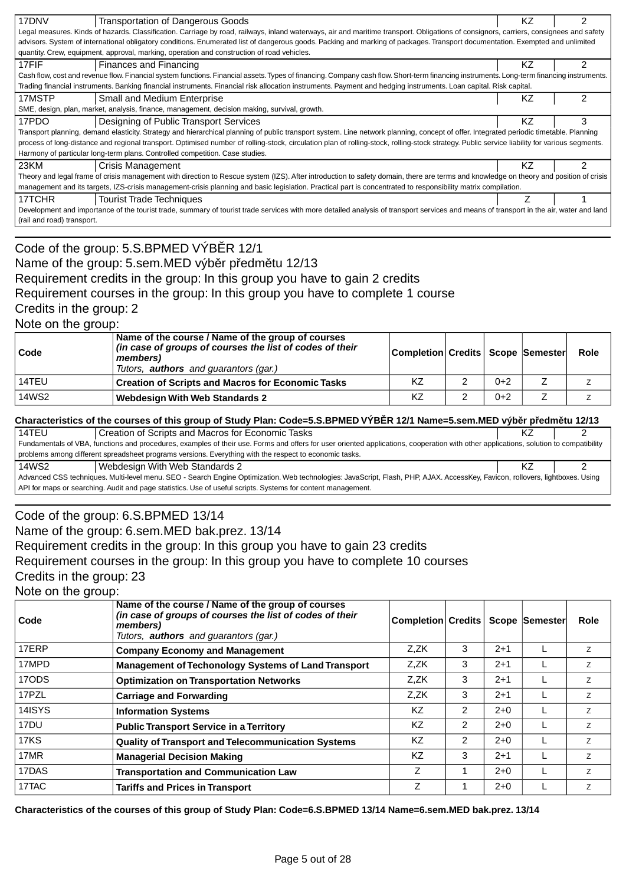| 17DNV                                                                                                                                                                                  | Transportation of Dangerous Goods                                                                                                                                                             | ΚZ  |   |  |  |  |
|----------------------------------------------------------------------------------------------------------------------------------------------------------------------------------------|-----------------------------------------------------------------------------------------------------------------------------------------------------------------------------------------------|-----|---|--|--|--|
|                                                                                                                                                                                        | Legal measures. Kinds of hazards. Classification. Carriage by road, railways, inland waterways, air and maritime transport. Obligations of consignors, carriers, consignees and safety        |     |   |  |  |  |
|                                                                                                                                                                                        | advisors. System of international obligatory conditions. Enumerated list of dangerous goods. Packing and marking of packages. Transport documentation. Exempted and unlimited                 |     |   |  |  |  |
|                                                                                                                                                                                        | quantity. Crew, equipment, approval, marking, operation and construction of road vehicles.                                                                                                    |     |   |  |  |  |
| 17FIF                                                                                                                                                                                  | Finances and Financing                                                                                                                                                                        | KZ. | 2 |  |  |  |
|                                                                                                                                                                                        | Cash flow, cost and revenue flow. Financial system functions. Financial assets. Types of financing. Company cash flow. Short-term financing instruments. Long-term financing instruments.     |     |   |  |  |  |
|                                                                                                                                                                                        | Trading financial instruments. Banking financial instruments. Financial risk allocation instruments. Payment and hedging instruments. Loan capital. Risk capital.                             |     |   |  |  |  |
| 17MSTP                                                                                                                                                                                 | <b>Small and Medium Enterprise</b>                                                                                                                                                            | ΚZ  |   |  |  |  |
|                                                                                                                                                                                        | SME, design, plan, market, analysis, finance, management, decision making, survival, growth.                                                                                                  |     |   |  |  |  |
| 17PDO                                                                                                                                                                                  | Designing of Public Transport Services                                                                                                                                                        | ΚZ  | 3 |  |  |  |
|                                                                                                                                                                                        | Transport planning, demand elasticity. Strategy and hierarchical planning of public transport system. Line network planning, concept of offer. Integrated periodic timetable. Planning        |     |   |  |  |  |
|                                                                                                                                                                                        | process of long-distance and regional transport. Optimised number of rolling-stock, circulation plan of rolling-stock, rolling-stock strategy. Public service liability for various segments. |     |   |  |  |  |
|                                                                                                                                                                                        | Harmony of particular long-term plans. Controlled competition. Case studies.                                                                                                                  |     |   |  |  |  |
| 23KM                                                                                                                                                                                   | Crisis Management                                                                                                                                                                             | ΚZ  | 2 |  |  |  |
|                                                                                                                                                                                        | Theory and legal frame of crisis management with direction to Rescue system (IZS). After introduction to safety domain, there are terms and knowledge on theory and position of crisis        |     |   |  |  |  |
|                                                                                                                                                                                        | management and its targets, IZS-crisis management-crisis planning and basic legislation. Practical part is concentrated to responsibility matrix compilation.                                 |     |   |  |  |  |
| 17TCHR                                                                                                                                                                                 | <b>Tourist Trade Techniques</b>                                                                                                                                                               |     |   |  |  |  |
| Development and importance of the tourist trade, summary of tourist trade services with more detailed analysis of transport services and means of transport in the air, water and land |                                                                                                                                                                                               |     |   |  |  |  |
|                                                                                                                                                                                        | (rail and road) transport.                                                                                                                                                                    |     |   |  |  |  |
|                                                                                                                                                                                        |                                                                                                                                                                                               |     |   |  |  |  |

# Code of the group: 5.S.BPMED VÝB R 12/1 Name of the group: 5.sem.MED výb r p edm tu 12/13 Requirement credits in the group: In this group you have to gain 2 credits Requirement courses in the group: In this group you have to complete 1 course Credits in the group: 2

Note on the group:

| Code  | Name of the course / Name of the group of courses<br>(in case of groups of courses the list of codes of their<br>members)<br>Tutors, <b>authors</b> and guarantors (gar.) | Completion Credits   Scope   Semester |       | Role |
|-------|---------------------------------------------------------------------------------------------------------------------------------------------------------------------------|---------------------------------------|-------|------|
| 14TEU | <b>Creation of Scripts and Macros for Economic Tasks</b>                                                                                                                  | KZ                                    | $0+2$ |      |
| 14WS2 | <b>Webdesign With Web Standards 2</b>                                                                                                                                     | KZ                                    | $0+2$ |      |

### **Characteristics of the courses of this group of Study Plan: Code=5.S.BPMED VÝB R 12/1 Name=5.sem.MED výb r p edm tu 12/13**

| 14TEU                                                                                                                                                                                 | Creation of Scripts and Macros for Economic Tasks                                                      |  |  |  |  |  |
|---------------------------------------------------------------------------------------------------------------------------------------------------------------------------------------|--------------------------------------------------------------------------------------------------------|--|--|--|--|--|
| Fundamentals of VBA, functions and procedures, examples of their use. Forms and offers for user oriented applications, cooperation with other applications, solution to compatibility |                                                                                                        |  |  |  |  |  |
|                                                                                                                                                                                       | problems among different spreadsheet programs versions. Everything with the respect to economic tasks. |  |  |  |  |  |
| 14WS2                                                                                                                                                                                 | Webdesign With Web Standards 2                                                                         |  |  |  |  |  |
| Advanced CSS techniques. Multi-level menu. SEO - Search Engine Optimization. Web technologies: JavaScript, Flash, PHP, AJAX. AccessKey, Favicon, rollovers, lightboxes. Using         |                                                                                                        |  |  |  |  |  |
| API for maps or searching. Audit and page statistics. Use of useful scripts. Systems for content management.                                                                          |                                                                                                        |  |  |  |  |  |

## Code of the group: 6.S.BPMED 13/14

Name of the group: 6.sem.MED bak.prez. 13/14

Requirement credits in the group: In this group you have to gain 23 credits

Requirement courses in the group: In this group you have to complete 10 courses

Credits in the group: 23

Note on the group:

| Code   | Name of the course / Name of the group of courses<br>(in case of groups of courses the list of codes of their<br>members)<br>Tutors, <b>authors</b> and guarantors (gar.) | <b>Completion Credits</b> |               |         | Scope Semester | Role           |
|--------|---------------------------------------------------------------------------------------------------------------------------------------------------------------------------|---------------------------|---------------|---------|----------------|----------------|
| 17ERP  | <b>Company Economy and Management</b>                                                                                                                                     | Z.ZK                      | 3             | $2 + 1$ |                | Z              |
| 17MPD  | <b>Management of Techonology Systems of Land Transport</b>                                                                                                                | Z.ZK                      | 3             | $2+1$   |                | Z              |
| 17ODS  | <b>Optimization on Transportation Networks</b>                                                                                                                            | Z.ZK                      | 3             | $2+1$   |                | Z              |
| 17PZL  | <b>Carriage and Forwarding</b>                                                                                                                                            | Z.ZK                      | 3             | $2+1$   |                | $\overline{z}$ |
| 14ISYS | <b>Information Systems</b>                                                                                                                                                | <b>KZ</b>                 | 2             | $2+0$   |                | Z              |
| 17DU   | <b>Public Transport Service in a Territory</b>                                                                                                                            | <b>KZ</b>                 | 2             | $2+0$   |                | $\overline{z}$ |
| 17KS   | <b>Quality of Transport and Telecommunication Systems</b>                                                                                                                 | ΚZ                        | $\mathcal{P}$ | $2+0$   |                | $\overline{z}$ |
| 17MR   | <b>Managerial Decision Making</b>                                                                                                                                         | KZ.                       | 3             | $2 + 1$ |                | Z              |
| 17DAS  | <b>Transportation and Communication Law</b>                                                                                                                               | Z                         |               | $2+0$   |                | Z              |
| 17TAC  | <b>Tariffs and Prices in Transport</b>                                                                                                                                    | Z                         |               | $2+0$   |                | Z              |

**Characteristics of the courses of this group of Study Plan: Code=6.S.BPMED 13/14 Name=6.sem.MED bak.prez. 13/14**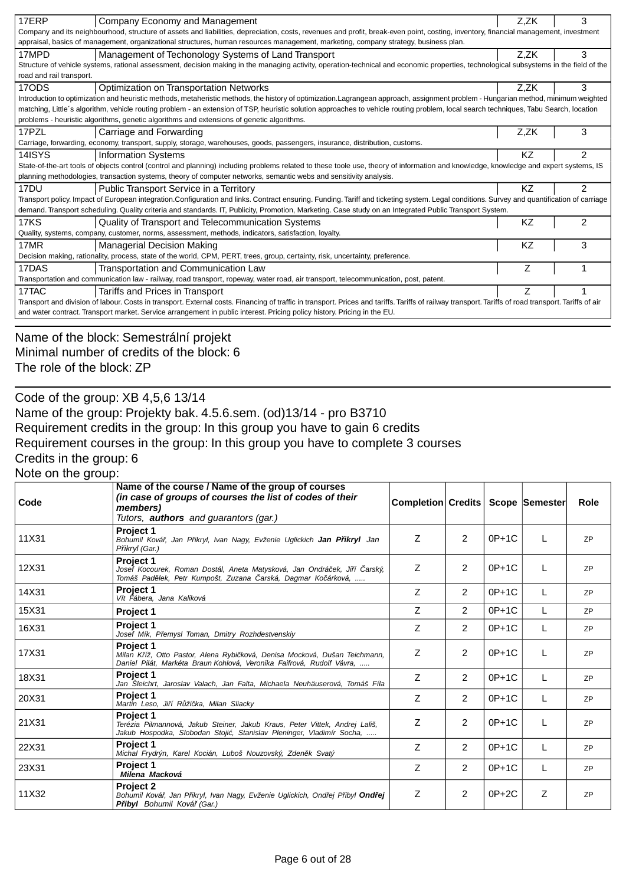| 17ERP                                                                                                                                                                                                                          | Company Economy and Management                                                                                                                                                             | Z,ZK | 3              |  |  |
|--------------------------------------------------------------------------------------------------------------------------------------------------------------------------------------------------------------------------------|--------------------------------------------------------------------------------------------------------------------------------------------------------------------------------------------|------|----------------|--|--|
|                                                                                                                                                                                                                                | Company and its neighbourhood, structure of assets and liabilities, depreciation, costs, revenues and profit, break-even point, costing, inventory, financial management, investment       |      |                |  |  |
|                                                                                                                                                                                                                                | appraisal, basics of management, organizational structures, human resources management, marketing, company strategy, business plan.                                                        |      |                |  |  |
| 17MPD                                                                                                                                                                                                                          | Management of Techonology Systems of Land Transport                                                                                                                                        | Z,ZK | 3              |  |  |
|                                                                                                                                                                                                                                | Structure of vehicle systems, rational assessment, decision making in the managing activity, operation-technical and economic properties, technological subsystems in the field of the     |      |                |  |  |
| road and rail transport.                                                                                                                                                                                                       |                                                                                                                                                                                            |      |                |  |  |
| 17ODS                                                                                                                                                                                                                          | Optimization on Transportation Networks                                                                                                                                                    | Z,ZK | 3              |  |  |
|                                                                                                                                                                                                                                | Introduction to optimization and heuristic methods, metaheristic methods, the history of optimization. Lagrangean approach, assignment problem - Hungarian method, minimum weighted        |      |                |  |  |
|                                                                                                                                                                                                                                | matching, Little's algorithm, vehicle routing problem - an extension of TSP, heuristic solution approaches to vehicle routing problem, local search techniques, Tabu Search, location      |      |                |  |  |
|                                                                                                                                                                                                                                | problems - heuristic algorithms, genetic algorithms and extensions of genetic algorithms.                                                                                                  |      |                |  |  |
| 17PZL                                                                                                                                                                                                                          | Carriage and Forwarding                                                                                                                                                                    | Z.ZK | 3              |  |  |
|                                                                                                                                                                                                                                | Carriage, forwarding, economy, transport, supply, storage, warehouses, goods, passengers, insurance, distribution, customs.                                                                |      |                |  |  |
| 14ISYS                                                                                                                                                                                                                         | <b>Information Systems</b>                                                                                                                                                                 | ΚZ   | 2              |  |  |
|                                                                                                                                                                                                                                | State-of-the-art tools of objects control (control and planning) including problems related to these toole use, theory of information and knowledge, knowledge and expert systems, IS      |      |                |  |  |
|                                                                                                                                                                                                                                | planning methodologies, transaction systems, theory of computer networks, semantic webs and sensitivity analysis.                                                                          |      |                |  |  |
| 17 <sub>DU</sub>                                                                                                                                                                                                               | Public Transport Service in a Territory                                                                                                                                                    | KZ   | $\mathfrak{p}$ |  |  |
|                                                                                                                                                                                                                                | Transport policy. Impact of European integration.Configuration and links. Contract ensuring. Funding. Tariff and ticketing system. Legal conditions. Survey and quantification of carriage |      |                |  |  |
|                                                                                                                                                                                                                                | demand. Transport scheduling. Quality criteria and standards. IT, Publicity, Promotion, Marketing. Case study on an Integrated Public Transport System.                                    |      |                |  |  |
| $17K\overline{S}$                                                                                                                                                                                                              | Quality of Transport and Telecommunication Systems                                                                                                                                         | KZ   | 2              |  |  |
|                                                                                                                                                                                                                                | Quality, systems, company, customer, norms, assessment, methods, indicators, satisfaction, loyalty.                                                                                        |      |                |  |  |
| 17MR                                                                                                                                                                                                                           | <b>Managerial Decision Making</b>                                                                                                                                                          | ΚZ   | 3              |  |  |
|                                                                                                                                                                                                                                | Decision making, rationality, process, state of the world, CPM, PERT, trees, group, certainty, risk, uncertainty, preference.                                                              |      |                |  |  |
| 17DAS                                                                                                                                                                                                                          | Transportation and Communication Law                                                                                                                                                       | Ζ    |                |  |  |
| Transportation and communication law - railway, road transport, ropeway, water road, air transport, telecommunication, post, patent.                                                                                           |                                                                                                                                                                                            |      |                |  |  |
| 17TAC                                                                                                                                                                                                                          | Tariffs and Prices in Transport                                                                                                                                                            |      |                |  |  |
| Transport and division of labour. Costs in transport. External costs. Financing of traffic in transport. Prices and tariffs. Tariffs of railway transport. Tariffs of road transport. Tariffs of railway transport. Tariffs of |                                                                                                                                                                                            |      |                |  |  |
|                                                                                                                                                                                                                                | and water contract. Transport market. Service arrangement in public interest. Pricing policy history. Pricing in the EU.                                                                   |      |                |  |  |
|                                                                                                                                                                                                                                |                                                                                                                                                                                            |      |                |  |  |

# Name of the block: Semestrální projekt Minimal number of credits of the block: 6 The role of the block: ZP

Code of the group: XB 4,5,6 13/14

Name of the group: Projekty bak. 4.5.6.sem. (od)13/14 - pro B3710 Requirement credits in the group: In this group you have to gain 6 credits Requirement courses in the group: In this group you have to complete 3 courses Credits in the group: 6

Note on the group:

| Code  | Name of the course / Name of the group of courses<br>(in case of groups of courses the list of codes of their<br>members)<br>Tutors, <b>authors</b> and guarantors (gar.) | Completion Credits |                |         | <b>Scope Semester</b> | Role      |
|-------|---------------------------------------------------------------------------------------------------------------------------------------------------------------------------|--------------------|----------------|---------|-----------------------|-----------|
| 11X31 | <b>Project 1</b><br>Bohumil Ková, Jan P ikryl, Ivan Nagy, Evženie Uglickich Jan P ikryl Jan<br>P ikryl (Gar.)                                                             | Ζ                  | 2              | $0P+1C$ |                       | <b>ZP</b> |
| 12X31 | Project 1<br>Josef Kocourek, Roman Dostál, Aneta Matysková, Jan Ondrá ek, Ji í arský,<br>Tomáš Pad lek, Petr Kumpošt, Zuzana arská, Dagmar Ko árková,                     | Z                  | $\overline{2}$ | $0P+1C$ |                       | <b>ZP</b> |
| 14X31 | Project 1<br>Vít Fábera, Jana Kaliková                                                                                                                                    | Z                  | $\overline{2}$ | $0P+1C$ |                       | <b>ZP</b> |
| 15X31 | Project 1                                                                                                                                                                 | Ζ                  | 2              | $0P+1C$ |                       | <b>ZP</b> |
| 16X31 | Project 1<br>Josef Mík, P emysl Toman, Dmitry Rozhdestvenskiy                                                                                                             | Ζ                  | 2              | $0P+1C$ | L                     | <b>ZP</b> |
| 17X31 | Project 1<br>Milan K íž, Otto Pastor, Alena Rybi ková, Denisa Mocková, Dušan Teichmann,<br>Daniel Pilát, Markéta Braun Kohlová, Veronika Faifrová, Rudolf Vávra,          | Ζ                  | 2              | $0P+1C$ |                       | <b>ZP</b> |
| 18X31 | Project 1<br>Jan Šleichrt, Jaroslav Valach, Jan Falta, Michaela Neuhäuserová, Tomáš Fíla                                                                                  | Ζ                  | 2              | $0P+1C$ |                       | <b>ZP</b> |
| 20X31 | Project 1<br>Martin Leso, Ji í R ži ka, Milan Sliacky                                                                                                                     | Ζ                  | 2              | $0P+1C$ |                       | <b>ZP</b> |
| 21X31 | <b>Project 1</b><br>Terézia Pilmannová, Jakub Steiner, Jakub Kraus, Peter Vittek, Andrej Lališ,<br>Jakub Hospodka, Slobodan Stoji, Stanislav Pleninger, Vladimír Socha,   | Z                  | 2              | $0P+1C$ |                       | <b>ZP</b> |
| 22X31 | Project 1<br>Michal Frydrýn, Karel Kocián, Luboš Nouzovský, Zden k Svatý                                                                                                  | Z                  | 2              | $0P+1C$ | L                     | <b>ZP</b> |
| 23X31 | Project 1<br>Milena Macková                                                                                                                                               | Ζ                  | $\overline{2}$ | $0P+1C$ |                       | <b>ZP</b> |
| 11X32 | <b>Project 2</b><br>Bohumil Ková, Jan P ikryl, Ivan Nagy, Evženie Uglickich, Ond ej P ibyl Ond ej<br>P ibyl Bohumil Ková (Gar.)                                           | Z                  | 2              | $0P+2C$ | Z                     | <b>ZP</b> |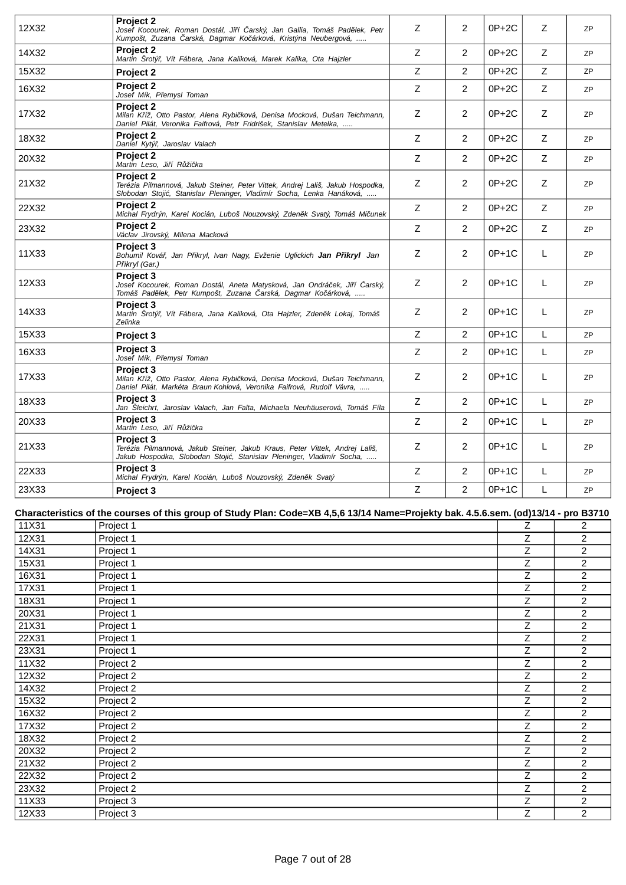| 12X32 | <b>Project 2</b><br>Josef Kocourek, Roman Dostál, Ji í arský, Jan Gallia, Tomáš Pad lek, Petr<br>Kumpošt, Zuzana arská, Dagmar Ko árková, Kristýna Neubergová,             | Z           | 2              | $0P+2C$ | Z | 7P        |
|-------|----------------------------------------------------------------------------------------------------------------------------------------------------------------------------|-------------|----------------|---------|---|-----------|
| 14X32 | <b>Project 2</b><br>Martin Šrotý, Vít Fábera, Jana Kaliková, Marek Kalika, Ota Hajzler                                                                                     | Z           | 2              | 0P+2C   | Z | <b>ZP</b> |
| 15X32 | Project 2                                                                                                                                                                  | Z           | $\overline{2}$ | $0P+2C$ | Z | <b>ZP</b> |
| 16X32 | Project 2<br>Josef Mík, P emysl Toman                                                                                                                                      | Z           | $\overline{2}$ | 0P+2C   | Z | <b>ZP</b> |
| 17X32 | <b>Project 2</b><br>Milan K íž, Otto Pastor, Alena Rybi ková, Denisa Mocková, Dušan Teichmann,<br>Daniel Pilát, Veronika Faifrová, Petr Fridrišek, Stanislav Metelka,      | Z           | 2              | 0P+2C   | Z | ZP        |
| 18X32 | <b>Project 2</b><br>Daniel Kytý, Jaroslav Valach                                                                                                                           | Z           | $\overline{2}$ | $0P+2C$ | Ζ | <b>ZP</b> |
| 20X32 | <b>Project 2</b><br>Martin Leso, Ji í R ži ka                                                                                                                              | $\mathsf Z$ | $\overline{2}$ | $0P+2C$ | Z | ZP        |
| 21X32 | <b>Project 2</b><br>Terézia Pilmannová, Jakub Steiner, Peter Vittek, Andrej Lališ, Jakub Hospodka,<br>Slobodan Stoji, Stanislav Pleninger, Vladimír Socha, Lenka Hanáková, | Ζ           | 2              | $0P+2C$ | Ζ | <b>ZP</b> |
| 22X32 | <b>Project 2</b><br>Michal Frydrýn, Karel Kocián, Luboš Nouzovský, Zden k Svatý, Tomáš Mi unek                                                                             | $\mathsf Z$ | $\overline{2}$ | $0P+2C$ | Ζ | <b>ZP</b> |
| 23X32 | <b>Project 2</b><br>Václav Jirovský, Milena Macková                                                                                                                        | Z           | $\overline{2}$ | 0P+2C   | Ζ | ZP        |
| 11X33 | <b>Project 3</b><br>Bohumil Ková, Jan P ikryl, Ivan Nagy, Evženie Uglickich Jan P ikryl Jan<br>P ikryl (Gar.)                                                              | Z           | 2              | $0P+1C$ | L | ZP        |
| 12X33 | Project 3<br>Josef Kocourek, Roman Dostál, Aneta Matysková, Jan Ondrá ek, Ji í arský,<br>Tomáš Pad lek, Petr Kumpošt, Zuzana arská, Dagmar Ko árková,                      | Z           | 2              | $0P+1C$ | L | <b>ZP</b> |
| 14X33 | <b>Project 3</b><br>Martin Šrotý, Vít Fábera, Jana Kaliková, Ota Hajzler, Zden k Lokaj, Tomáš<br>Zelinka                                                                   | Z           | $\overline{2}$ | 0P+1C   | L | <b>ZP</b> |
| 15X33 | Project 3                                                                                                                                                                  | Z           | $\overline{2}$ | $0P+1C$ | L | <b>ZP</b> |
| 16X33 | <b>Project 3</b><br>Josef Mík, P emysl Toman                                                                                                                               | $\mathsf Z$ | $\overline{2}$ | $0P+1C$ | L | ZP        |
| 17X33 | <b>Project 3</b><br>Milan K íž, Otto Pastor, Alena Rybi ková, Denisa Mocková, Dušan Teichmann,<br>Daniel Pilát, Markéta Braun Kohlová, Veronika Faifrová, Rudolf Vávra,    | Z           | 2              | $0P+1C$ | L | <b>ZP</b> |
| 18X33 | <b>Project 3</b><br>Jan Šleichrt, Jaroslav Valach, Jan Falta, Michaela Neuhäuserová, Tomáš Fíla                                                                            | Z           | $\overline{2}$ | $0P+1C$ | L | ZP        |
| 20X33 | Project 3<br>Martin Leso, Ji í R ži ka                                                                                                                                     | Z           | $\overline{2}$ | $0P+1C$ | L | <b>ZP</b> |
| 21X33 | <b>Project 3</b><br>Terézia Pilmannová, Jakub Steiner, Jakub Kraus, Peter Vittek, Andrej Lališ,<br>Jakub Hospodka, Slobodan Stoji, Stanislav Pleninger, Vladimír Socha,    | Z           | 2              | $0P+1C$ | L | ZP        |
| 22X33 | Project 3<br>Michal Frydrýn, Karel Kocián, Luboš Nouzovský, Zden k Svatý                                                                                                   | Z           | 2              | $0P+1C$ | L | <b>ZP</b> |
| 23X33 | Project 3                                                                                                                                                                  | $\mathsf Z$ | $\overline{2}$ | 0P+1C   | L | <b>ZP</b> |

## **Characteristics of the courses of this group of Study Plan: Code=XB 4,5,6 13/14 Name=Projekty bak. 4.5.6.sem. (od)13/14 - pro B3710**

| 11X31 | Project 1 | Ζ | $\overline{2}$ |
|-------|-----------|---|----------------|
| 12X31 | Project 1 | Z | $\overline{2}$ |
| 14X31 | Project 1 | Z | $\overline{2}$ |
| 15X31 | Project 1 | Z | $\overline{2}$ |
| 16X31 | Project 1 | Z | $\overline{2}$ |
| 17X31 | Project 1 | Z | $\overline{c}$ |
| 18X31 | Project 1 | Z | $\overline{2}$ |
| 20X31 | Project 1 | Z | $\overline{2}$ |
| 21X31 | Project 1 | Z | $\overline{2}$ |
| 22X31 | Project 1 | Z | $\overline{2}$ |
| 23X31 | Project 1 | Ζ | $\overline{2}$ |
| 11X32 | Project 2 | Z | $\overline{2}$ |
| 12X32 | Project 2 | Z | 2              |
| 14X32 | Project 2 | Z | $\overline{c}$ |
| 15X32 | Project 2 | Ζ | $\overline{2}$ |
| 16X32 | Project 2 | Z | $\overline{c}$ |
| 17X32 | Project 2 | Z | $\overline{2}$ |
| 18X32 | Project 2 | Z | $\overline{2}$ |
| 20X32 | Project 2 | Z | $\overline{2}$ |
| 21X32 | Project 2 | Z | $\overline{2}$ |
| 22X32 | Project 2 | Ζ | $\overline{2}$ |
| 23X32 | Project 2 | Z | 2              |
| 11X33 | Project 3 | Z | $\overline{c}$ |
| 12X33 | Project 3 | Z | $\overline{c}$ |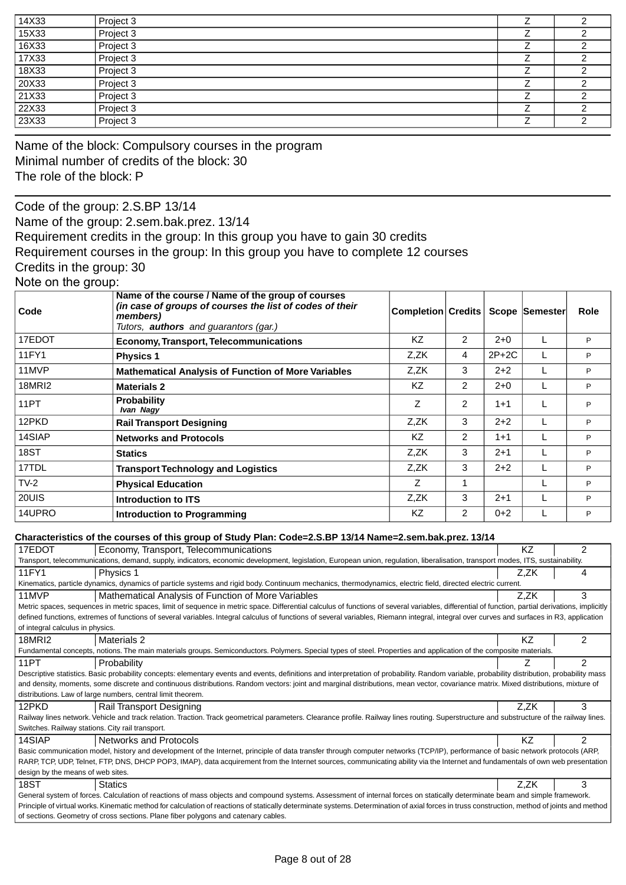| 14X33 | Project 3 |  |
|-------|-----------|--|
| 15X33 | Project 3 |  |
| 16X33 | Project 3 |  |
| 17X33 | Project 3 |  |
| 18X33 | Project 3 |  |
| 20X33 | Project 3 |  |
| 21X33 | Project 3 |  |
| 22X33 | Project 3 |  |
| 23X33 | Project 3 |  |

Name of the block: Compulsory courses in the program Minimal number of credits of the block: 30 The role of the block: P

Code of the group: 2.S.BP 13/14 Name of the group: 2.sem.bak.prez. 13/14

Requirement credits in the group: In this group you have to gain 30 credits

Requirement courses in the group: In this group you have to complete 12 courses

Credits in the group: 30

Note on the group:

| Code   | Name of the course / Name of the group of courses<br>(in case of groups of courses the list of codes of their<br>members)<br>Tutors, <b>authors</b> and quarantors (gar.) | Completion Credits |   |         | Scope Semester | Role |
|--------|---------------------------------------------------------------------------------------------------------------------------------------------------------------------------|--------------------|---|---------|----------------|------|
| 17EDOT | <b>Economy, Transport, Telecommunications</b>                                                                                                                             | KZ.                | 2 | $2+0$   |                | P    |
| 11FY1  | <b>Physics 1</b>                                                                                                                                                          | Z,ZK               | 4 | $2P+2C$ |                | P    |
| 11MVP  | <b>Mathematical Analysis of Function of More Variables</b>                                                                                                                | Z.ZK               | 3 | $2+2$   |                | P    |
| 18MRI2 | <b>Materials 2</b>                                                                                                                                                        | KZ.                | 2 | $2+0$   |                | P    |
| 11PT   | <b>Probability</b><br>Ivan Nagy                                                                                                                                           | Z                  | 2 | $1 + 1$ |                | P    |
| 12PKD  | <b>Rail Transport Designing</b>                                                                                                                                           | Z,ZK               | 3 | $2 + 2$ |                | P    |
| 14SIAP | <b>Networks and Protocols</b>                                                                                                                                             | KZ.                | 2 | $1 + 1$ |                | P    |
| 18ST   | <b>Statics</b>                                                                                                                                                            | Z,ZK               | 3 | $2 + 1$ |                | P    |
| 17TDL  | <b>Transport Technology and Logistics</b>                                                                                                                                 | Z,ZK               | 3 | $2+2$   |                | P    |
| $TV-2$ | <b>Physical Education</b>                                                                                                                                                 | Z                  |   |         |                | P    |
| 20UIS  | Introduction to ITS                                                                                                                                                       | Z,ZK               | 3 | $2+1$   |                | P    |
| 14UPRO | <b>Introduction to Programming</b>                                                                                                                                        | KZ.                | 2 | $0 + 2$ |                | P    |

#### **Characteristics of the courses of this group of Study Plan: Code=2.S.BP 13/14 Name=2.sem.bak.prez. 13/14**

| 17EDOT                                                                                                                                                                                        | Economy, Transport, Telecommunications                                                                                                                                                           | <b>KZ</b> | 2 |  |  |  |  |
|-----------------------------------------------------------------------------------------------------------------------------------------------------------------------------------------------|--------------------------------------------------------------------------------------------------------------------------------------------------------------------------------------------------|-----------|---|--|--|--|--|
|                                                                                                                                                                                               | Transport, telecommunications, demand, supply, indicators, economic development, legislation, European union, regulation, liberalisation, transport modes, ITS, sustainability.                  |           |   |  |  |  |  |
| 11FY1                                                                                                                                                                                         | Physics 1                                                                                                                                                                                        | Z.ZK      | 4 |  |  |  |  |
|                                                                                                                                                                                               | Kinematics, particle dynamics, dynamics of particle systems and rigid body. Continuum mechanics, thermodynamics, electric field, directed electric current.                                      |           |   |  |  |  |  |
| 11MVP                                                                                                                                                                                         | Mathematical Analysis of Function of More Variables                                                                                                                                              | Z.ZK      | 3 |  |  |  |  |
|                                                                                                                                                                                               | Metric spaces, sequences in metric spaces, limit of sequence in metric space. Differential calculus of functions of several variables, differential of function, partial derivations, implicitly |           |   |  |  |  |  |
|                                                                                                                                                                                               | defined functions, extremes of functions of several variables. Integral calculus of functions of several variables, Riemann integral, integral over curves and surfaces in R3, application       |           |   |  |  |  |  |
| of integral calculus in physics.                                                                                                                                                              |                                                                                                                                                                                                  |           |   |  |  |  |  |
| 18MRI2                                                                                                                                                                                        | <b>Materials 2</b>                                                                                                                                                                               | ΚZ        | 2 |  |  |  |  |
|                                                                                                                                                                                               | Fundamental concepts, notions. The main materials groups. Semiconductors. Polymers. Special types of steel. Properties and application of the composite materials.                               |           |   |  |  |  |  |
| 11PT                                                                                                                                                                                          | Probability                                                                                                                                                                                      |           | 2 |  |  |  |  |
|                                                                                                                                                                                               | Descriptive statistics. Basic probability concepts: elementary events and events, definitions and interpretation of probability. Random variable, probability distribution, probability mass     |           |   |  |  |  |  |
|                                                                                                                                                                                               | and density, moments, some discrete and continuous distributions. Random vectors: joint and marginal distributions, mean vector, covariance matrix. Mixed distributions, mixture of              |           |   |  |  |  |  |
|                                                                                                                                                                                               | distributions. Law of large numbers, central limit theorem.                                                                                                                                      |           |   |  |  |  |  |
| 12PKD                                                                                                                                                                                         | Rail Transport Designing                                                                                                                                                                         | Z.ZK      | 3 |  |  |  |  |
|                                                                                                                                                                                               | Railway lines network. Vehicle and track relation. Traction. Track geometrical parameters. Clearance profile. Railway lines routing. Superstructure and substructure of the railway lines.       |           |   |  |  |  |  |
| Switches. Railway stations. City rail transport.                                                                                                                                              |                                                                                                                                                                                                  |           |   |  |  |  |  |
| 14SIAP                                                                                                                                                                                        | <b>Networks and Protocols</b>                                                                                                                                                                    | ΚZ        | 2 |  |  |  |  |
|                                                                                                                                                                                               | Basic communication model, history and development of the Internet, principle of data transfer through computer networks (TCP/IP), performance of basic network protocols (ARP,                  |           |   |  |  |  |  |
|                                                                                                                                                                                               | RARP, TCP, UDP, Telnet, FTP, DNS, DHCP POP3, IMAP), data acquirement from the Internet sources, communicating ability via the Internet and fundamentals of own web presentation                  |           |   |  |  |  |  |
| design by the means of web sites.                                                                                                                                                             |                                                                                                                                                                                                  |           |   |  |  |  |  |
| 18ST                                                                                                                                                                                          | <b>Statics</b>                                                                                                                                                                                   | Z.ZK      | 3 |  |  |  |  |
| General system of forces. Calculation of reactions of mass objects and compound systems. Assessment of internal forces on statically determinate beam and simple framework.                   |                                                                                                                                                                                                  |           |   |  |  |  |  |
| Principle of virtual works. Kinematic method for calculation of reactions of statically determinate systems. Determination of axial forces in truss construction, method of joints and method |                                                                                                                                                                                                  |           |   |  |  |  |  |
|                                                                                                                                                                                               | of sections. Geometry of cross sections. Plane fiber polygons and catenary cables.                                                                                                               |           |   |  |  |  |  |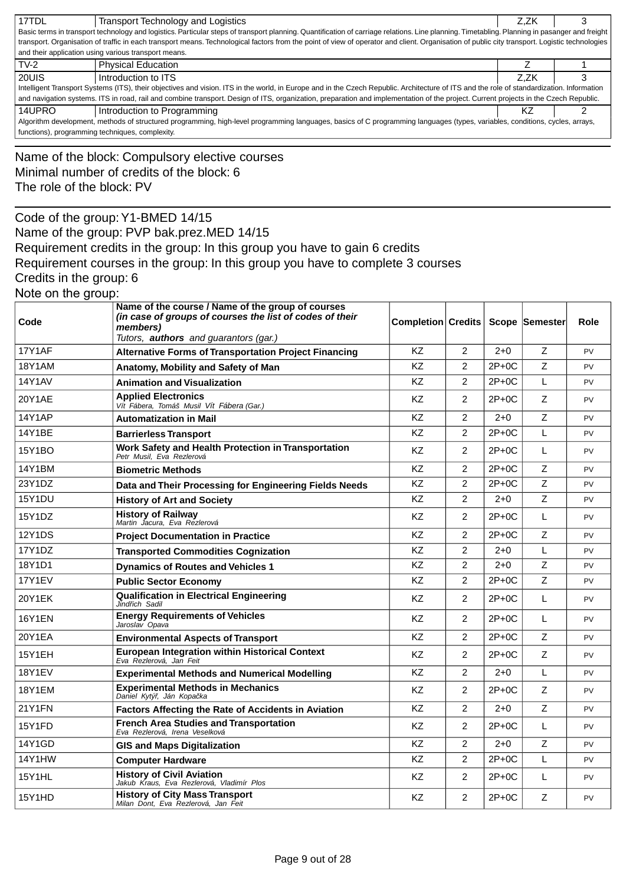| 17TDL                                                          | Transport Technology and Logistics<br>Basic terms in transport technology and logistics. Particular steps of transport planning. Quantification of carriage relations. Line planning. Timetabling. Planning in pasanger and freight<br>transport. Organisation of traffic in each transport means. Technological factors from the point of view of operator and client. Organisation of public city transport. Logistic technologies |                                   |                         |         | Z,ZK | 3         |
|----------------------------------------------------------------|--------------------------------------------------------------------------------------------------------------------------------------------------------------------------------------------------------------------------------------------------------------------------------------------------------------------------------------------------------------------------------------------------------------------------------------|-----------------------------------|-------------------------|---------|------|-----------|
| and their application using various transport means.<br>$TV-2$ |                                                                                                                                                                                                                                                                                                                                                                                                                                      |                                   |                         |         | Ζ    | 1         |
| 20UIS                                                          | <b>Physical Education</b><br>Introduction to ITS                                                                                                                                                                                                                                                                                                                                                                                     |                                   |                         |         | Z,ZK | 3         |
|                                                                | Intelligent Transport Systems (ITS), their objectives and vision. ITS in the world, in Europe and in the Czech Republic. Architecture of ITS and the role of standardization. Information                                                                                                                                                                                                                                            |                                   |                         |         |      |           |
| 14UPRO                                                         | and navigation systems. ITS in road, rail and combine transport. Design of ITS, organization, preparation and implementation of the project. Current projects in the Czech Republic.<br>Introduction to Programming                                                                                                                                                                                                                  |                                   |                         |         | ΚZ   | 2         |
|                                                                | Algorithm development, methods of structured programming, high-level programming languages, basics of C programming languages (types, variables, conditions, cycles, arrays,                                                                                                                                                                                                                                                         |                                   |                         |         |      |           |
| functions), programming techniques, complexity.                |                                                                                                                                                                                                                                                                                                                                                                                                                                      |                                   |                         |         |      |           |
| The role of the block: PV                                      | Name of the block: Compulsory elective courses<br>Minimal number of credits of the block: 6                                                                                                                                                                                                                                                                                                                                          |                                   |                         |         |      |           |
|                                                                | Code of the group: Y1-BMED 14/15                                                                                                                                                                                                                                                                                                                                                                                                     |                                   |                         |         |      |           |
|                                                                | Name of the group: PVP bak.prez.MED 14/15                                                                                                                                                                                                                                                                                                                                                                                            |                                   |                         |         |      |           |
|                                                                | Requirement credits in the group: In this group you have to gain 6 credits                                                                                                                                                                                                                                                                                                                                                           |                                   |                         |         |      |           |
|                                                                | Requirement courses in the group: In this group you have to complete 3 courses                                                                                                                                                                                                                                                                                                                                                       |                                   |                         |         |      |           |
| Credits in the group: 6                                        |                                                                                                                                                                                                                                                                                                                                                                                                                                      |                                   |                         |         |      |           |
| Note on the group:                                             |                                                                                                                                                                                                                                                                                                                                                                                                                                      |                                   |                         |         |      |           |
|                                                                | Name of the course / Name of the group of courses<br>(in case of groups of courses the list of codes of their                                                                                                                                                                                                                                                                                                                        |                                   |                         |         |      |           |
| Code                                                           | members)                                                                                                                                                                                                                                                                                                                                                                                                                             | Completion Credits Scope Semester |                         |         |      | Role      |
| 17Y1AF                                                         | Tutors, <b>authors</b> and guarantors (gar.)<br><b>Alternative Forms of Transportation Project Financing</b>                                                                                                                                                                                                                                                                                                                         | KZ                                | 2                       | $2 + 0$ | Z    | PV        |
| <b>18Y1AM</b>                                                  | Anatomy, Mobility and Safety of Man                                                                                                                                                                                                                                                                                                                                                                                                  | KZ.                               | 2                       | $2P+OC$ | Z    | PV        |
| <b>14Y1AV</b>                                                  | <b>Animation and Visualization</b>                                                                                                                                                                                                                                                                                                                                                                                                   | KZ                                | 2                       | $2P+0C$ | L    | PV        |
| 20Y1AE                                                         | <b>Applied Electronics</b>                                                                                                                                                                                                                                                                                                                                                                                                           | KZ.                               | 2                       | $2P+0C$ | Z    | PV        |
|                                                                | Vít Fábera, Tomáš Musil Vít Fábera (Gar.)                                                                                                                                                                                                                                                                                                                                                                                            |                                   |                         |         |      |           |
| <b>14Y1AP</b>                                                  | <b>Automatization in Mail</b>                                                                                                                                                                                                                                                                                                                                                                                                        | KZ                                | 2                       | $2+0$   | Ζ    | PV        |
| 14Y1BE                                                         | <b>Barrierless Transport</b>                                                                                                                                                                                                                                                                                                                                                                                                         | KZ                                | $\overline{2}$          | $2P+0C$ | L    | PV        |
| 15Y1BO                                                         | Work Safety and Health Protection in Transportation<br>Petr Musil. Eva Rezlerová                                                                                                                                                                                                                                                                                                                                                     | KZ                                | 2                       | $2P+0C$ | L    | PV        |
| 14Y1BM                                                         | <b>Biometric Methods</b>                                                                                                                                                                                                                                                                                                                                                                                                             | KZ                                | 2                       | $2P+0C$ | Ζ    | PV        |
| 23Y1DZ                                                         | Data and Their Processing for Engineering Fields Needs                                                                                                                                                                                                                                                                                                                                                                               | KZ                                | $\overline{\mathbf{c}}$ | $2P+OC$ | Z    | PV        |
| <b>15Y1DU</b>                                                  | <b>History of Art and Society</b>                                                                                                                                                                                                                                                                                                                                                                                                    | <b>KZ</b>                         | 2                       | $2+0$   | Ζ    | PV        |
| 15Y1DZ                                                         | <b>History of Railway</b><br>Martin Jacura, Eva Rezlerová                                                                                                                                                                                                                                                                                                                                                                            | KZ                                | $\overline{2}$          | $2P+0C$ | L    | PV        |
| 12Y1DS                                                         | <b>Project Documentation in Practice</b>                                                                                                                                                                                                                                                                                                                                                                                             | <b>KZ</b>                         | $\overline{2}$          | $2P+0C$ | Z    | <b>PV</b> |
| 17Y1DZ                                                         | <b>Transported Commodities Cognization</b>                                                                                                                                                                                                                                                                                                                                                                                           | KZ                                | 2                       | $2+0$   | L    | PV        |
| 18Y1D1                                                         | <b>Dynamics of Routes and Vehicles 1</b>                                                                                                                                                                                                                                                                                                                                                                                             | KZ                                | $\overline{2}$          | $2 + 0$ | Z    | <b>PV</b> |
| <b>17Y1EV</b>                                                  | <b>Public Sector Economy</b>                                                                                                                                                                                                                                                                                                                                                                                                         | <b>KZ</b>                         | $\overline{2}$          | $2P+0C$ | Z    | <b>PV</b> |
| 20Y1EK                                                         | <b>Qualification in Electrical Engineering</b><br>Jind ich Sadil                                                                                                                                                                                                                                                                                                                                                                     | KZ                                | $\overline{2}$          | $2P+0C$ | L    | <b>PV</b> |
| <b>16Y1EN</b>                                                  | <b>Energy Requirements of Vehicles</b><br>Jaroslav Opava                                                                                                                                                                                                                                                                                                                                                                             | KZ                                | $\overline{2}$          | $2P+0C$ | L    | <b>PV</b> |
| 20Y1EA                                                         | <b>Environmental Aspects of Transport</b>                                                                                                                                                                                                                                                                                                                                                                                            | <b>KZ</b>                         | $\overline{2}$          | $2P+0C$ | Z    | <b>PV</b> |
| 15Y1EH                                                         | <b>European Integration within Historical Context</b><br>Eva Rezlerová, Jan Feit                                                                                                                                                                                                                                                                                                                                                     | KZ                                | $\overline{2}$          | $2P+0C$ | Z    | <b>PV</b> |
| <b>18Y1EV</b>                                                  | <b>Experimental Methods and Numerical Modelling</b>                                                                                                                                                                                                                                                                                                                                                                                  | KZ                                | $\overline{2}$          | $2 + 0$ | L    | <b>PV</b> |
| <b>18Y1EM</b>                                                  | <b>Experimental Methods in Mechanics</b><br>Daniel Kytý, Ján Kopa ka                                                                                                                                                                                                                                                                                                                                                                 | KZ                                | $\overline{2}$          | $2P+0C$ | Z    | PV        |
| 21Y1FN                                                         | <b>Factors Affecting the Rate of Accidents in Aviation</b>                                                                                                                                                                                                                                                                                                                                                                           | <b>KZ</b>                         | 2                       | $2+0$   | Ζ    | PV        |
| 15Y1FD                                                         | <b>French Area Studies and Transportation</b><br>Eva Rezlerová, Irena Veselková                                                                                                                                                                                                                                                                                                                                                      | KZ                                | 2                       | $2P+0C$ | L    | <b>PV</b> |
| 14Y1GD                                                         | <b>GIS and Maps Digitalization</b>                                                                                                                                                                                                                                                                                                                                                                                                   | KZ                                | $\overline{c}$          | $2 + 0$ | Z    | <b>PV</b> |
| <b>14Y1HW</b>                                                  | <b>Computer Hardware</b>                                                                                                                                                                                                                                                                                                                                                                                                             | KZ                                | 2                       | $2P+0C$ | L    | <b>PV</b> |
| <b>15Y1HL</b>                                                  | <b>History of Civil Aviation</b><br>Jakub Kraus, Eva Rezlerová, Vladimír Plos                                                                                                                                                                                                                                                                                                                                                        | KZ                                | 2                       | $2P+0C$ | L    | PV        |
| 15Y1HD                                                         | <b>History of City Mass Transport</b><br>Milan Dont, Eva Rezlerová, Jan Feit                                                                                                                                                                                                                                                                                                                                                         | KZ                                | $\overline{2}$          | $2P+0C$ | Ζ    | PV        |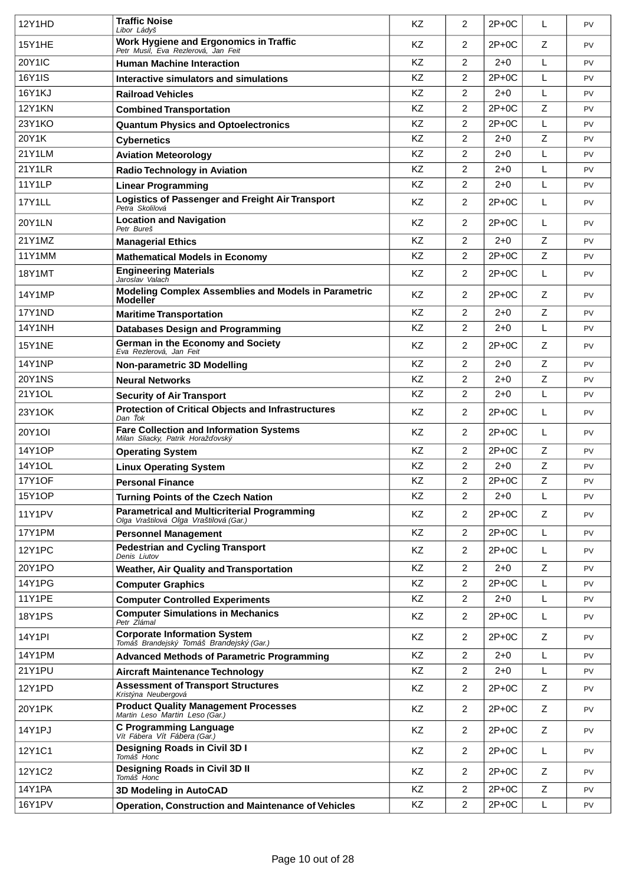| 12Y1HD        | <b>Traffic Noise</b><br>Libor Ládyš                                                          | KZ        | 2              | $2P+0C$ | L | <b>PV</b> |
|---------------|----------------------------------------------------------------------------------------------|-----------|----------------|---------|---|-----------|
| <b>15Y1HE</b> | Work Hygiene and Ergonomics in Traffic<br>Petr Musil, Eva Rezlerová, Jan Feit                | KZ        | 2              | $2P+0C$ | Z | <b>PV</b> |
| <b>20Y1IC</b> | <b>Human Machine Interaction</b>                                                             | KZ        | $\overline{2}$ | $2 + 0$ | L | <b>PV</b> |
| 16Y1IS        | Interactive simulators and simulations                                                       | KZ        | $\overline{2}$ | $2P+0C$ | L | <b>PV</b> |
| 16Y1KJ        | <b>Railroad Vehicles</b>                                                                     | <b>KZ</b> | 2              | $2 + 0$ | L | <b>PV</b> |
| <b>12Y1KN</b> | <b>Combined Transportation</b>                                                               | KZ        | $\overline{2}$ | $2P+0C$ | Z | <b>PV</b> |
| 23Y1KO        | <b>Quantum Physics and Optoelectronics</b>                                                   | <b>KZ</b> | $\overline{2}$ | $2P+0C$ | L | <b>PV</b> |
| 20Y1K         | <b>Cybernetics</b>                                                                           | KZ        | $\overline{2}$ | $2 + 0$ | Z | <b>PV</b> |
| 21Y1LM        | <b>Aviation Meteorology</b>                                                                  | <b>KZ</b> | 2              | $2+0$   | L | <b>PV</b> |
| <b>21Y1LR</b> | <b>Radio Technology in Aviation</b>                                                          | KZ        | $\overline{2}$ | $2 + 0$ | L | <b>PV</b> |
| <b>11Y1LP</b> | <b>Linear Programming</b>                                                                    | KZ        | $\overline{2}$ | $2 + 0$ | L | <b>PV</b> |
| 17Y1LL        | <b>Logistics of Passenger and Freight Air Transport</b><br>Petra Skolilová                   | KZ        | $\overline{2}$ | $2P+0C$ | L | <b>PV</b> |
| <b>20Y1LN</b> | <b>Location and Navigation</b><br>Petr Bureš                                                 | KZ        | $\overline{2}$ | $2P+0C$ | L | <b>PV</b> |
| 21Y1MZ        | <b>Managerial Ethics</b>                                                                     | KZ        | $\overline{2}$ | $2 + 0$ | Z | <b>PV</b> |
| 11Y1MM        | <b>Mathematical Models in Economy</b>                                                        | KZ        | $\overline{2}$ | $2P+0C$ | Z | <b>PV</b> |
| 18Y1MT        | <b>Engineering Materials</b><br>Jaroslav Valach                                              | <b>KZ</b> | $\overline{2}$ | $2P+0C$ | L | <b>PV</b> |
| 14Y1MP        | Modeling Complex Assemblies and Models in Parametric<br><b>Modeller</b>                      | <b>KZ</b> | $\overline{2}$ | $2P+0C$ | Z | <b>PV</b> |
| <b>17Y1ND</b> | <b>Maritime Transportation</b>                                                               | <b>KZ</b> | $\overline{2}$ | $2+0$   | Z | <b>PV</b> |
| <b>14Y1NH</b> | <b>Databases Design and Programming</b>                                                      | KZ        | $\overline{2}$ | $2 + 0$ | L | <b>PV</b> |
| <b>15Y1NE</b> | German in the Economy and Society<br>Eva Rezlerová, Jan Feit                                 | KZ        | $\overline{2}$ | $2P+0C$ | Z | <b>PV</b> |
| <b>14Y1NP</b> | Non-parametric 3D Modelling                                                                  | <b>KZ</b> | $\overline{2}$ | $2+0$   | Z | <b>PV</b> |
| <b>20Y1NS</b> | <b>Neural Networks</b>                                                                       | KZ        | $\overline{2}$ | $2+0$   | Z | <b>PV</b> |
| 21Y1OL        | <b>Security of Air Transport</b>                                                             | KZ        | $\overline{2}$ | $2 + 0$ | L | <b>PV</b> |
| 23Y1OK        | <b>Protection of Critical Objects and Infrastructures</b><br>Dan ok                          | KZ        | $\overline{2}$ | $2P+0C$ | L | <b>PV</b> |
| <b>20Y1OI</b> | <b>Fare Collection and Information Systems</b><br>Milan Sliacky, Patrik Horaž ovský          | <b>KZ</b> | $\overline{2}$ | $2P+0C$ | L | <b>PV</b> |
| 14Y1OP        | <b>Operating System</b>                                                                      | <b>KZ</b> | $\overline{2}$ | $2P+0C$ | Z | <b>PV</b> |
| 14Y1OL        | <b>Linux Operating System</b>                                                                | KZ        | $\overline{2}$ | $2+0$   | Z | <b>PV</b> |
| <b>17Y1OF</b> | <b>Personal Finance</b>                                                                      | KZ        | $\overline{2}$ | $2P+0C$ | Z | <b>PV</b> |
| 15Y1OP        | <b>Turning Points of the Czech Nation</b>                                                    | KZ        | $\overline{2}$ | $2 + 0$ | L | <b>PV</b> |
| <b>11Y1PV</b> | <b>Parametrical and Multicriterial Programming</b><br>Olga Vraštilová Olga Vraštilová (Gar.) | KZ        | $\overline{2}$ | $2P+0C$ | Z | PV        |
| 17Y1PM        | <b>Personnel Management</b>                                                                  | KZ        | $\overline{2}$ | $2P+0C$ | L | <b>PV</b> |
| <b>12Y1PC</b> | <b>Pedestrian and Cycling Transport</b><br>Denis Liutov                                      | KZ        | $\overline{2}$ | $2P+0C$ | L | <b>PV</b> |
| 20Y1PO        | Weather, Air Quality and Transportation                                                      | KZ        | 2              | $2 + 0$ | Z | <b>PV</b> |
| <b>14Y1PG</b> | <b>Computer Graphics</b>                                                                     | KZ        | $\overline{2}$ | $2P+0C$ | L | <b>PV</b> |
| <b>11Y1PE</b> | <b>Computer Controlled Experiments</b>                                                       | KZ        | $\overline{2}$ | $2 + 0$ | L | <b>PV</b> |
| <b>18Y1PS</b> | <b>Computer Simulations in Mechanics</b><br>Petr Zlámal                                      | KZ        | $\overline{2}$ | $2P+0C$ | L | <b>PV</b> |
| 14Y1PI        | <b>Corporate Information System</b><br>Tomáš Brandejský Tomáš Brandejský (Gar.)              | KZ        | $\overline{2}$ | $2P+0C$ | Z | <b>PV</b> |
| <b>14Y1PM</b> | <b>Advanced Methods of Parametric Programming</b>                                            | KZ        | $\overline{2}$ | $2 + 0$ | L | <b>PV</b> |
| 21Y1PU        | <b>Aircraft Maintenance Technology</b>                                                       | KZ        | $\overline{2}$ | $2 + 0$ | L | <b>PV</b> |
| 12Y1PD        | <b>Assessment of Transport Structures</b><br>Kristýna Neubergová                             | KZ        | $\overline{2}$ | $2P+0C$ | Z | <b>PV</b> |
| 20Y1PK        | <b>Product Quality Management Processes</b><br>Martin Leso Martin Leso (Gar.)                | KZ        | $\overline{2}$ | $2P+0C$ | Z | <b>PV</b> |
| 14Y1PJ        | <b>C Programming Language</b><br>Vít Fábera Vít Fábera (Gar.)                                | KZ        | $\overline{2}$ | $2P+0C$ | Z | PV        |
| 12Y1C1        | Designing Roads in Civil 3D I<br>Tomáš Honc                                                  | KZ        | $\overline{2}$ | $2P+0C$ | L | <b>PV</b> |
| 12Y1C2        | Designing Roads in Civil 3D II<br>Tomáš Honc                                                 | KZ        | $\overline{2}$ | $2P+0C$ | Z | <b>PV</b> |
| 14Y1PA        | 3D Modeling in AutoCAD                                                                       | KZ        | $\overline{2}$ | $2P+0C$ | Z | <b>PV</b> |
| 16Y1PV        | <b>Operation, Construction and Maintenance of Vehicles</b>                                   | KZ        | $\overline{2}$ | $2P+0C$ | L | PV        |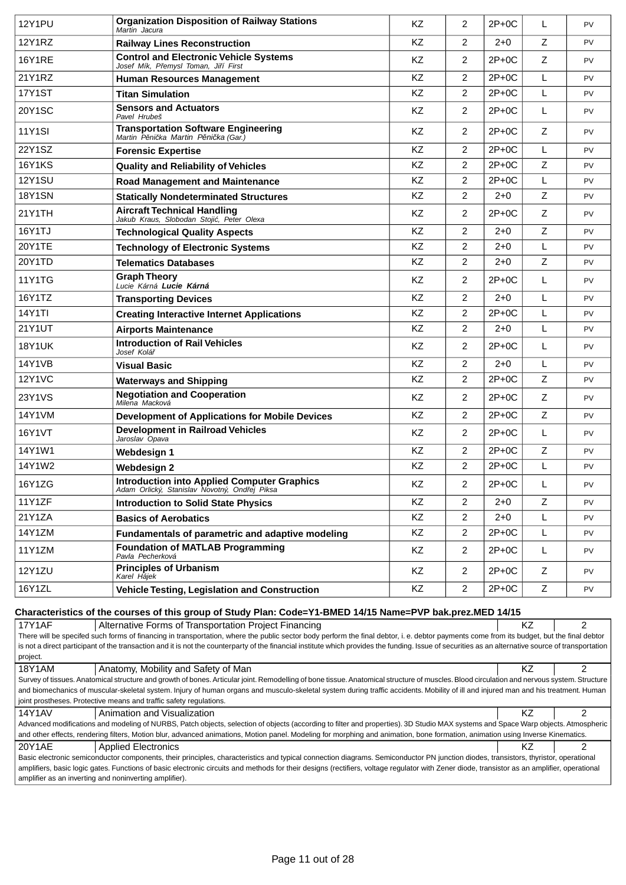| <b>12Y1PU</b>                                                                                                                                                                                                                                          | <b>Organization Disposition of Railway Stations</b><br>Martin Jacura                                                                                                                                                                                                                                                                                                                             | KZ        | $\overline{2}$ | $2P+0C$ | L           | PV             |
|--------------------------------------------------------------------------------------------------------------------------------------------------------------------------------------------------------------------------------------------------------|--------------------------------------------------------------------------------------------------------------------------------------------------------------------------------------------------------------------------------------------------------------------------------------------------------------------------------------------------------------------------------------------------|-----------|----------------|---------|-------------|----------------|
| <b>12Y1RZ</b>                                                                                                                                                                                                                                          | <b>Railway Lines Reconstruction</b>                                                                                                                                                                                                                                                                                                                                                              | <b>KZ</b> | $\overline{2}$ | $2+0$   | Z           | <b>PV</b>      |
| <b>16Y1RE</b>                                                                                                                                                                                                                                          | <b>Control and Electronic Vehicle Systems</b><br>Josef Mík, P emysl Toman, Ji í First                                                                                                                                                                                                                                                                                                            | <b>KZ</b> | $\overline{2}$ | $2P+0C$ | Ζ           | PV             |
| 21Y1RZ                                                                                                                                                                                                                                                 | <b>Human Resources Management</b>                                                                                                                                                                                                                                                                                                                                                                | <b>KZ</b> | $\overline{2}$ | $2P+0C$ | L           | PV             |
| <b>17Y1ST</b>                                                                                                                                                                                                                                          | <b>Titan Simulation</b>                                                                                                                                                                                                                                                                                                                                                                          | KZ        | $\overline{2}$ | $2P+0C$ | L           | <b>PV</b>      |
| <b>20Y1SC</b>                                                                                                                                                                                                                                          | <b>Sensors and Actuators</b><br>Pavel Hrubeš                                                                                                                                                                                                                                                                                                                                                     | KZ        | $\overline{2}$ | $2P+0C$ | L           | <b>PV</b>      |
| <b>11Y1SI</b>                                                                                                                                                                                                                                          | <b>Transportation Software Engineering</b><br>Martin P ni ka Martin P ni ka (Gar.)                                                                                                                                                                                                                                                                                                               | <b>KZ</b> | $\overline{2}$ | $2P+0C$ | Z           | <b>PV</b>      |
| 22Y1SZ                                                                                                                                                                                                                                                 | <b>Forensic Expertise</b>                                                                                                                                                                                                                                                                                                                                                                        | KZ        | $\overline{2}$ | $2P+0C$ | L           | <b>PV</b>      |
| <b>16Y1KS</b>                                                                                                                                                                                                                                          | <b>Quality and Reliability of Vehicles</b>                                                                                                                                                                                                                                                                                                                                                       | <b>KZ</b> | $\overline{2}$ | $2P+0C$ | Z           | PV             |
| <b>12Y1SU</b>                                                                                                                                                                                                                                          | <b>Road Management and Maintenance</b>                                                                                                                                                                                                                                                                                                                                                           | KZ        | 2              | $2P+0C$ | L           | PV             |
| <b>18Y1SN</b>                                                                                                                                                                                                                                          | <b>Statically Nondeterminated Structures</b>                                                                                                                                                                                                                                                                                                                                                     | KZ        | $\overline{2}$ | $2 + 0$ | Z           | PV             |
| 21Y1TH                                                                                                                                                                                                                                                 | <b>Aircraft Technical Handling</b><br>Jakub Kraus, Slobodan Stoji, Peter Olexa                                                                                                                                                                                                                                                                                                                   | KZ        | $\overline{2}$ | $2P+0C$ | Z           | PV             |
| 16Y1TJ                                                                                                                                                                                                                                                 | <b>Technological Quality Aspects</b>                                                                                                                                                                                                                                                                                                                                                             | <b>KZ</b> | $\overline{2}$ | $2+0$   | Ζ           | <b>PV</b>      |
| 20Y1TE                                                                                                                                                                                                                                                 | <b>Technology of Electronic Systems</b>                                                                                                                                                                                                                                                                                                                                                          | KZ        | $\overline{2}$ | $2 + 0$ | L           | PV             |
| 20Y1TD                                                                                                                                                                                                                                                 | <b>Telematics Databases</b>                                                                                                                                                                                                                                                                                                                                                                      | <b>KZ</b> | 2              | $2+0$   | Z           | <b>PV</b>      |
| 11Y1TG                                                                                                                                                                                                                                                 | <b>Graph Theory</b><br>Lucie Kárná Lucie Kárná                                                                                                                                                                                                                                                                                                                                                   | KZ        | $\overline{2}$ | $2P+0C$ | L           | PV             |
| 16Y1TZ                                                                                                                                                                                                                                                 | <b>Transporting Devices</b>                                                                                                                                                                                                                                                                                                                                                                      | KZ        | $\overline{2}$ | $2 + 0$ | L           | PV             |
| 14Y1TI                                                                                                                                                                                                                                                 | <b>Creating Interactive Internet Applications</b>                                                                                                                                                                                                                                                                                                                                                | <b>KZ</b> | $\overline{2}$ | $2P+0C$ | L           | <b>PV</b>      |
| 21Y1UT                                                                                                                                                                                                                                                 | <b>Airports Maintenance</b>                                                                                                                                                                                                                                                                                                                                                                      | KZ        | 2              | $2 + 0$ | L           | PV             |
| <b>18Y1UK</b>                                                                                                                                                                                                                                          | <b>Introduction of Rail Vehicles</b><br>Josef Kolá                                                                                                                                                                                                                                                                                                                                               | KZ        | $\overline{2}$ | $2P+0C$ | L           | PV             |
| <b>14Y1VB</b>                                                                                                                                                                                                                                          | <b>Visual Basic</b>                                                                                                                                                                                                                                                                                                                                                                              | <b>KZ</b> | $\overline{2}$ | $2 + 0$ | L           | <b>PV</b>      |
| <b>12Y1VC</b>                                                                                                                                                                                                                                          | <b>Waterways and Shipping</b>                                                                                                                                                                                                                                                                                                                                                                    | <b>KZ</b> | $\overline{2}$ | $2P+0C$ | Z           | PV             |
| 23Y1VS                                                                                                                                                                                                                                                 | <b>Negotiation and Cooperation</b><br>Milena Macková                                                                                                                                                                                                                                                                                                                                             | <b>KZ</b> | $\overline{2}$ | $2P+0C$ | Z           | PV             |
| 14Y1VM                                                                                                                                                                                                                                                 | <b>Development of Applications for Mobile Devices</b>                                                                                                                                                                                                                                                                                                                                            | KZ        | $\overline{2}$ | $2P+0C$ | Z           | <b>PV</b>      |
| 16Y1VT                                                                                                                                                                                                                                                 | <b>Development in Railroad Vehicles</b><br>Jaroslav Opava                                                                                                                                                                                                                                                                                                                                        | <b>KZ</b> | $\overline{2}$ | $2P+0C$ | L           | <b>PV</b>      |
| 14Y1W1                                                                                                                                                                                                                                                 | <b>Webdesign 1</b>                                                                                                                                                                                                                                                                                                                                                                               | <b>KZ</b> | $\overline{2}$ | $2P+0C$ | Z           | PV             |
| 14Y1W2                                                                                                                                                                                                                                                 | <b>Webdesign 2</b>                                                                                                                                                                                                                                                                                                                                                                               | <b>KZ</b> | $\overline{2}$ | $2P+0C$ | L           | PV             |
| 16Y1ZG                                                                                                                                                                                                                                                 | <b>Introduction into Applied Computer Graphics</b><br>Adam Orlický, Stanislav Novotný, Ond ej Piksa                                                                                                                                                                                                                                                                                              | KZ        | 2              | $2P+OC$ |             | PV             |
| 11Y1ZF                                                                                                                                                                                                                                                 | <b>Introduction to Solid State Physics</b>                                                                                                                                                                                                                                                                                                                                                       | KZ        | $\overline{c}$ | $2 + 0$ | $\mathsf Z$ | PV             |
| 21Y1ZA                                                                                                                                                                                                                                                 | <b>Basics of Aerobatics</b>                                                                                                                                                                                                                                                                                                                                                                      | KZ        | $\overline{c}$ | $2 + 0$ | L           | PV             |
| 14Y1ZM                                                                                                                                                                                                                                                 | Fundamentals of parametric and adaptive modeling                                                                                                                                                                                                                                                                                                                                                 | KZ        | $\overline{2}$ | $2P+0C$ | L           | PV             |
| 11Y1ZM                                                                                                                                                                                                                                                 | <b>Foundation of MATLAB Programming</b><br>Pavla Pecherková                                                                                                                                                                                                                                                                                                                                      | KZ        | $\overline{2}$ | $2P+OC$ | L           | PV             |
| 12Y1ZU                                                                                                                                                                                                                                                 | <b>Principles of Urbanism</b><br>Karel Hájek                                                                                                                                                                                                                                                                                                                                                     | KZ        | $\overline{2}$ | $2P+OC$ | Z           | PV             |
| 16Y1ZL                                                                                                                                                                                                                                                 | Vehicle Testing, Legislation and Construction                                                                                                                                                                                                                                                                                                                                                    | KZ        | $\overline{2}$ | $2P+0C$ | Z           | PV             |
|                                                                                                                                                                                                                                                        | Characteristics of the courses of this group of Study Plan: Code=Y1-BMED 14/15 Name=PVP bak.prez.MED 14/15                                                                                                                                                                                                                                                                                       |           |                |         |             |                |
| <b>17Y1AF</b>                                                                                                                                                                                                                                          | Alternative Forms of Transportation Project Financing                                                                                                                                                                                                                                                                                                                                            |           |                |         | KZ          | 2              |
|                                                                                                                                                                                                                                                        | There will be specifed such forms of financing in transportation, where the public sector body perform the final debtor, i. e. debtor payments come from its budget, but the final debtor<br>is not a direct participant of the transaction and it is not the counterparty of the financial institute which provides the funding. Issue of securities as an alternative source of transportation |           |                |         |             |                |
| project.                                                                                                                                                                                                                                               |                                                                                                                                                                                                                                                                                                                                                                                                  |           |                |         |             |                |
| <b>18Y1AM</b>                                                                                                                                                                                                                                          | Anatomy, Mobility and Safety of Man<br>Survey of tissues. Anatomical structure and growth of bones. Articular joint. Remodelling of bone tissue. Anatomical structure of muscles. Blood circulation and nervous system. Structure                                                                                                                                                                |           |                |         | <b>KZ</b>   | 2              |
|                                                                                                                                                                                                                                                        | and biomechanics of muscular-skeletal system. Injury of human organs and musculo-skeletal system during traffic accidents. Mobility of ill and injured man and his treatment. Human<br>joint prostheses. Protective means and traffic safety regulations.                                                                                                                                        |           |                |         |             |                |
| 14Y1AV                                                                                                                                                                                                                                                 | Animation and Visualization                                                                                                                                                                                                                                                                                                                                                                      |           |                |         | <b>KZ</b>   | $\overline{2}$ |
|                                                                                                                                                                                                                                                        | Advanced modifications and modeling of NURBS, Patch objects, selection of objects (according to filter and properties). 3D Studio MAX systems and Space Warp objects. Atmospheric<br>and other effects, rendering filters, Motion blur, advanced animations, Motion panel. Modeling for morphing and animation, bone formation, animation using Inverse Kinematics.                              |           |                |         |             |                |
| 20Y1AE                                                                                                                                                                                                                                                 | <b>Applied Electronics</b>                                                                                                                                                                                                                                                                                                                                                                       |           |                |         | KZ          | $\overline{2}$ |
|                                                                                                                                                                                                                                                        | Basic electronic semiconductor components, their principles, characteristics and typical connection diagrams. Semiconductor PN junction diodes, transistors, thyristor, operational                                                                                                                                                                                                              |           |                |         |             |                |
| amplifiers, basic logic gates. Functions of basic electronic circuits and methods for their designs (rectifiers, voltage regulator with Zener diode, transistor as an amplifier, operational<br>amplifier as an inverting and noninverting amplifier). |                                                                                                                                                                                                                                                                                                                                                                                                  |           |                |         |             |                |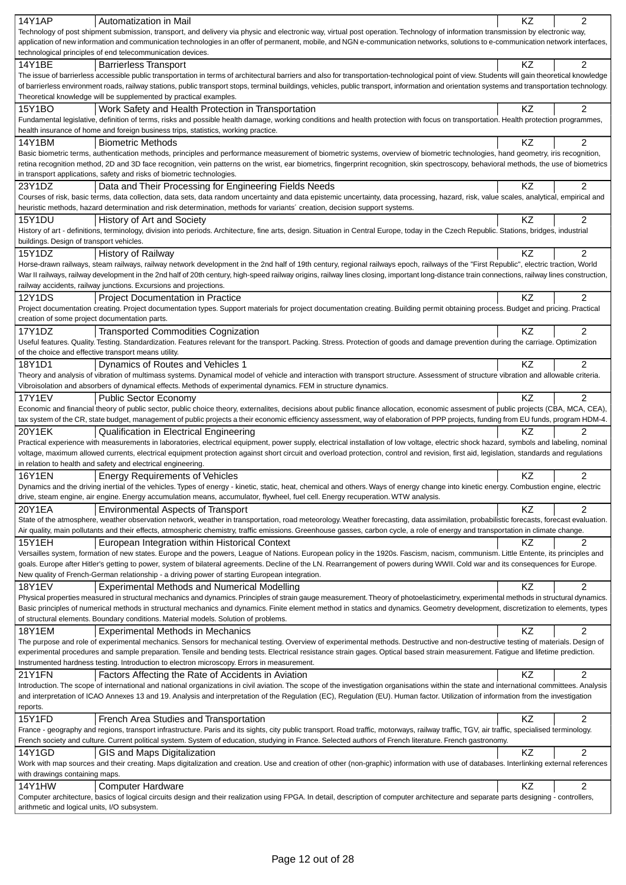| <b>14Y1AP</b><br>Automatization in Mail                                                                                                                                                                                                                                                                                                                                                   | KZ        | $\overline{2}$ |
|-------------------------------------------------------------------------------------------------------------------------------------------------------------------------------------------------------------------------------------------------------------------------------------------------------------------------------------------------------------------------------------------|-----------|----------------|
| Technology of post shipment submission, transport, and delivery via physic and electronic way, virtual post operation. Technology of information transmission by electronic way,                                                                                                                                                                                                          |           |                |
| application of new information and communication technologies in an offer of permanent, mobile, and NGN e-communication networks, solutions to e-communication network interfaces,                                                                                                                                                                                                        |           |                |
| technological principles of end telecommunication devices.                                                                                                                                                                                                                                                                                                                                |           |                |
| 14Y1BE<br><b>Barrierless Transport</b><br>The issue of barrierless accessible public transportation in terms of architectural barriers and also for transportation-technological point of view. Students will gain theoretical knowledge                                                                                                                                                  | KZ        | $\overline{2}$ |
| of barrierless environment roads, railway stations, public transport stops, terminal buildings, vehicles, public transport, information and orientation systems and transportation technology.                                                                                                                                                                                            |           |                |
| Theoretical knowledge will be supplemented by practical examples.                                                                                                                                                                                                                                                                                                                         |           |                |
| 15Y1BO<br>Work Safety and Health Protection in Transportation                                                                                                                                                                                                                                                                                                                             | KZ        | 2              |
| Fundamental legislative, definition of terms, risks and possible health damage, working conditions and health protection with focus on transportation. Health protection programmes,                                                                                                                                                                                                      |           |                |
| health insurance of home and foreign business trips, statistics, working practice.                                                                                                                                                                                                                                                                                                        |           |                |
| 14Y1BM<br><b>Biometric Methods</b>                                                                                                                                                                                                                                                                                                                                                        | <b>KZ</b> | 2              |
| Basic biometric terms, authentication methods, principles and performance measurement of biometric systems, overview of biometric technologies, hand geometry, iris recognition,<br>retina recognition method, 2D and 3D face recognition, vein patterns on the wrist, ear biometrics, fingerprint recognition, skin spectroscopy, behavioral methods, the use of biometrics              |           |                |
| in transport applications, safety and risks of biometric technologies.                                                                                                                                                                                                                                                                                                                    |           |                |
| 23Y1DZ<br>Data and Their Processing for Engineering Fields Needs                                                                                                                                                                                                                                                                                                                          | KZ        | 2              |
| Courses of risk, basic terms, data collection, data sets, data random uncertainty and data epistemic uncertainty, data processing, hazard, risk, value scales, analytical, empirical and                                                                                                                                                                                                  |           |                |
| heuristic methods, hazard determination and risk determination, methods for variants' creation, decision support systems.                                                                                                                                                                                                                                                                 |           |                |
| <b>15Y1DU</b><br>History of Art and Society                                                                                                                                                                                                                                                                                                                                               | KZ        | $\overline{2}$ |
| History of art - definitions, terminology, division into periods. Architecture, fine arts, design. Situation in Central Europe, today in the Czech Republic. Stations, bridges, industrial                                                                                                                                                                                                |           |                |
| buildings. Design of transport vehicles.                                                                                                                                                                                                                                                                                                                                                  |           |                |
| 15Y1DZ<br><b>History of Railway</b>                                                                                                                                                                                                                                                                                                                                                       | KZ        | $\overline{2}$ |
| Horse-drawn railways, steam railways, railway network development in the 2nd half of 19th century, regional railways epoch, railways of the "First Republic", electric traction, World<br>War II railways, railway development in the 2nd half of 20th century, high-speed railway origins, railway lines closing, important long-distance train connections, railway lines construction, |           |                |
| railway accidents, railway junctions. Excursions and projections.                                                                                                                                                                                                                                                                                                                         |           |                |
| <b>12Y1DS</b><br><b>Project Documentation in Practice</b>                                                                                                                                                                                                                                                                                                                                 | ΚZ        | $\overline{2}$ |
| Project documentation creating. Project documentation types. Support materials for project documentation creating. Building permit obtaining process. Budget and pricing. Practical                                                                                                                                                                                                       |           |                |
| creation of some project documentation parts.                                                                                                                                                                                                                                                                                                                                             |           |                |
| <b>Transported Commodities Cognization</b><br>17Y1DZ                                                                                                                                                                                                                                                                                                                                      | KZ        | 2              |
| Useful features. Quality. Testing. Standardization. Features relevant for the transport. Packing. Stress. Protection of goods and damage prevention during the carriage. Optimization                                                                                                                                                                                                     |           |                |
| of the choice and effective transport means utility.                                                                                                                                                                                                                                                                                                                                      |           |                |
| 18Y1D1<br>Dynamics of Routes and Vehicles 1                                                                                                                                                                                                                                                                                                                                               | KZ        | $\overline{2}$ |
| Theory and analysis of vibration of multimass systems. Dynamical model of vehicle and interaction with transport structure. Assessment of structure vibration and allowable criteria.<br>Vibroisolation and absorbers of dynamical effects. Methods of experimental dynamics. FEM in structure dynamics.                                                                                  |           |                |
| <b>17Y1EV</b><br><b>Public Sector Economy</b>                                                                                                                                                                                                                                                                                                                                             | KZ        | $\overline{2}$ |
| Economic and financial theory of public sector, public choice theory, externalites, decisions about public finance allocation, economic assesment of public projects (CBA, MCA, CEA),                                                                                                                                                                                                     |           |                |
| tax system of the CR, state budget, management of public projects a their economic efficiency assessment, way of elaboration of PPP projects, funding from EU funds, program HDM-4.                                                                                                                                                                                                       |           |                |
| 20Y1EK<br><b>Qualification in Electrical Engineering</b>                                                                                                                                                                                                                                                                                                                                  | ΚZ        | $\overline{2}$ |
| Practical experience with measurements in laboratories, electrical equipment, power supply, electrical installation of low voltage, electric shock hazard, symbols and labeling, nominal                                                                                                                                                                                                  |           |                |
| voltage, maximum allowed currents, electrical equipment protection against short circuit and overload protection, control and revision, first aid, legislation, standards and regulations                                                                                                                                                                                                 |           |                |
| in relation to health and safety and electrical engineering.                                                                                                                                                                                                                                                                                                                              |           |                |
| <b>16Y1EN</b><br><b>Energy Requirements of Vehicles</b><br>Dynamics and the driving inertial of the vehicles. Types of energy - kinetic, static, heat, chemical and others. Ways of energy change into kinetic energy. Combustion engine, electric                                                                                                                                        | KZ        | 2              |
| drive, steam engine, air engine. Energy accumulation means, accumulator, flywheel, fuel cell. Energy recuperation. WTW analysis.                                                                                                                                                                                                                                                          |           |                |
| 20Y1EA<br><b>Environmental Aspects of Transport</b>                                                                                                                                                                                                                                                                                                                                       | KZ        | $\overline{2}$ |
| State of the atmosphere, weather observation network, weather in transportation, road meteorology. Weather forecasting, data assimilation, probabilistic forecasts, forecast evaluation.                                                                                                                                                                                                  |           |                |
| Air quality, main pollutants and their effects, atmospheric chemistry, traffic emissions. Greenhouse gasses, carbon cycle, a role of energy and transportation in climate change.                                                                                                                                                                                                         |           |                |
| <b>15Y1EH</b><br>European Integration within Historical Context                                                                                                                                                                                                                                                                                                                           | ΚZ        | 2              |
| Versailles system, formation of new states. Europe and the powers, League of Nations. European policy in the 1920s. Fascism, nacism, communism. Little Entente, its principles and                                                                                                                                                                                                        |           |                |
| goals. Europe after Hitler's getting to power, system of bilateral agreements. Decline of the LN. Rearrangement of powers during WWII. Cold war and its consequences for Europe.                                                                                                                                                                                                          |           |                |
| New quality of French-German relationship - a driving power of starting European integration.<br><b>Experimental Methods and Numerical Modelling</b><br>18Y1EV                                                                                                                                                                                                                            | KZ        | 2              |
| Physical properties measured in structural mechanics and dynamics. Principles of strain gauge measurement. Theory of photoelasticimetry, experimental methods in structural dynamics.                                                                                                                                                                                                     |           |                |
| Basic principles of numerical methods in structural mechanics and dynamics. Finite element method in statics and dynamics. Geometry development, discretization to elements, types                                                                                                                                                                                                        |           |                |
| of structural elements. Boundary conditions. Material models. Solution of problems.                                                                                                                                                                                                                                                                                                       |           |                |
| <b>18Y1EM</b><br><b>Experimental Methods in Mechanics</b>                                                                                                                                                                                                                                                                                                                                 |           | 2              |
| The purpose and role of experimental mechanics. Sensors for mechanical testing. Overview of experimental methods. Destructive and non-destructive testing of materials. Design of                                                                                                                                                                                                         | KZ        |                |
|                                                                                                                                                                                                                                                                                                                                                                                           |           |                |
| experimental procedures and sample preparation. Tensile and bending tests. Electrical resistance strain gages. Optical based strain measurement. Fatigue and lifetime prediction.                                                                                                                                                                                                         |           |                |
| Instrumented hardness testing. Introduction to electron microscopy. Errors in measurement.                                                                                                                                                                                                                                                                                                |           |                |
| 21Y1FN<br>Factors Affecting the Rate of Accidents in Aviation                                                                                                                                                                                                                                                                                                                             | KZ        | 2              |
| Introduction. The scope of international and national organizations in civil aviation. The scope of the investigation organisations within the state and international committees. Analysis                                                                                                                                                                                               |           |                |
| and interpretation of ICAO Annexes 13 and 19. Analysis and interpretation of the Regulation (EC), Regulation (EU). Human factor. Utilization of information from the investigation<br>reports.                                                                                                                                                                                            |           |                |
| 15Y1FD<br>French Area Studies and Transportation                                                                                                                                                                                                                                                                                                                                          | KZ        | 2              |
| France - geography and regions, transport infrastructure. Paris and its sights, city public transport. Road traffic, motorways, railway traffic, TGV, air traffic, specialised terminology.                                                                                                                                                                                               |           |                |
| French society and culture. Current political system. System of education, studying in France. Selected authors of French literature. French gastronomy.                                                                                                                                                                                                                                  |           |                |
| 14Y1GD<br>GIS and Maps Digitalization                                                                                                                                                                                                                                                                                                                                                     | KZ        | 2              |
| Work with map sources and their creating. Maps digitalization and creation. Use and creation of other (non-graphic) information with use of databases. Interlinking external references                                                                                                                                                                                                   |           |                |
| with drawings containing maps.                                                                                                                                                                                                                                                                                                                                                            |           |                |
| <b>14Y1HW</b><br><b>Computer Hardware</b><br>Computer architecture, basics of logical circuits design and their realization using FPGA. In detail, description of computer architecture and separate parts designing - controllers,                                                                                                                                                       | KZ        | 2              |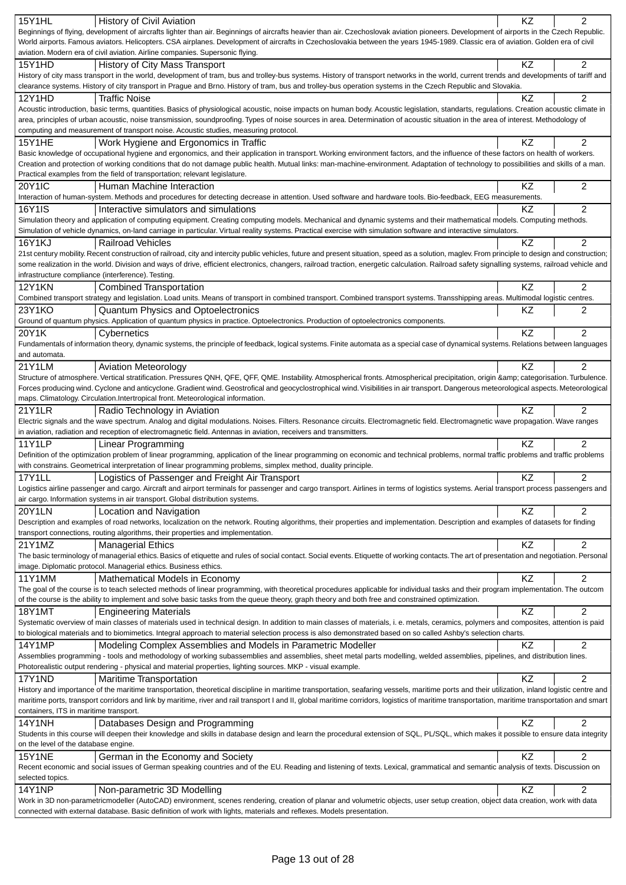|                                                                                                                                                                                                                                                                                                         | KZ        | 2              |
|---------------------------------------------------------------------------------------------------------------------------------------------------------------------------------------------------------------------------------------------------------------------------------------------------------|-----------|----------------|
| 15Y1HL<br>History of Civil Aviation                                                                                                                                                                                                                                                                     |           |                |
| Beginnings of flying, development of aircrafts lighter than air. Beginnings of aircrafts heavier than air. Czechoslovak aviation pioneers. Development of airports in the Czech Republic.                                                                                                               |           |                |
| World airports. Famous aviators. Helicopters. CSA airplanes. Development of aircrafts in Czechoslovakia between the years 1945-1989. Classic era of aviation. Golden era of civil                                                                                                                       |           |                |
| aviation. Modern era of civil aviation. Airline companies. Supersonic flying.                                                                                                                                                                                                                           |           |                |
| 15Y1HD<br>History of City Mass Transport                                                                                                                                                                                                                                                                | <b>KZ</b> | 2              |
| History of city mass transport in the world, development of tram, bus and trolley-bus systems. History of transport networks in the world, current trends and developments of tariff and                                                                                                                |           |                |
| clearance systems. History of city transport in Prague and Brno. History of tram, bus and trolley-bus operation systems in the Czech Republic and Slovakia.                                                                                                                                             |           |                |
|                                                                                                                                                                                                                                                                                                         |           |                |
| 12Y1HD<br><b>Traffic Noise</b>                                                                                                                                                                                                                                                                          | KZ        | $\overline{2}$ |
| Acoustic introduction, basic terms, quantities. Basics of physiological acoustic, noise impacts on human body. Acoustic legislation, standarts, regulations. Creation acoustic climate in                                                                                                               |           |                |
| area, principles of urban acoustic, noise transmission, soundproofing. Types of noise sources in area. Determination of acoustic situation in the area of interest. Methodology of                                                                                                                      |           |                |
| computing and measurement of transport noise. Acoustic studies, measuring protocol.                                                                                                                                                                                                                     |           |                |
| <b>15Y1HE</b><br>Work Hygiene and Ergonomics in Traffic                                                                                                                                                                                                                                                 | KZ        | $\overline{2}$ |
| Basic knowledge of occupational hygiene and ergonomics, and their application in transport. Working environment factors, and the influence of these factors on health of workers.                                                                                                                       |           |                |
|                                                                                                                                                                                                                                                                                                         |           |                |
| Creation and protection of working conditions that do not damage public health. Mutual links: man-machine-environment. Adaptation of technology to possibilities and skills of a man.                                                                                                                   |           |                |
| Practical examples from the field of transportation; relevant legislature.                                                                                                                                                                                                                              |           |                |
| <b>20Y1IC</b><br>Human Machine Interaction                                                                                                                                                                                                                                                              | KZ        | 2              |
| Interaction of human-system. Methods and procedures for detecting decrease in attention. Used software and hardware tools. Bio-feedback, EEG measurements.                                                                                                                                              |           |                |
| 16Y1IS<br>Interactive simulators and simulations                                                                                                                                                                                                                                                        | ΚZ        | 2              |
| Simulation theory and application of computing equipment. Creating computing models. Mechanical and dynamic systems and their mathematical models. Computing methods.                                                                                                                                   |           |                |
|                                                                                                                                                                                                                                                                                                         |           |                |
| Simulation of vehicle dynamics, on-land carriage in particular. Virtual reality systems. Practical exercise with simulation software and interactive simulators.                                                                                                                                        |           |                |
| <b>16Y1KJ</b><br><b>Railroad Vehicles</b>                                                                                                                                                                                                                                                               | KZ        | $\overline{2}$ |
| 21st century mobility. Recent construction of railroad, city and intercity public vehicles, future and present situation, speed as a solution, maglev. From principle to design and construction;                                                                                                       |           |                |
| some realization in the world. Division and ways of drive, efficient electronics, changers, railroad traction, energetic calculation. Railroad safety signalling systems, railroad vehicle and                                                                                                          |           |                |
| infrastructure compliance (interference). Testing.                                                                                                                                                                                                                                                      |           |                |
|                                                                                                                                                                                                                                                                                                         |           |                |
| <b>12Y1KN</b><br><b>Combined Transportation</b>                                                                                                                                                                                                                                                         | KZ        | 2              |
| Combined transport strategy and legislation. Load units. Means of transport in combined transport. Combined transport systems. Transshipping areas. Multimodal logistic centres.                                                                                                                        |           |                |
| 23Y1KO<br><b>Quantum Physics and Optoelectronics</b>                                                                                                                                                                                                                                                    | ΚZ        | 2              |
| Ground of quantum physics. Application of quantum physics in practice. Optoelectronics. Production of optoelectronics components.                                                                                                                                                                       |           |                |
| 20Y1K<br>Cybernetics                                                                                                                                                                                                                                                                                    | KZ        | $\overline{2}$ |
|                                                                                                                                                                                                                                                                                                         |           |                |
| Fundamentals of information theory, dynamic systems, the principle of feedback, logical systems. Finite automata as a special case of dynamical systems. Relations between languages                                                                                                                    |           |                |
| and automata.                                                                                                                                                                                                                                                                                           |           |                |
| 21Y1LM<br><b>Aviation Meteorology</b>                                                                                                                                                                                                                                                                   | KZ        | 2              |
| Structure of atmosphere. Vertical stratification. Pressures QNH, QFE, QFF, QME. Instability. Atmospherical fronts. Atmospherical precipitation, origin & categorisation. Turbulence.                                                                                                                    |           |                |
| Forces producing wind. Cyclone and anticyclone. Gradient wind. Geostrofical and geocyclostrophical wind. Visibilities in air transport. Dangerous meteorological aspects. Meteorological                                                                                                                |           |                |
|                                                                                                                                                                                                                                                                                                         |           |                |
| maps. Climatology. Circulation. Intertropical front. Meteorological information.                                                                                                                                                                                                                        |           |                |
| 21Y1LR<br>Radio Technology in Aviation                                                                                                                                                                                                                                                                  | ΚZ        | 2              |
| Electric signals and the wave spectrum. Analog and digital modulations. Noises. Filters. Resonance circuits. Electromagnetic field. Electromagnetic wave propagation. Wave ranges                                                                                                                       |           |                |
| in aviation, radiation and reception of electromagnetic field. Antennas in aviation, receivers and transmitters.                                                                                                                                                                                        |           |                |
| 11Y1LP<br>Linear Programming                                                                                                                                                                                                                                                                            | KZ        | $\overline{2}$ |
|                                                                                                                                                                                                                                                                                                         |           |                |
| Definition of the optimization problem of linear programming, application of the linear programming on economic and technical problems, normal traffic problems and traffic problems                                                                                                                    |           |                |
| with constrains. Geometrical interpretation of linear programming problems, simplex method, duality principle.                                                                                                                                                                                          |           |                |
| <b>17Y1LL</b><br>Logistics of Passenger and Freight Air Transport                                                                                                                                                                                                                                       | <b>KZ</b> | 2              |
| Logistics airline passenger and cargo. Aircraft and airport terminals for passenger and cargo transport. Airlines in terms of logistics systems. Aerial transport process passengers and                                                                                                                |           |                |
| air cargo. Information systems in air transport. Global distribution systems.                                                                                                                                                                                                                           |           |                |
|                                                                                                                                                                                                                                                                                                         |           |                |
| 20Y1LN<br>Location and Navigation                                                                                                                                                                                                                                                                       | KZ        | 2              |
| Description and examples of road networks, localization on the network. Routing algorithms, their properties and implementation. Description and examples of datasets for finding                                                                                                                       |           |                |
| transport connections, routing algorithms, their properties and implementation.                                                                                                                                                                                                                         |           |                |
| 21Y1MZ<br><b>Managerial Ethics</b>                                                                                                                                                                                                                                                                      | KZ        | $\overline{2}$ |
| The basic terminology of managerial ethics. Basics of etiquette and rules of social contact. Social events. Etiquette of working contacts. The art of presentation and negotiation. Personal                                                                                                            |           |                |
|                                                                                                                                                                                                                                                                                                         |           |                |
|                                                                                                                                                                                                                                                                                                         |           |                |
| image. Diplomatic protocol. Managerial ethics. Business ethics.                                                                                                                                                                                                                                         |           |                |
| 11Y1MM<br>Mathematical Models in Economy                                                                                                                                                                                                                                                                | KZ        | $\overline{2}$ |
| The goal of the course is to teach selected methods of linear programming, with theoretical procedures applicable for individual tasks and their program implementation. The outcom                                                                                                                     |           |                |
| of the course is the ability to implement and solve basic tasks from the queue theory, graph theory and both free and constrained optimization.                                                                                                                                                         |           |                |
|                                                                                                                                                                                                                                                                                                         |           |                |
| <b>18Y1MT</b><br><b>Engineering Materials</b>                                                                                                                                                                                                                                                           | KZ        | 2              |
| Systematic overview of main classes of materials used in technical design. In addition to main classes of materials, i. e. metals, ceramics, polymers and composites, attention is paid                                                                                                                 |           |                |
| to biological materials and to biomimetics. Integral approach to material selection process is also demonstrated based on so called Ashby's selection charts.                                                                                                                                           |           |                |
| <b>14Y1MP</b><br>Modeling Complex Assemblies and Models in Parametric Modeller                                                                                                                                                                                                                          | ΚZ        | 2              |
|                                                                                                                                                                                                                                                                                                         |           |                |
| Assemblies programming - tools and methodology of working subassemblies and assemblies, sheet metal parts modelling, welded assemblies, pipelines, and distribution lines.                                                                                                                              |           |                |
| Photorealistic output rendering - physical and material properties, lighting sources. MKP - visual example.                                                                                                                                                                                             |           |                |
| 17Y1ND<br><b>Maritime Transportation</b>                                                                                                                                                                                                                                                                | <b>KZ</b> | $\overline{c}$ |
| History and importance of the maritime transportation, theoretical discipline in maritime transportation, seafaring vessels, maritime ports and their utilization, inland logistic centre and                                                                                                           |           |                |
| maritime ports, transport corridors and link by maritime, river and rail transport I and II, global maritime corridors, logistics of maritime transportation, maritime transportation and smart                                                                                                         |           |                |
| containers, ITS in maritime transport.                                                                                                                                                                                                                                                                  |           |                |
|                                                                                                                                                                                                                                                                                                         | ΚZ        |                |
| <b>14Y1NH</b><br>Databases Design and Programming                                                                                                                                                                                                                                                       |           | 2              |
| Students in this course will deepen their knowledge and skills in database design and learn the procedural extension of SQL, PL/SQL, which makes it possible to ensure data integrity                                                                                                                   |           |                |
| on the level of the database engine.                                                                                                                                                                                                                                                                    |           |                |
| <b>15Y1NE</b><br>German in the Economy and Society                                                                                                                                                                                                                                                      | KZ        | 2              |
| Recent economic and social issues of German speaking countries and of the EU. Reading and listening of texts. Lexical, grammatical and semantic analysis of texts. Discussion on                                                                                                                        |           |                |
| selected topics.                                                                                                                                                                                                                                                                                        |           |                |
|                                                                                                                                                                                                                                                                                                         |           |                |
| <b>14Y1NP</b><br>Non-parametric 3D Modelling                                                                                                                                                                                                                                                            | KZ        | $\overline{2}$ |
| Work in 3D non-parametricmodeller (AutoCAD) environment, scenes rendering, creation of planar and volumetric objects, user setup creation, object data creation, work with data<br>connected with external database. Basic definition of work with lights, materials and reflexes. Models presentation. |           |                |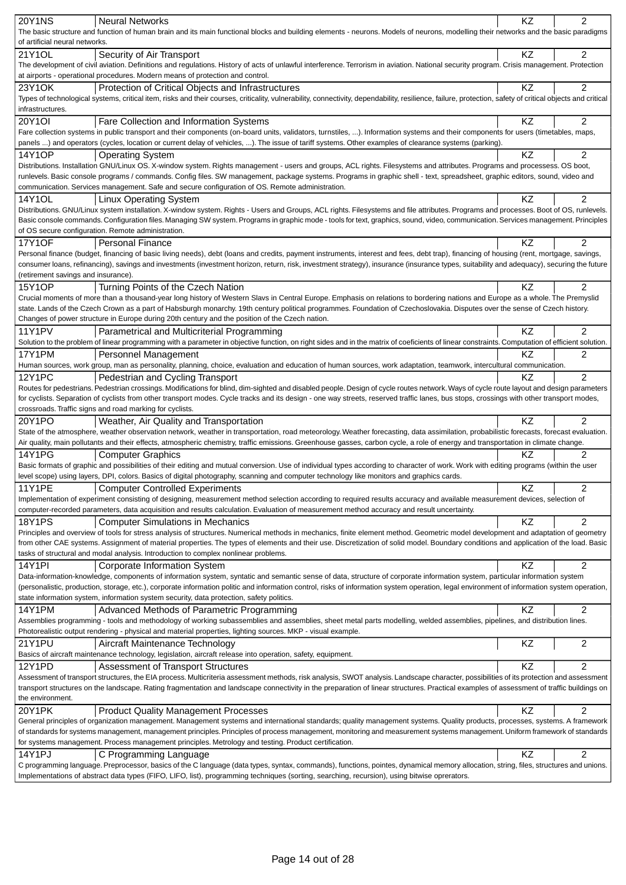| <b>20Y1NS</b><br><b>Neural Networks</b>                                                                                                                                                                                                                                      | KZ        | 2              |
|------------------------------------------------------------------------------------------------------------------------------------------------------------------------------------------------------------------------------------------------------------------------------|-----------|----------------|
| The basic structure and function of human brain and its main functional blocks and building elements - neurons. Models of neurons, modelling their networks and the basic paradigms                                                                                          |           |                |
| of artificial neural networks.                                                                                                                                                                                                                                               |           |                |
| 21Y1OL<br>Security of Air Transport                                                                                                                                                                                                                                          | KZ        | 2              |
| The development of civil aviation. Definitions and regulations. History of acts of unlawful interference. Terrorism in aviation. National security program. Crisis management. Protection                                                                                    |           |                |
| at airports - operational procedures. Modern means of protection and control.                                                                                                                                                                                                |           |                |
| 23Y1OK<br>Protection of Critical Objects and Infrastructures                                                                                                                                                                                                                 | KZ        | $\overline{2}$ |
| Types of technological systems, critical item, risks and their courses, criticality, vulnerability, connectivity, dependability, resilience, failure, protection, safety of critical objects and critical<br>infrastructures.                                                |           |                |
| 20Y1OI<br>Fare Collection and Information Systems                                                                                                                                                                                                                            | KZ        | $\overline{2}$ |
| Fare collection systems in public transport and their components (on-board units, validators, turnstiles, ). Information systems and their components for users (timetables, maps,                                                                                           |           |                |
| panels ) and operators (cycles, location or current delay of vehicles, ). The issue of tariff systems. Other examples of clearance systems (parking).                                                                                                                        |           |                |
| 14Y1OP<br><b>Operating System</b>                                                                                                                                                                                                                                            | KZ        | 2              |
| Distributions. Installation GNU/Linux OS. X-window system. Rights management - users and groups, ACL rights. Filesystems and attributes. Programs and processess. OS boot,                                                                                                   |           |                |
| runlevels. Basic console programs / commands. Config files. SW management, package systems. Programs in graphic shell - text, spreadsheet, graphic editors, sound, video and                                                                                                 |           |                |
| communication. Services management. Safe and secure configuration of OS. Remote administration.                                                                                                                                                                              |           |                |
| 14Y1OL<br><b>Linux Operating System</b>                                                                                                                                                                                                                                      | ΚZ        | 2              |
| Distributions. GNU/Linux system installation. X-window system. Rights - Users and Groups, ACL rights. Filesystems and file attributes. Programs and processes. Boot of OS, runlevels.                                                                                        |           |                |
| Basic console commands. Configuration files. Managing SW system. Programs in graphic mode - tools for text, graphics, sound, video, communication. Services management. Principles                                                                                           |           |                |
| of OS secure configuration. Remote administration.                                                                                                                                                                                                                           |           |                |
| <b>17Y1OF</b><br><b>Personal Finance</b><br>Personal finance (budget, financing of basic living needs), debt (loans and credits, payment instruments, interest and fees, debt trap), financing of housing (rent, mortgage, savings,                                          | KZ        | 2              |
| consumer loans, refinancing), savings and investments (investment horizon, return, risk, investment strategy), insurance (insurance types, suitability and adequacy), securing the future                                                                                    |           |                |
| (retirement savings and insurance).                                                                                                                                                                                                                                          |           |                |
| 15Y1OP<br>Turning Points of the Czech Nation                                                                                                                                                                                                                                 | KZ        | 2              |
| Crucial moments of more than a thousand-year long history of Western Slavs in Central Europe. Emphasis on relations to bordering nations and Europe as a whole. The Premyslid                                                                                                |           |                |
| state. Lands of the Czech Crown as a part of Habsburgh monarchy. 19th century political programmes. Foundation of Czechoslovakia. Disputes over the sense of Czech history.                                                                                                  |           |                |
| Changes of power structure in Europe during 20th century and the position of the Czech nation.                                                                                                                                                                               |           |                |
| <b>11Y1PV</b><br>Parametrical and Multicriterial Programming                                                                                                                                                                                                                 | KZ        | 2              |
| Solution to the problem of linear programming with a parameter in objective function, on right sides and in the matrix of coeficients of linear constraints. Computation of efficient solution.                                                                              |           |                |
| 17Y1PM<br>Personnel Management                                                                                                                                                                                                                                               | KZ        | 2              |
| Human sources, work group, man as personality, planning, choice, evaluation and education of human sources, work adaptation, teamwork, intercultural communication.                                                                                                          |           |                |
| <b>12Y1PC</b><br>Pedestrian and Cycling Transport                                                                                                                                                                                                                            | KZ        | $\overline{2}$ |
| Routes for pedestrians. Pedestrian crossings. Modifications for blind, dim-sighted and disabled people. Design of cycle routes network. Ways of cycle route layout and design parameters                                                                                     |           |                |
| for cyclists. Separation of cyclists from other transport modes. Cycle tracks and its design - one way streets, reserved traffic lanes, bus stops, crossings with other transport modes,<br>crossroads. Traffic signs and road marking for cyclists.                         |           |                |
| 20Y1PO<br>Weather, Air Quality and Transportation                                                                                                                                                                                                                            | <b>KZ</b> | $\overline{2}$ |
| State of the atmosphere, weather observation network, weather in transportation, road meteorology. Weather forecasting, data assimilation, probabilistic forecasts, forecast evaluation.                                                                                     |           |                |
| Air quality, main pollutants and their effects, atmospheric chemistry, traffic emissions. Greenhouse gasses, carbon cycle, a role of energy and transportation in climate change.                                                                                            |           |                |
| 14Y1PG<br><b>Computer Graphics</b>                                                                                                                                                                                                                                           | KZ        | 2              |
| Basic formats of graphic and possibilities of their editing and mutual conversion. Use of individual types according to character of work. Work with editing programs (within the user                                                                                       |           |                |
| level scope) using layers, DPI, colors. Basics of digital photography, scanning and computer technology like monitors and graphics cards.                                                                                                                                    |           |                |
| <b>Computer Controlled Experiments</b><br>11Y1PE                                                                                                                                                                                                                             | KZ        |                |
| Implementation of experiment consisting of designing, measurement method selection according to required results accuracy and available measurement devices, selection of                                                                                                    |           |                |
| computer-recorded parameters, data acquisition and results calculation. Evaluation of measurement method accuracy and result uncertainty.                                                                                                                                    |           |                |
| <b>18Y1PS</b><br><b>Computer Simulations in Mechanics</b>                                                                                                                                                                                                                    | KZ        | $\overline{2}$ |
| Principles and overview of tools for stress analysis of structures. Numerical methods in mechanics, finite element method. Geometric model development and adaptation of geometry                                                                                            |           |                |
| from other CAE systems. Assignment of material properties. The types of elements and their use. Discretization of solid model. Boundary conditions and application of the load. Basic<br>tasks of structural and modal analysis. Introduction to complex nonlinear problems. |           |                |
| <b>14Y1PI</b>                                                                                                                                                                                                                                                                | KZ        | $\overline{c}$ |
| Corporate Information System<br>Data-information-knowledge, components of information system, syntatic and semantic sense of data, structure of corporate information system, particular information system                                                                  |           |                |
| (personalistic, production, storage, etc.), corporate information politic and information control, risks of information system operation, legal environment of information system operation,                                                                                 |           |                |
| state information system, information system security, data protection, safety politics.                                                                                                                                                                                     |           |                |
| Advanced Methods of Parametric Programming<br>14Y1PM                                                                                                                                                                                                                         | KZ        | 2              |
| Assemblies programming - tools and methodology of working subassemblies and assemblies, sheet metal parts modelling, welded assemblies, pipelines, and distribution lines.                                                                                                   |           |                |
| Photorealistic output rendering - physical and material properties, lighting sources. MKP - visual example.                                                                                                                                                                  |           |                |
| 21Y1PU<br>Aircraft Maintenance Technology                                                                                                                                                                                                                                    | KZ        | $\overline{c}$ |
| Basics of aircraft maintenance technology, legislation, aircraft release into operation, safety, equipment.                                                                                                                                                                  |           |                |
| 12Y1PD<br><b>Assessment of Transport Structures</b>                                                                                                                                                                                                                          | KZ        | $\overline{c}$ |
| Assessment of transport structures, the EIA process. Multicriteria assessment methods, risk analysis, SWOT analysis. Landscape character, possibilities of its protection and assessment                                                                                     |           |                |
| transport structures on the landscape. Rating fragmentation and landscape connectivity in the preparation of linear structures. Practical examples of assessment of traffic buildings on                                                                                     |           |                |
| the environment.                                                                                                                                                                                                                                                             |           |                |
| 20Y1PK<br><b>Product Quality Management Processes</b><br>General principles of organization management. Management systems and international standards; quality management systems. Quality products, processes, systems. A framework                                        | KZ        | 2              |
| of standards for systems management, management principles. Principles of process management, monitoring and measurement systems management. Uniform framework of standards                                                                                                  |           |                |
| for systems management. Process management principles. Metrology and testing. Product certification.                                                                                                                                                                         |           |                |
| 14Y1PJ<br>C Programming Language                                                                                                                                                                                                                                             | KZ        | 2              |
| C programming language. Preprocessor, basics of the C language (data types, syntax, commands), functions, pointes, dynamical memory allocation, string, files, structures and unions.                                                                                        |           |                |
| Implementations of abstract data types (FIFO, LIFO, list), programming techniques (sorting, searching, recursion), using bitwise oprerators.                                                                                                                                 |           |                |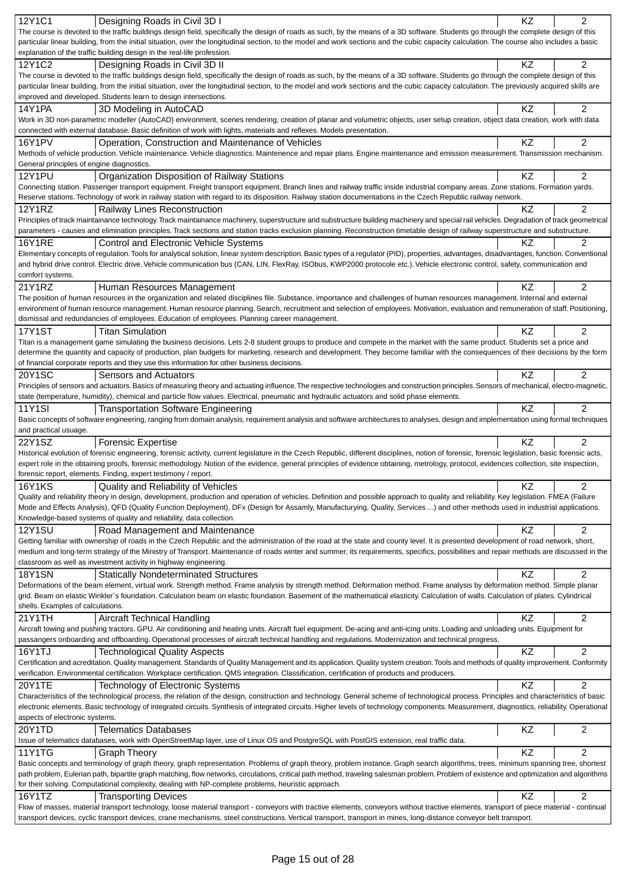| 12Y1C1                                    | Designing Roads in Civil 3D I                                                                                                                                                                                                                                                                                                                                                         | KZ        | $\overline{2}$ |
|-------------------------------------------|---------------------------------------------------------------------------------------------------------------------------------------------------------------------------------------------------------------------------------------------------------------------------------------------------------------------------------------------------------------------------------------|-----------|----------------|
|                                           | The course is devoted to the traffic buildings design field, specifically the design of roads as such, by the means of a 3D software. Students go through the complete design of this                                                                                                                                                                                                 |           |                |
|                                           | particular linear building, from the initial situation, over the longitudinal section, to the model and work sections and the cubic capacity calculation. The course also includes a basic                                                                                                                                                                                            |           |                |
|                                           | explanation of the traffic building design in the real-life profession.                                                                                                                                                                                                                                                                                                               |           |                |
| 12Y1C2                                    | Designing Roads in Civil 3D II                                                                                                                                                                                                                                                                                                                                                        | KZ        | $\overline{2}$ |
|                                           | The course is devoted to the traffic buildings design field, specifically the design of roads as such, by the means of a 3D software. Students go through the complete design of this                                                                                                                                                                                                 |           |                |
|                                           | particular linear building, from the initial situation, over the longitudinal section, to the model and work sections and the cubic capacity calculation. The previously acquired skills are                                                                                                                                                                                          |           |                |
|                                           | improved and developed. Students learn to design intersections.                                                                                                                                                                                                                                                                                                                       |           |                |
| 14Y1PA                                    | 3D Modeling in AutoCAD                                                                                                                                                                                                                                                                                                                                                                | KZ        | $\overline{2}$ |
|                                           | Work in 3D non-parametric modeller (AutoCAD) environment, scenes rendering, creation of planar and volumetric objects, user setup creation, object data creation, work with data                                                                                                                                                                                                      |           |                |
|                                           | connected with external database. Basic definition of work with lights, materials and reflexes. Models presentation.                                                                                                                                                                                                                                                                  |           |                |
| <b>16Y1PV</b>                             | Operation, Construction and Maintenance of Vehicles                                                                                                                                                                                                                                                                                                                                   | KZ        | $\overline{2}$ |
|                                           | Methods of vehicle production. Vehicle maintenance. Vehicle diagnostics. Maintenence and repair plans. Engine maintenance and emission measurement. Transmission mechanism.                                                                                                                                                                                                           |           |                |
| General principles of engine diagnostics. |                                                                                                                                                                                                                                                                                                                                                                                       |           |                |
| <b>12Y1PU</b>                             | Organization Disposition of Railway Stations                                                                                                                                                                                                                                                                                                                                          | KZ        | $\overline{2}$ |
|                                           | Connecting station. Passenger transport equipment. Freight transport equipment. Branch lines and railway traffic inside industrial company areas. Zone stations. Formation yards.                                                                                                                                                                                                     |           |                |
|                                           | Reserve stations. Technology of work in railway station with regard to its disposition. Railway station documentations in the Czech Republic railway network.                                                                                                                                                                                                                         |           |                |
| 12Y1RZ                                    | Railway Lines Reconstruction                                                                                                                                                                                                                                                                                                                                                          | KZ        | 2              |
|                                           | Principles of track maintainance technology. Track maintainance machinery, superstructure and substructure building machinery and special rail vehicles. Degradation of track geometrical                                                                                                                                                                                             |           |                |
|                                           | parameters - causes and elimination principles. Track sections and station tracks exclusion planning. Reconstruction timetable design of railway superstructure and substructure.                                                                                                                                                                                                     |           |                |
| <b>16Y1RE</b>                             | Control and Electronic Vehicle Systems                                                                                                                                                                                                                                                                                                                                                | ΚZ        | 2              |
|                                           | Elementary concepts of regulation. Tools for analytical solution, linear system description. Basic types of a regulator (PID), properties, advantages, disadvantages, function. Conventional                                                                                                                                                                                          |           |                |
|                                           | and hybrid drive control. Electric drive. Vehicle communication bus (CAN, LIN, FlexRay, ISObus, KWP2000 protocole etc.). Vehicle electronic control, safety, communication and                                                                                                                                                                                                        |           |                |
| comfort systems.                          |                                                                                                                                                                                                                                                                                                                                                                                       |           |                |
| 21Y1RZ                                    | Human Resources Management                                                                                                                                                                                                                                                                                                                                                            | KZ        | 2              |
|                                           | The position of human resources in the organization and related disciplines file. Substance, importance and challenges of human resources management. Internal and external                                                                                                                                                                                                           |           |                |
|                                           | environment of human resource management. Human resource planning. Search, recruitment and selection of employees. Motivation, evaluation and remuneration of staff. Positioning,                                                                                                                                                                                                     |           |                |
|                                           | dismissal and redundancies of employees. Education of employees. Planning career management.                                                                                                                                                                                                                                                                                          |           |                |
| <b>17Y1ST</b>                             | <b>Titan Simulation</b>                                                                                                                                                                                                                                                                                                                                                               | ΚZ        | 2              |
|                                           | Titan is a management game simulating the business decisions. Lets 2-8 student groups to produce and compete in the market with the same product. Students set a price and                                                                                                                                                                                                            |           |                |
|                                           | determine the quantity and capacity of production, plan budgets for marketing, research and development. They become familiar with the consequences of their decisions by the form                                                                                                                                                                                                    |           |                |
|                                           | of financial corporate reports and they use this information for other business decisions.                                                                                                                                                                                                                                                                                            |           |                |
| 20Y1SC                                    | Sensors and Actuators                                                                                                                                                                                                                                                                                                                                                                 | KZ        | $\overline{2}$ |
|                                           | Principles of sensors and actuators. Basics of measuring theory and actuating influence. The respective technologies and construction principles. Sensors of mechanical, electro-magnetic,                                                                                                                                                                                            |           |                |
|                                           | state (temperature, humidity), chemical and particle flow values. Electrical, pneumatic and hydraulic actuators and solid phase elements.                                                                                                                                                                                                                                             |           |                |
| <b>11Y1SI</b>                             | <b>Transportation Software Engineering</b>                                                                                                                                                                                                                                                                                                                                            | <b>KZ</b> | 2              |
|                                           | Basic concepts of software engineering, ranging from domain analysis, requirement analysis and software architectures to analyses, design and implementation using formal techniques                                                                                                                                                                                                  |           |                |
| and practical usuage.                     |                                                                                                                                                                                                                                                                                                                                                                                       |           |                |
| 22Y1SZ                                    | <b>Forensic Expertise</b>                                                                                                                                                                                                                                                                                                                                                             | KZ        | $\overline{2}$ |
|                                           | Historical evolution of forensic engineering, forensic activity, current legislature in the Czech Republic, different disciplines, notion of forensic, forensic legislation, basic forensic acts,                                                                                                                                                                                     |           |                |
|                                           | expert role in the obtaining proofs, forensic methodology. Notion of the evidence, general principles of evidence obtaining, metrology, protocol, evidences collection, site inspection,                                                                                                                                                                                              |           |                |
|                                           | forensic report, elements. Finding, expert testimony / report.                                                                                                                                                                                                                                                                                                                        |           |                |
| <b>16Y1KS</b>                             | Quality and Reliability of Vehicles                                                                                                                                                                                                                                                                                                                                                   | KZ        | 2              |
|                                           | Quality and reliability theory in design, development, production and operation of vehicles. Definition and possible approach to quality and reliability. Key legislation. FMEA (Failure<br>Mode and Effects Analysis), QFD (Quality Function Deployment), DFx (Design for Assamly, Manufacturying, Quality, Services ) and other methods used in industrial applications.            |           |                |
|                                           | Knowledge-based systems of quality and reliability, data collection.                                                                                                                                                                                                                                                                                                                  |           |                |
|                                           |                                                                                                                                                                                                                                                                                                                                                                                       |           |                |
| <b>12Y1SU</b>                             | Road Management and Maintenance<br>Getting familiar with ownership of roads in the Czech Republic and the administration of the road at the state and county level. It is presented development of road network, short,                                                                                                                                                               | KZ.       | $\overline{2}$ |
|                                           | medium and long-term strategy of the Ministry of Transport. Maintenance of roads winter and summer, its requirements, specifics, possibilities and repair methods are discussed in the                                                                                                                                                                                                |           |                |
|                                           | classroom as well as investment activity in highway engineering.                                                                                                                                                                                                                                                                                                                      |           |                |
| <b>18Y1SN</b>                             |                                                                                                                                                                                                                                                                                                                                                                                       | KZ        | 2              |
|                                           | <b>Statically Nondeterminated Structures</b><br>Deformations of the beam element, virtual work. Strength method. Frame analysis by strength method. Deformation method. Frame analysis by deformation method. Simple planar                                                                                                                                                           |           |                |
|                                           | grid. Beam on elastic Winkler's foundation. Calculation beam on elastic foundation. Basement of the mathematical elasticity. Calculation of walls. Calculation of plates. Cylindrical                                                                                                                                                                                                 |           |                |
| shells. Examples of calculations.         |                                                                                                                                                                                                                                                                                                                                                                                       |           |                |
| 21Y1TH                                    | Aircraft Technical Handling                                                                                                                                                                                                                                                                                                                                                           | KZ.       | 2              |
|                                           | Aircraft towing and pushing tractors. GPU. Air conditioning and heating units. Aircraft fuel equipment. De-acing and anti-icing units. Loading and unloading units. Equipment for                                                                                                                                                                                                     |           |                |
|                                           | passangers onboarding and offboarding. Operational processes of aircraft technical handling and regulations. Modernization and technical progress.                                                                                                                                                                                                                                    |           |                |
| 16Y1TJ                                    |                                                                                                                                                                                                                                                                                                                                                                                       | KZ        | $\overline{2}$ |
|                                           | <b>Technological Quality Aspects</b><br>Certification and acreditation. Quality management. Standards of Quality Management and its application. Quality system creation. Tools and methods of quality improvement. Conformity                                                                                                                                                        |           |                |
|                                           | verification. Environmental certification. Workplace certification. QMS integration. Classification, certification of products and producers.                                                                                                                                                                                                                                         |           |                |
|                                           |                                                                                                                                                                                                                                                                                                                                                                                       |           | 2              |
| 20Y1TE                                    | Technology of Electronic Systems                                                                                                                                                                                                                                                                                                                                                      | KZ        |                |
|                                           | Characteristics of the technological process, the relation of the design, construction and technology. General scheme of technological process. Principles and characteristics of basic<br>electronic elements. Basic technology of integrated circuits. Synthesis of integrated circuits. Higher levels of technology components. Measurement, diagnostics, reliability. Operational |           |                |
| aspects of electronic systems.            |                                                                                                                                                                                                                                                                                                                                                                                       |           |                |
| 20Y1TD                                    | <b>Telematics Databases</b>                                                                                                                                                                                                                                                                                                                                                           | KZ        | 2              |
|                                           | Issue of telematics databases, work with OpenStreetMap layer, use of Linux OS and PostgreSQL with PostGIS extension, real traffic data.                                                                                                                                                                                                                                               |           |                |
| <b>11Y1TG</b>                             |                                                                                                                                                                                                                                                                                                                                                                                       | KZ        | $\overline{2}$ |
|                                           | <b>Graph Theory</b>                                                                                                                                                                                                                                                                                                                                                                   |           |                |
|                                           | Basic concepts and terminology of graph theory, graph representation. Problems of graph theory, problem instance. Graph search algorithms, trees, minimum spanning tree, shortest<br>path problem, Eulerian path, bipartite graph matching, flow networks, circulations, critical path method, traveling salesman problem. Problem of existence and optimization and algorithms       |           |                |
|                                           | for their solving. Computational complexity, dealing with NP-complete problems, heuristic approach.                                                                                                                                                                                                                                                                                   |           |                |
| 16Y1TZ                                    | <b>Transporting Devices</b>                                                                                                                                                                                                                                                                                                                                                           | KZ        | $\overline{2}$ |
|                                           | Flow of masses, material transport technology, loose material transport - conveyors with tractive elements, conveyors without tractive elements, transport of piece material - continual                                                                                                                                                                                              |           |                |
|                                           | transport devices, cyclic transport devices, crane mechanisms, steel constructions. Vertical transport, transport in mines, long-distance conveyor belt transport.                                                                                                                                                                                                                    |           |                |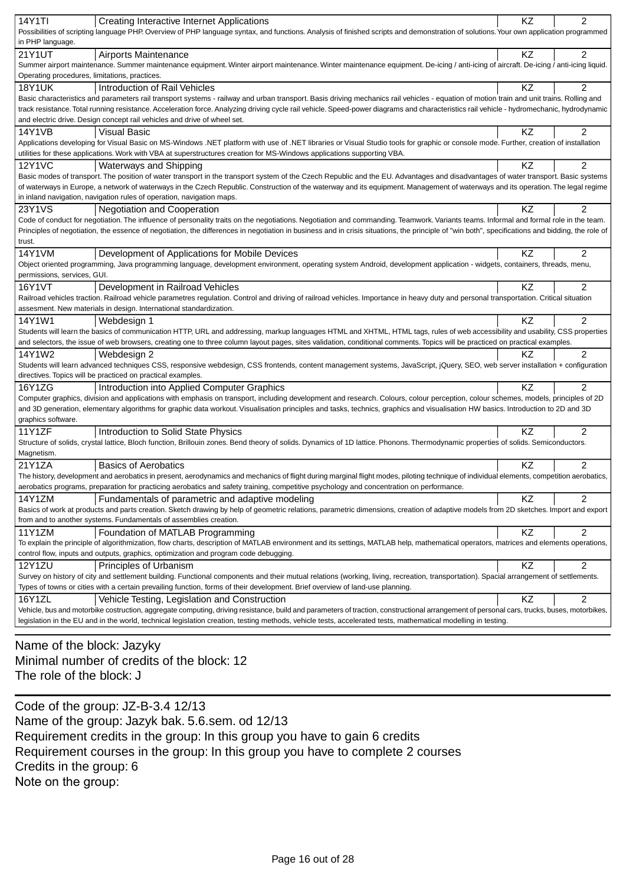| 14Y1TI<br>Creating Interactive Internet Applications                                                                                                                                             | KZ | $\overline{c}$ |
|--------------------------------------------------------------------------------------------------------------------------------------------------------------------------------------------------|----|----------------|
| Possibilities of scripting language PHP. Overview of PHP language syntax, and functions. Analysis of finished scripts and demonstration of solutions. Your own application programmed            |    |                |
| in PHP language.                                                                                                                                                                                 |    |                |
| 21Y1UT<br>Airports Maintenance                                                                                                                                                                   | KZ | $\overline{2}$ |
| Summer airport maintenance. Summer maintenance equipment. Winter airport maintenance. Winter maintenance equipment. De-icing / anti-icing of aircraft. De-icing / anti-icing liquid.             |    |                |
| Operating procedures, limitations, practices.                                                                                                                                                    |    |                |
| Introduction of Rail Vehicles<br><b>18Y1UK</b>                                                                                                                                                   | KZ | 2              |
| Basic characteristics and parameters rail transport systems - railway and urban transport. Basis driving mechanics rail vehicles - equation of motion train and unit trains. Rolling and         |    |                |
| track resistance. Total running resistance. Acceleration force. Analyzing driving cycle rail vehicle. Speed-power diagrams and characteristics rail vehicle - hydromechanic, hydrodynamic        |    |                |
| and electric drive. Design concept rail vehicles and drive of wheel set.                                                                                                                         |    |                |
| 14Y1VB<br><b>Visual Basic</b>                                                                                                                                                                    | ΚZ | 2              |
| Applications developing for Visual Basic on MS-Windows .NET platform with use of .NET libraries or Visual Studio tools for graphic or console mode. Further, creation of installation            |    |                |
| utilities for these applications. Work with VBA at superstructures creation for MS-Windows applications supporting VBA.                                                                          |    |                |
| <b>12Y1VC</b><br><b>Waterways and Shipping</b>                                                                                                                                                   | KZ | $\overline{c}$ |
| Basic modes of transport. The position of water transport in the transport system of the Czech Republic and the EU. Advantages and disadvantages of water transport. Basic systems               |    |                |
| of waterways in Europe, a network of waterways in the Czech Republic. Construction of the waterway and its equipment. Management of waterways and its operation. The legal regime                |    |                |
| in inland navigation, navigation rules of operation, navigation maps.                                                                                                                            |    |                |
| 23Y1VS<br><b>Negotiation and Cooperation</b>                                                                                                                                                     | KZ | $\overline{2}$ |
| Code of conduct for negotiation. The influence of personality traits on the negotiations. Negotiation and commanding. Teamwork. Variants teams. Informal and formal role in the team.            |    |                |
| Principles of negotiation, the essence of negotiation, the differences in negotiation in business and in crisis situations, the principle of "win both", specifications and bidding, the role of |    |                |
| trust.                                                                                                                                                                                           |    |                |
| 14Y1VM<br>Development of Applications for Mobile Devices                                                                                                                                         | KZ | $\overline{2}$ |
| Object oriented programming, Java programming language, development environment, operating system Android, development application - widgets, containers, threads, menu,                         |    |                |
| permissions, services, GUI.                                                                                                                                                                      |    |                |
| Development in Railroad Vehicles<br>16Y1VT                                                                                                                                                       | KZ | 2              |
| Railroad vehicles traction. Railroad vehicle parametres regulation. Control and driving of railroad vehicles. Importance in heavy duty and personal transportation. Critical situation           |    |                |
| assesment. New materials in design. International standardization.                                                                                                                               |    |                |
| 14Y1W1<br>Webdesign 1                                                                                                                                                                            | KZ | 2              |
| Students will learn the basics of communication HTTP, URL and addressing, markup languages HTML and XHTML, HTML tags, rules of web accessibility and usability, CSS properties                   |    |                |
| and selectors, the issue of web browsers, creating one to three column layout pages, sites validation, conditional comments. Topics will be practiced on practical examples.                     |    |                |
| 14Y1W2<br>Webdesign 2                                                                                                                                                                            | KZ | $\overline{2}$ |
| Students will learn advanced techniques CSS, responsive webdesign, CSS frontends, content management systems, JavaScript, jQuery, SEO, web server installation + configuration                   |    |                |
| directives. Topics will be practiced on practical examples.                                                                                                                                      |    |                |
| Introduction into Applied Computer Graphics<br>16Y1ZG                                                                                                                                            | KZ | $\overline{c}$ |
| Computer graphics, division and applications with emphasis on transport, including development and research. Colours, colour perception, colour schemes, models, principles of 2D                |    |                |
| and 3D generation, elementary algorithms for graphic data workout. Visualisation principles and tasks, technics, graphics and visualisation HW basics. Introduction to 2D and 3D                 |    |                |
| graphics software.                                                                                                                                                                               |    |                |
| 11Y1ZF<br>Introduction to Solid State Physics                                                                                                                                                    | ΚZ | $\overline{2}$ |
| Structure of solids, crystal lattice, Bloch function, Brillouin zones. Bend theory of solids. Dynamics of 1D lattice. Phonons. Thermodynamic properties of solids. Semiconductors.               |    |                |
| Magnetism.                                                                                                                                                                                       |    |                |
| 21Y1ZA<br><b>Basics of Aerobatics</b>                                                                                                                                                            | KZ | 2              |
| The history, development and aerobatics in present, aerodynamics and mechanics of flight during marginal flight modes, piloting technique of individual elements, competition aerobatics,        |    |                |
| aerobatics programs, preparation for practicing aerobatics and safety training, competitive psychology and concentration on performance.                                                         |    |                |
| 14Y1ZM<br>Fundamentals of parametric and adaptive modeling                                                                                                                                       | KZ | $\overline{2}$ |
| Basics of work at products and parts creation. Sketch drawing by help of geometric relations, parametric dimensions, creation of adaptive models from 2D sketches. Import and export             |    |                |
| from and to another systems. Fundamentals of assemblies creation.                                                                                                                                |    |                |
| 11Y1ZM<br>Foundation of MATLAB Programming                                                                                                                                                       | KZ | 2              |
| To explain the principle of algorithmization, flow charts, description of MATLAB environment and its settings, MATLAB help, mathematical operators, matrices and elements operations,            |    |                |
| control flow, inputs and outputs, graphics, optimization and program code debugging.                                                                                                             |    |                |
| <b>12Y1ZU</b><br>Principles of Urbanism                                                                                                                                                          | KZ | 2              |
| Survey on history of city and settlement building. Functional components and their mutual relations (working, living, recreation, transportation). Spacial arrangement of settlements.           |    |                |
| Types of towns or cities with a certain prevailing function, forms of their development. Brief overview of land-use planning.                                                                    |    |                |
| 16Y1ZL<br>Vehicle Testing, Legislation and Construction                                                                                                                                          | KZ | 2              |
| Vehicle, bus and motorbike costruction, aggregate computing, driving resistance, build and parameters of traction, constructional arrangement of personal cars, trucks, buses, motorbikes,       |    |                |
| legislation in the EU and in the world, technical legislation creation, testing methods, vehicle tests, accelerated tests, mathematical modelling in testing.                                    |    |                |
|                                                                                                                                                                                                  |    |                |

Name of the block: Jazyky Minimal number of credits of the block: 12 The role of the block: J

Code of the group: JZ-B-3.4 12/13 Name of the group: Jazyk bak. 5.6.sem. od 12/13 Requirement credits in the group: In this group you have to gain 6 credits Requirement courses in the group: In this group you have to complete 2 courses Credits in the group: 6 Note on the group: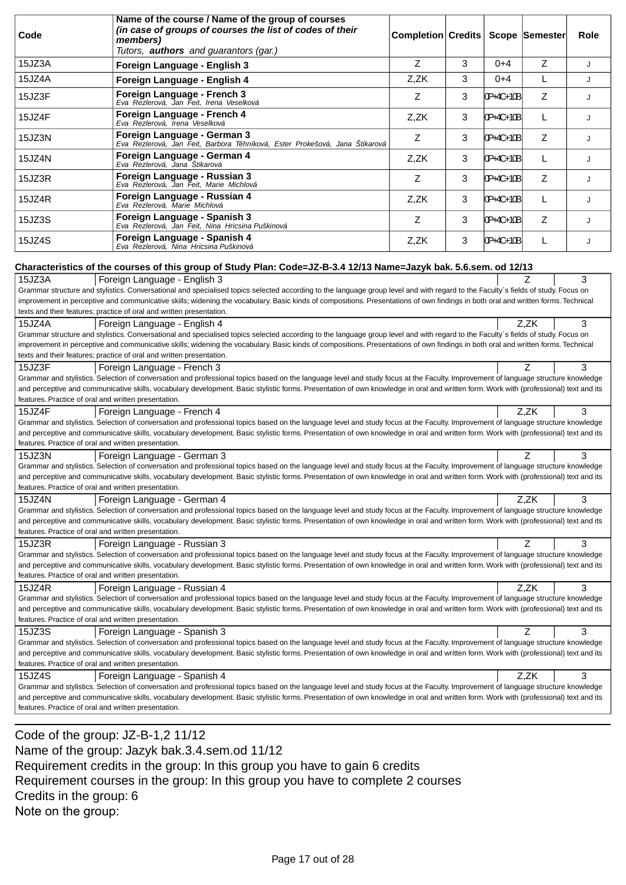| Code                                                                                                                   | Name of the course / Name of the group of courses<br>(in case of groups of courses the list of codes of their<br>members)<br>Tutors, authors and guarantors (gar.)                                                                                                                                                                                                                                                                                                             | Completion Credits |   |           | Scope Semester | Role |
|------------------------------------------------------------------------------------------------------------------------|--------------------------------------------------------------------------------------------------------------------------------------------------------------------------------------------------------------------------------------------------------------------------------------------------------------------------------------------------------------------------------------------------------------------------------------------------------------------------------|--------------------|---|-----------|----------------|------|
| 15JZ3A                                                                                                                 | Foreign Language - English 3                                                                                                                                                                                                                                                                                                                                                                                                                                                   | Z                  | 3 | $0 + 4$   | Z              | J    |
| 15JZ4A                                                                                                                 | Foreign Language - English 4                                                                                                                                                                                                                                                                                                                                                                                                                                                   | Z,ZK               | 3 | $0 + 4$   | L              | J    |
| 15JZ3F                                                                                                                 | Foreign Language - French 3<br>Eva Rezlerová, Jan Feit, Irena Veselková                                                                                                                                                                                                                                                                                                                                                                                                        | Z                  | 3 | 0P+4C+10B | Z              | J    |
| 15JZ4F                                                                                                                 | Foreign Language - French 4<br>Eva Rezlerová, Irena Veselková                                                                                                                                                                                                                                                                                                                                                                                                                  | Z,ZK               | 3 | 0P+4C+10B | L              | J    |
| 15JZ3N                                                                                                                 | Foreign Language - German 3<br>Eva Rezlerová, Jan Feit, Barbora T hníková, Ester Prokešová, Jana Štikarová                                                                                                                                                                                                                                                                                                                                                                     | Z                  | 3 | 0P+4C+10B | Z              | J    |
| 15JZ4N                                                                                                                 | Foreign Language - German 4<br>Eva Rezlerová, Jana Štikarová                                                                                                                                                                                                                                                                                                                                                                                                                   | Z,ZK               | 3 | 0P+4C+10B | L              | J    |
| 15JZ3R                                                                                                                 | Foreign Language - Russian 3<br>Eva Rezlerová, Jan Feit, Marie Michlová                                                                                                                                                                                                                                                                                                                                                                                                        | Z                  | 3 | 0P+4C+10B | Ζ              | J    |
| 15JZ4R                                                                                                                 | Foreign Language - Russian 4<br>Eva Rezlerová, Marie Michlová                                                                                                                                                                                                                                                                                                                                                                                                                  | Z,ZK               | 3 | 0P+4C+10B | L              | J    |
| 15JZ3S                                                                                                                 | Foreign Language - Spanish 3<br>Eva Rezlerová, Jan Feit, Nina Hricsina Puškinová                                                                                                                                                                                                                                                                                                                                                                                               | Z                  | 3 | 0P+4C+10B | Z              | J    |
| 15JZ4S                                                                                                                 | Foreign Language - Spanish 4<br>Eva Rezlerová, Nina Hricsina Puškinová                                                                                                                                                                                                                                                                                                                                                                                                         | Z,ZK               | 3 | 0P+4C+10B | L              | J    |
|                                                                                                                        | Characteristics of the courses of this group of Study Plan: Code=JZ-B-3.4 12/13 Name=Jazyk bak. 5.6.sem. od 12/13                                                                                                                                                                                                                                                                                                                                                              |                    |   |           |                |      |
| 15JZ3A                                                                                                                 | Foreign Language - English 3<br>Grammar structure and stylistics. Conversational and specialised topics selected according to the language group level and with regard to the Faculty's fields of study. Focus on<br>improvement in perceptive and communicative skills; widening the vocabulary. Basic kinds of compositions. Presentations of own findings in both oral and written forms. Technical<br>texts and their features; practice of oral and written presentation. |                    |   |           | Ζ              | 3    |
| 15JZ4A                                                                                                                 | Foreign Language - English 4<br>Grammar structure and stylistics. Conversational and specialised topics selected according to the language group level and with regard to the Faculty's fields of study. Focus on<br>improvement in perceptive and communicative skills; widening the vocabulary. Basic kinds of compositions. Presentations of own findings in both oral and written forms. Technical<br>texts and their features; practice of oral and written presentation. |                    |   |           | Z.ZK           | 3    |
| 15JZ3F<br>features. Practice of oral and written presentation.                                                         | Foreign Language - French 3<br>Grammar and stylistics. Selection of conversation and professional topics based on the language level and study focus at the Faculty. Improvement of language structure knowledge<br>and perceptive and communicative skills, vocabulary development. Basic stylistic forms. Presentation of own knowledge in oral and written form. Work with (professional) text and its                                                                      |                    |   |           | Z              | 3    |
| 15JZ4F<br>features. Practice of oral and written presentation.                                                         | Foreign Language - French 4<br>Grammar and stylistics. Selection of conversation and professional topics based on the language level and study focus at the Faculty. Improvement of language structure knowledge<br>and perceptive and communicative skills, vocabulary development. Basic stylistic forms. Presentation of own knowledge in oral and written form. Work with (professional) text and its                                                                      |                    |   |           | Z.ZK           | 3    |
| 15JZ3N<br>features. Practice of oral and written presentation.                                                         | Foreign Language - German 3<br>Grammar and stylistics. Selection of conversation and professional topics based on the language level and study focus at the Faculty. Improvement of language structure knowledge<br>and perceptive and communicative skills, vocabulary development. Basic stylistic forms. Presentation of own knowledge in oral and written form. Work with (professional) text and its                                                                      |                    |   |           | Ζ              | 3    |
| 15JZ4N                                                                                                                 | Z,ZK<br>3<br>Foreign Language - German 4<br>Grammar and stylistics. Selection of conversation and professional topics based on the language level and study focus at the Faculty. Improvement of language structure knowledge<br>and perceptive and communicative skills, vocabulary development. Basic stylistic forms. Presentation of own knowledge in oral and written form. Work with (professional) text and its<br>features. Practice of oral and written presentation. |                    |   |           |                |      |
| 15JZ3R<br>features. Practice of oral and written presentation.                                                         | Foreign Language - Russian 3<br>Grammar and stylistics. Selection of conversation and professional topics based on the language level and study focus at the Faculty. Improvement of language structure knowledge<br>and perceptive and communicative skills, vocabulary development. Basic stylistic forms. Presentation of own knowledge in oral and written form. Work with (professional) text and its                                                                     |                    |   |           | Z              | 3    |
| 15JZ4R                                                                                                                 | Foreign Language - Russian 4<br>Grammar and stylistics. Selection of conversation and professional topics based on the language level and study focus at the Faculty. Improvement of language structure knowledge<br>and perceptive and communicative skills, vocabulary development. Basic stylistic forms. Presentation of own knowledge in oral and written form. Work with (professional) text and its                                                                     |                    |   |           | Z,ZK           | 3    |
| features. Practice of oral and written presentation.<br>15JZ3S<br>features. Practice of oral and written presentation. | Foreign Language - Spanish 3<br>Grammar and stylistics. Selection of conversation and professional topics based on the language level and study focus at the Faculty. Improvement of language structure knowledge<br>and perceptive and communicative skills, vocabulary development. Basic stylistic forms. Presentation of own knowledge in oral and written form. Work with (professional) text and its                                                                     |                    |   |           | Z              | 3    |
| 15JZ4S<br>features. Practice of oral and written presentation.                                                         | Foreign Language - Spanish 4<br>Grammar and stylistics. Selection of conversation and professional topics based on the language level and study focus at the Faculty. Improvement of language structure knowledge<br>and perceptive and communicative skills, vocabulary development. Basic stylistic forms. Presentation of own knowledge in oral and written form. Work with (professional) text and its                                                                     |                    |   |           | Z,ZK           | 3    |

Code of the group: JZ-B-1,2 11/12 Name of the group: Jazyk bak.3.4.sem.od 11/12 Requirement credits in the group: In this group you have to gain 6 credits Requirement courses in the group: In this group you have to complete 2 courses Credits in the group: 6 Note on the group: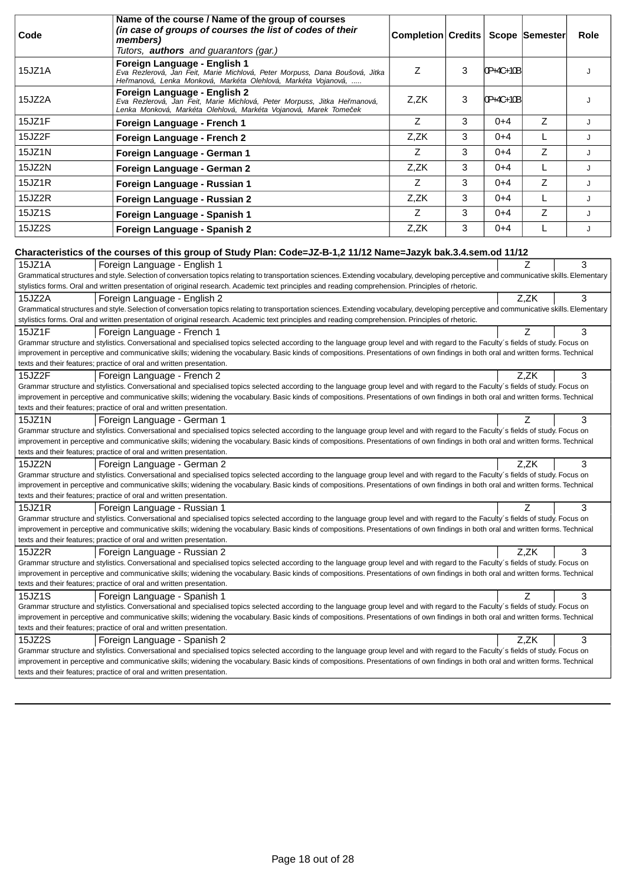|        | Name of the course / Name of the group of courses                                                                                                                                                                                                                                                                                                                      |                                   |   |           |      |      |
|--------|------------------------------------------------------------------------------------------------------------------------------------------------------------------------------------------------------------------------------------------------------------------------------------------------------------------------------------------------------------------------|-----------------------------------|---|-----------|------|------|
| Code   | (in case of groups of courses the list of codes of their<br>members)                                                                                                                                                                                                                                                                                                   | Completion Credits Scope Semester |   |           |      | Role |
|        | Tutors, <b>authors</b> and guarantors (gar.)                                                                                                                                                                                                                                                                                                                           |                                   |   |           |      |      |
| 15JZ1A | Foreign Language - English 1<br>Eva Rezlerová, Jan Feit, Marie Michlová, Peter Morpuss, Dana Boušová, Jitka<br>He manová, Lenka Monková, Markéta Olehlová, Markéta Vojanová,                                                                                                                                                                                           | Z                                 | 3 | 0P+4C+10B |      | J    |
| 15JZ2A | Foreign Language - English 2<br>Eva Rezlerová, Jan Feit, Marie Michlová, Peter Morpuss, Jitka He manová,<br>Lenka Monková, Markéta Olehlová, Markéta Vojanová, Marek Tome ek                                                                                                                                                                                           | Z,ZK                              | 3 | 0P+4C+10B |      | J    |
| 15JZ1F | Foreign Language - French 1                                                                                                                                                                                                                                                                                                                                            | Z                                 | 3 | $0+4$     | Z    | J    |
| 15JZ2F | Foreign Language - French 2                                                                                                                                                                                                                                                                                                                                            | Z,ZK                              | 3 | $0 + 4$   | L    | J    |
| 15JZ1N | Foreign Language - German 1                                                                                                                                                                                                                                                                                                                                            | Z                                 | 3 | $0 + 4$   | Z    | J    |
| 15JZ2N | Foreign Language - German 2                                                                                                                                                                                                                                                                                                                                            | Z,ZK                              | 3 | $0 + 4$   | L    | J    |
| 15JZ1R | Foreign Language - Russian 1                                                                                                                                                                                                                                                                                                                                           | Z                                 | 3 | $0 + 4$   | Z    | J    |
| 15JZ2R | Foreign Language - Russian 2                                                                                                                                                                                                                                                                                                                                           | Z,ZK                              | 3 | $0+4$     | L    | J    |
| 15JZ1S | Foreign Language - Spanish 1                                                                                                                                                                                                                                                                                                                                           | Z                                 | 3 | $0+4$     | Z    | J    |
| 15JZ2S | Foreign Language - Spanish 2                                                                                                                                                                                                                                                                                                                                           | Z,ZK                              | 3 | $0 + 4$   | L    | J    |
|        | Characteristics of the courses of this group of Study Plan: Code=JZ-B-1,2 11/12 Name=Jazyk bak.3.4.sem.od 11/12                                                                                                                                                                                                                                                        |                                   |   |           |      |      |
| 15JZ1A | Foreign Language - English 1                                                                                                                                                                                                                                                                                                                                           |                                   |   |           | Z    | 3    |
|        | Grammatical structures and style. Selection of conversation topics relating to transportation sciences. Extending vocabulary, developing perceptive and communicative skills. Elementary                                                                                                                                                                               |                                   |   |           |      |      |
|        | stylistics forms. Oral and written presentation of original research. Academic text principles and reading comprehension. Principles of rhetoric.                                                                                                                                                                                                                      |                                   |   |           |      |      |
| 15JZ2A | Foreign Language - English 2                                                                                                                                                                                                                                                                                                                                           |                                   |   |           | Z,ZK | 3    |
|        | Grammatical structures and style. Selection of conversation topics relating to transportation sciences. Extending vocabulary, developing perceptive and communicative skills. Elementary                                                                                                                                                                               |                                   |   |           |      |      |
|        | stylistics forms. Oral and written presentation of original research. Academic text principles and reading comprehension. Principles of rhetoric.                                                                                                                                                                                                                      |                                   |   |           |      |      |
| 15JZ1F | Foreign Language - French 1                                                                                                                                                                                                                                                                                                                                            |                                   |   |           | 7    | 3    |
|        | Grammar structure and stylistics. Conversational and specialised topics selected according to the language group level and with regard to the Faculty's fields of study. Focus on<br>improvement in perceptive and communicative skills; widening the vocabulary. Basic kinds of compositions. Presentations of own findings in both oral and written forms. Technical |                                   |   |           |      |      |
|        | texts and their features; practice of oral and written presentation.                                                                                                                                                                                                                                                                                                   |                                   |   |           |      |      |
| 15JZ2F | Foreign Language - French 2                                                                                                                                                                                                                                                                                                                                            |                                   |   |           | Z,ZK | 3    |
|        | Grammar structure and stylistics. Conversational and specialised topics selected according to the language group level and with regard to the Faculty's fields of study. Focus on                                                                                                                                                                                      |                                   |   |           |      |      |
|        | improvement in perceptive and communicative skills; widening the vocabulary. Basic kinds of compositions. Presentations of own findings in both oral and written forms. Technical                                                                                                                                                                                      |                                   |   |           |      |      |
|        | texts and their features; practice of oral and written presentation.                                                                                                                                                                                                                                                                                                   |                                   |   |           |      |      |
| 15JZ1N | Foreign Language - German 1<br>Grammar structure and stylistics. Conversational and specialised topics selected according to the language group level and with regard to the Faculty's fields of study. Focus on                                                                                                                                                       |                                   |   |           | 7    | 3    |
|        | improvement in perceptive and communicative skills; widening the vocabulary. Basic kinds of compositions. Presentations of own findings in both oral and written forms. Technical                                                                                                                                                                                      |                                   |   |           |      |      |
|        | texts and their features; practice of oral and written presentation.                                                                                                                                                                                                                                                                                                   |                                   |   |           |      |      |
| 15JZ2N | Foreign Language - German 2                                                                                                                                                                                                                                                                                                                                            |                                   |   |           | Z,ZK | 3    |
|        | Grammar structure and stylistics. Conversational and specialised topics selected according to the language group level and with regard to the Faculty's fields of study. Focus on                                                                                                                                                                                      |                                   |   |           |      |      |
|        | improvement in perceptive and communicative skills; widening the vocabulary. Basic kinds of compositions. Presentations of own findings in both oral and written forms. Technical<br>texts and their features; practice of oral and written presentation.                                                                                                              |                                   |   |           |      |      |
| 15JZ1R | Foreign Language - Russian 1                                                                                                                                                                                                                                                                                                                                           |                                   |   |           | Ζ    | 3    |
|        | Grammar structure and stylistics. Conversational and specialised topics selected according to the language group level and with regard to the Faculty's fields of study. Focus on                                                                                                                                                                                      |                                   |   |           |      |      |
|        | improvement in perceptive and communicative skills; widening the vocabulary. Basic kinds of compositions. Presentations of own findings in both oral and written forms. Technical                                                                                                                                                                                      |                                   |   |           |      |      |
|        | texts and their features; practice of oral and written presentation.                                                                                                                                                                                                                                                                                                   |                                   |   |           |      |      |
| 15JZ2R | Foreign Language - Russian 2                                                                                                                                                                                                                                                                                                                                           |                                   |   |           | Z.ZK | 3    |
|        | Grammar structure and stylistics. Conversational and specialised topics selected according to the language group level and with regard to the Faculty's fields of study. Focus on                                                                                                                                                                                      |                                   |   |           |      |      |
|        | improvement in perceptive and communicative skills; widening the vocabulary. Basic kinds of compositions. Presentations of own findings in both oral and written forms. Technical<br>texts and their features; practice of oral and written presentation.                                                                                                              |                                   |   |           |      |      |
| 15JZ1S | Foreign Language - Spanish 1                                                                                                                                                                                                                                                                                                                                           |                                   |   |           | Ζ    | 3    |
|        | Grammar structure and stylistics. Conversational and specialised topics selected according to the language group level and with regard to the Faculty's fields of study. Focus on                                                                                                                                                                                      |                                   |   |           |      |      |
|        | improvement in perceptive and communicative skills; widening the vocabulary. Basic kinds of compositions. Presentations of own findings in both oral and written forms. Technical<br>texts and their features; practice of oral and written presentation.                                                                                                              |                                   |   |           |      |      |
| 15JZ2S | Foreign Language - Spanish 2                                                                                                                                                                                                                                                                                                                                           |                                   |   |           | Z,ZK | 3    |
|        | Grammar structure and stylistics. Conversational and specialised topics selected according to the language group level and with regard to the Faculty's fields of study. Focus on                                                                                                                                                                                      |                                   |   |           |      |      |
|        | improvement in perceptive and communicative skills; widening the vocabulary. Basic kinds of compositions. Presentations of own findings in both oral and written forms. Technical                                                                                                                                                                                      |                                   |   |           |      |      |
|        | texts and their features; practice of oral and written presentation.                                                                                                                                                                                                                                                                                                   |                                   |   |           |      |      |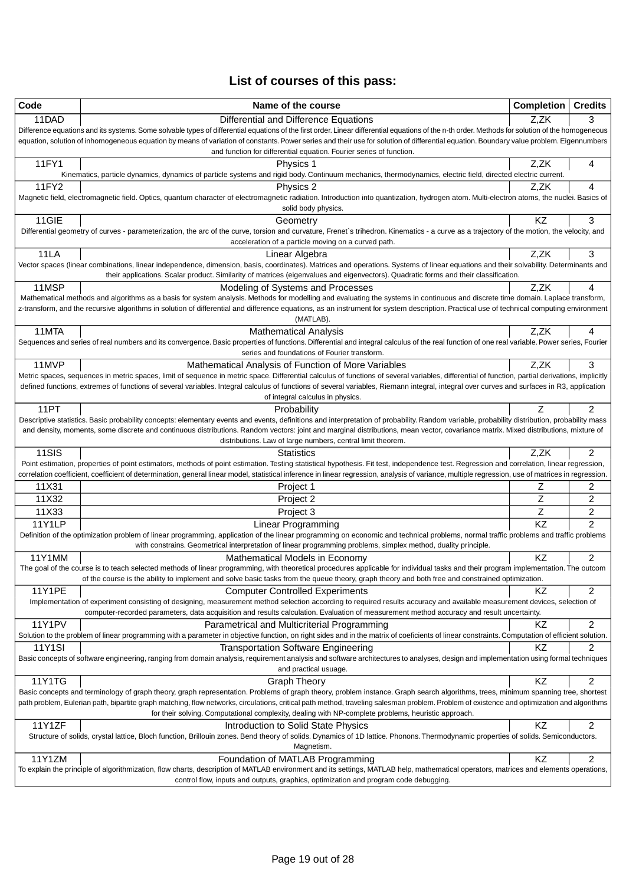# **List of courses of this pass:**

| Code          | Name of the course                                                                                                                                                                                                                                                                                                                                                                          | Completion | <b>Credits</b> |
|---------------|---------------------------------------------------------------------------------------------------------------------------------------------------------------------------------------------------------------------------------------------------------------------------------------------------------------------------------------------------------------------------------------------|------------|----------------|
| 11DAD         | Differential and Difference Equations                                                                                                                                                                                                                                                                                                                                                       | Z,ZK       | 3              |
|               | Difference equations and its systems. Some solvable types of differential equations of the first order. Linear differential equations of the n-th order. Methods for solution of the homogeneous<br>equation, solution of inhomogeneous equation by means of variation of constants. Power series and their use for solution of differential equation. Boundary value problem. Eigennumbers |            |                |
|               | and function for differential equation. Fourier series of function.                                                                                                                                                                                                                                                                                                                         |            |                |
| 11FY1         | Physics 1                                                                                                                                                                                                                                                                                                                                                                                   | Z,ZK       | 4              |
| 11FY2         | Kinematics, particle dynamics, dynamics of particle systems and rigid body. Continuum mechanics, thermodynamics, electric field, directed electric current.<br>Physics 2                                                                                                                                                                                                                    | Z,ZK       | 4              |
|               | Magnetic field, electromagnetic field. Optics, quantum character of electromagnetic radiation. Introduction into quantization, hydrogen atom. Multi-electron atoms, the nuclei. Basics of                                                                                                                                                                                                   |            |                |
|               | solid body physics.                                                                                                                                                                                                                                                                                                                                                                         |            |                |
| 11GIE         | Geometry                                                                                                                                                                                                                                                                                                                                                                                    | KZ         | 3              |
|               | Differential geometry of curves - parameterization, the arc of the curve, torsion and curvature, Frenet's trihedron. Kinematics - a curve as a trajectory of the motion, the velocity, and<br>acceleration of a particle moving on a curved path.                                                                                                                                           |            |                |
| 11LA          | Linear Algebra                                                                                                                                                                                                                                                                                                                                                                              | Z,ZK       | 3              |
|               | Vector spaces (linear combinations, linear independence, dimension, basis, coordinates). Matrices and operations. Systems of linear equations and their solvability. Determinants and<br>their applications. Scalar product. Similarity of matrices (eigenvalues and eigenvectors). Quadratic forms and their classification.                                                               |            |                |
| 11MSP         | Modeling of Systems and Processes                                                                                                                                                                                                                                                                                                                                                           | Z,ZK       | 4              |
|               | Mathematical methods and algorithms as a basis for system analysis. Methods for modelling and evaluating the systems in continuous and discrete time domain. Laplace transform,                                                                                                                                                                                                             |            |                |
|               | z-transform, and the recursive algorithms in solution of differential and difference equations, as an instrument for system description. Practical use of technical computing environment<br>(MATLAB).                                                                                                                                                                                      |            |                |
| 11MTA         | <b>Mathematical Analysis</b>                                                                                                                                                                                                                                                                                                                                                                | Z.ZK       | 4              |
|               | Sequences and series of real numbers and its convergence. Basic properties of functions. Differential and integral calculus of the real function of one real variable. Power series, Fourier                                                                                                                                                                                                |            |                |
|               | series and foundations of Fourier transform.                                                                                                                                                                                                                                                                                                                                                |            |                |
| 11MVP         | Mathematical Analysis of Function of More Variables<br>Metric spaces, sequences in metric spaces, limit of sequence in metric space. Differential calculus of functions of several variables, differential of function, partial derivations, implicitly                                                                                                                                     | Z,ZK       | 3              |
|               | defined functions, extremes of functions of several variables. Integral calculus of functions of several variables, Riemann integral, integral over curves and surfaces in R3, application                                                                                                                                                                                                  |            |                |
|               | of integral calculus in physics.                                                                                                                                                                                                                                                                                                                                                            |            |                |
| 11PT          | Probability                                                                                                                                                                                                                                                                                                                                                                                 |            | $\overline{2}$ |
|               | Descriptive statistics. Basic probability concepts: elementary events and events, definitions and interpretation of probability. Random variable, probability distribution, probability mass<br>and density, moments, some discrete and continuous distributions. Random vectors: joint and marginal distributions, mean vector, covariance matrix. Mixed distributions, mixture of         |            |                |
|               | distributions. Law of large numbers, central limit theorem.                                                                                                                                                                                                                                                                                                                                 |            |                |
| 11SIS         | <b>Statistics</b>                                                                                                                                                                                                                                                                                                                                                                           | Z,ZK       | 2              |
|               | Point estimation, properties of point estimators, methods of point estimation. Testing statistical hypothesis. Fit test, independence test. Regression and correlation, linear regression,                                                                                                                                                                                                  |            |                |
| 11X31         | correlation coefficient, coefficient of determination, general linear model, statistical inference in linear regression, analysis of variance, multiple regression, use of matrices in regression.<br>Project 1                                                                                                                                                                             | Z          | 2              |
| 11X32         | Project 2                                                                                                                                                                                                                                                                                                                                                                                   | Z          | $\overline{2}$ |
| 11X33         | Project 3                                                                                                                                                                                                                                                                                                                                                                                   | Z          | $\overline{2}$ |
| <b>11Y1LP</b> | <b>Linear Programming</b>                                                                                                                                                                                                                                                                                                                                                                   | KZ         | $\overline{2}$ |
|               | Definition of the optimization problem of linear programming, application of the linear programming on economic and technical problems, normal traffic problems and traffic problems                                                                                                                                                                                                        |            |                |
|               | with constrains. Geometrical interpretation of linear programming problems, simplex method, duality principle.                                                                                                                                                                                                                                                                              |            |                |
| 11Y1MM        | Mathematical Models in Economy<br>The goal of the course is to teach selected methods of linear programming, with theoretical procedures applicable for individual tasks and their program implementation. The outcom                                                                                                                                                                       | KZ         | $\overline{c}$ |
|               | of the course is the ability to implement and solve basic tasks from the queue theory, graph theory and both free and constrained optimization.                                                                                                                                                                                                                                             |            |                |
| <b>11Y1PE</b> | <b>Computer Controlled Experiments</b>                                                                                                                                                                                                                                                                                                                                                      | <b>KZ</b>  | 2              |
|               | Implementation of experiment consisting of designing, measurement method selection according to required results accuracy and available measurement devices, selection of<br>computer-recorded parameters, data acquisition and results calculation. Evaluation of measurement method accuracy and result uncertainty.                                                                      |            |                |
| <b>11Y1PV</b> | Parametrical and Multicriterial Programming                                                                                                                                                                                                                                                                                                                                                 | <b>KZ</b>  | $\overline{c}$ |
|               | Solution to the problem of linear programming with a parameter in objective function, on right sides and in the matrix of coeficients of linear constraints. Computation of efficient solution.                                                                                                                                                                                             |            |                |
| <b>11Y1SI</b> | <b>Transportation Software Engineering</b>                                                                                                                                                                                                                                                                                                                                                  | KZ         | 2              |
|               | Basic concepts of software engineering, ranging from domain analysis, requirement analysis and software architectures to analyses, design and implementation using formal techniques<br>and practical usuage.                                                                                                                                                                               |            |                |
| 11Y1TG        | <b>Graph Theory</b>                                                                                                                                                                                                                                                                                                                                                                         | KZ         | $\overline{2}$ |
|               | Basic concepts and terminology of graph theory, graph representation. Problems of graph theory, problem instance. Graph search algorithms, trees, minimum spanning tree, shortest                                                                                                                                                                                                           |            |                |
|               | path problem, Eulerian path, bipartite graph matching, flow networks, circulations, critical path method, traveling salesman problem. Problem of existence and optimization and algorithms<br>for their solving. Computational complexity, dealing with NP-complete problems, heuristic approach.                                                                                           |            |                |
| 11Y1ZF        | Introduction to Solid State Physics                                                                                                                                                                                                                                                                                                                                                         | KZ         | $\overline{c}$ |
|               | Structure of solids, crystal lattice, Bloch function, Brillouin zones. Bend theory of solids. Dynamics of 1D lattice. Phonons. Thermodynamic properties of solids. Semiconductors.                                                                                                                                                                                                          |            |                |
|               | Magnetism.                                                                                                                                                                                                                                                                                                                                                                                  |            |                |
| 11Y1ZM        | Foundation of MATLAB Programming                                                                                                                                                                                                                                                                                                                                                            | KZ         | 2              |
|               | To explain the principle of algorithmization, flow charts, description of MATLAB environment and its settings, MATLAB help, mathematical operators, matrices and elements operations,<br>control flow, inputs and outputs, graphics, optimization and program code debugging.                                                                                                               |            |                |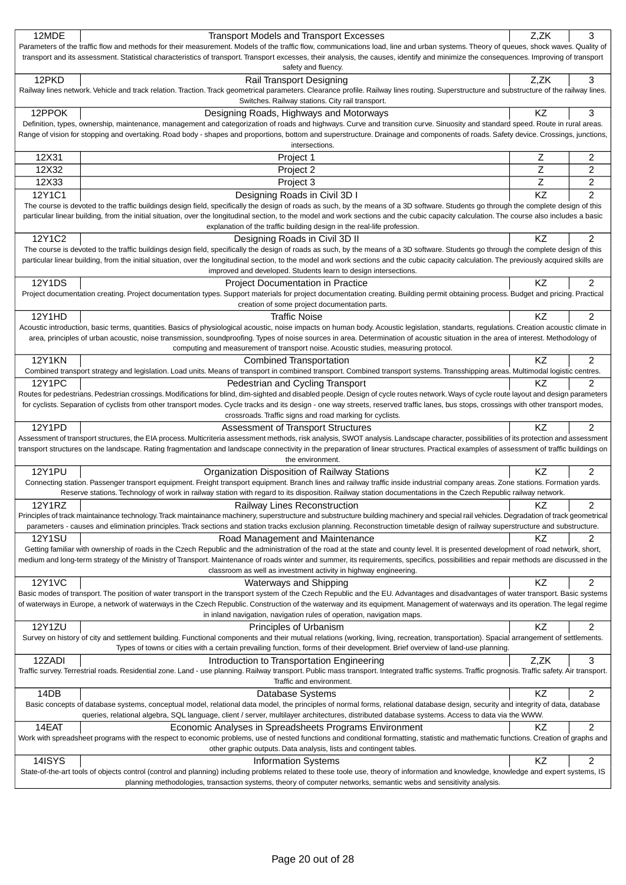| 12MDE         | <b>Transport Models and Transport Excesses</b>                                                                                                                                                                                                                                                                                                                                  | Z,ZK      | 3                       |
|---------------|---------------------------------------------------------------------------------------------------------------------------------------------------------------------------------------------------------------------------------------------------------------------------------------------------------------------------------------------------------------------------------|-----------|-------------------------|
|               | Parameters of the traffic flow and methods for their measurement. Models of the traffic flow, communications load, line and urban systems. Theory of queues, shock waves. Quality of                                                                                                                                                                                            |           |                         |
|               | transport and its assessment. Statistical characteristics of transport. Transport excesses, their analysis, the causes, identify and minimize the consequences. Improving of transport                                                                                                                                                                                          |           |                         |
|               | safety and fluency.                                                                                                                                                                                                                                                                                                                                                             |           |                         |
| 12PKD         | Rail Transport Designing                                                                                                                                                                                                                                                                                                                                                        | Z,ZK      | 3                       |
|               | Railway lines network. Vehicle and track relation. Traction. Track geometrical parameters. Clearance profile. Railway lines routing. Superstructure and substructure of the railway lines.                                                                                                                                                                                      |           |                         |
|               | Switches. Railway stations. City rail transport.                                                                                                                                                                                                                                                                                                                                |           |                         |
| 12PPOK        | Designing Roads, Highways and Motorways                                                                                                                                                                                                                                                                                                                                         | ΚZ        | 3                       |
|               | Definition, types, ownership, maintenance, management and categorization of roads and highways. Curve and transition curve. Sinuosity and standard speed. Route in rural areas.<br>Range of vision for stopping and overtaking. Road body - shapes and proportions, bottom and superstructure. Drainage and components of roads. Safety device. Crossings, junctions,           |           |                         |
|               | intersections.                                                                                                                                                                                                                                                                                                                                                                  |           |                         |
| 12X31         | Project 1                                                                                                                                                                                                                                                                                                                                                                       | Ζ         | 2                       |
| 12X32         | Project 2                                                                                                                                                                                                                                                                                                                                                                       | Z         | 2                       |
| 12X33         | Project 3                                                                                                                                                                                                                                                                                                                                                                       | Z         | 2                       |
| 12Y1C1        | Designing Roads in Civil 3D I                                                                                                                                                                                                                                                                                                                                                   | KZ        | $\overline{c}$          |
|               | The course is devoted to the traffic buildings design field, specifically the design of roads as such, by the means of a 3D software. Students go through the complete design of this                                                                                                                                                                                           |           |                         |
|               | particular linear building, from the initial situation, over the longitudinal section, to the model and work sections and the cubic capacity calculation. The course also includes a basic                                                                                                                                                                                      |           |                         |
|               | explanation of the traffic building design in the real-life profession.                                                                                                                                                                                                                                                                                                         |           |                         |
| 12Y1C2        | Designing Roads in Civil 3D II                                                                                                                                                                                                                                                                                                                                                  | KZ        | 2                       |
|               | The course is devoted to the traffic buildings design field, specifically the design of roads as such, by the means of a 3D software. Students go through the complete design of this                                                                                                                                                                                           |           |                         |
|               | particular linear building, from the initial situation, over the longitudinal section, to the model and work sections and the cubic capacity calculation. The previously acquired skills are                                                                                                                                                                                    |           |                         |
|               | improved and developed. Students learn to design intersections.                                                                                                                                                                                                                                                                                                                 |           |                         |
| <b>12Y1DS</b> | Project Documentation in Practice                                                                                                                                                                                                                                                                                                                                               | KZ        | 2                       |
|               | Project documentation creating. Project documentation types. Support materials for project documentation creating. Building permit obtaining process. Budget and pricing. Practical                                                                                                                                                                                             |           |                         |
|               | creation of some project documentation parts.                                                                                                                                                                                                                                                                                                                                   |           |                         |
| 12Y1HD        | Traffic Noise                                                                                                                                                                                                                                                                                                                                                                   | KZ        | 2                       |
|               | Acoustic introduction, basic terms, quantities. Basics of physiological acoustic, noise impacts on human body. Acoustic legislation, standarts, regulations. Creation acoustic climate in<br>area, principles of urban acoustic, noise transmission, soundproofing. Types of noise sources in area. Determination of acoustic situation in the area of interest. Methodology of |           |                         |
|               | computing and measurement of transport noise. Acoustic studies, measuring protocol.                                                                                                                                                                                                                                                                                             |           |                         |
| <b>12Y1KN</b> | <b>Combined Transportation</b>                                                                                                                                                                                                                                                                                                                                                  | ΚZ        | 2                       |
|               | Combined transport strategy and legislation. Load units. Means of transport in combined transport. Combined transport systems. Transshipping areas. Multimodal logistic centres                                                                                                                                                                                                 |           |                         |
| <b>12Y1PC</b> | Pedestrian and Cycling Transport                                                                                                                                                                                                                                                                                                                                                | KZ        | 2                       |
|               | Routes for pedestrians. Pedestrian crossings. Modifications for blind, dim-sighted and disabled people. Design of cycle routes network. Ways of cycle route layout and design parameters                                                                                                                                                                                        |           |                         |
|               | for cyclists. Separation of cyclists from other transport modes. Cycle tracks and its design - one way streets, reserved traffic lanes, bus stops, crossings with other transport modes,                                                                                                                                                                                        |           |                         |
|               | crossroads. Traffic signs and road marking for cyclists.                                                                                                                                                                                                                                                                                                                        |           |                         |
| 12Y1PD        | Assessment of Transport Structures                                                                                                                                                                                                                                                                                                                                              | ΚZ        | 2                       |
|               | Assessment of transport structures, the EIA process. Multicriteria assessment methods, risk analysis, SWOT analysis. Landscape character, possibilities of its protection and assessment                                                                                                                                                                                        |           |                         |
|               | transport structures on the landscape. Rating fragmentation and landscape connectivity in the preparation of linear structures. Practical examples of assessment of traffic buildings on<br>the environment.                                                                                                                                                                    |           |                         |
| <b>12Y1PU</b> | Organization Disposition of Railway Stations                                                                                                                                                                                                                                                                                                                                    | <b>KZ</b> | 2                       |
|               | Connecting station. Passenger transport equipment. Freight transport equipment. Branch lines and railway traffic inside industrial company areas. Zone stations. Formation yards.                                                                                                                                                                                               |           |                         |
|               | Reserve stations. Technology of work in railway station with regard to its disposition. Railway station documentations in the Czech Republic railway network.                                                                                                                                                                                                                   |           |                         |
| 12Y1RZ        | Railway Lines Reconstruction                                                                                                                                                                                                                                                                                                                                                    | KZ        | 2                       |
|               | Principles of track maintainance technology. Track maintainance machinery, superstructure and substructure building machinery and special rail vehicles. Degradation of track geometrical                                                                                                                                                                                       |           |                         |
|               | parameters - causes and elimination principles. Track sections and station tracks exclusion planning. Reconstruction timetable design of railway superstructure and substructure.                                                                                                                                                                                               |           |                         |
| 12Y1SU        | Road Management and Maintenance                                                                                                                                                                                                                                                                                                                                                 | KZ        | 2                       |
|               | Getting familiar with ownership of roads in the Czech Republic and the administration of the road at the state and county level. It is presented development of road network, short,                                                                                                                                                                                            |           |                         |
|               | medium and long-term strategy of the Ministry of Transport. Maintenance of roads winter and summer, its requirements, specifics, possibilities and repair methods are discussed in the                                                                                                                                                                                          |           |                         |
|               | classroom as well as investment activity in highway engineering.                                                                                                                                                                                                                                                                                                                |           |                         |
| 12Y1VC        | Waterways and Shipping                                                                                                                                                                                                                                                                                                                                                          | KZ        | 2                       |
|               | Basic modes of transport. The position of water transport in the transport system of the Czech Republic and the EU. Advantages and disadvantages of water transport. Basic systems<br>of waterways in Europe, a network of waterways in the Czech Republic. Construction of the waterway and its equipment. Management of waterways and its operation. The legal regime         |           |                         |
|               | in inland navigation, navigation rules of operation, navigation maps.                                                                                                                                                                                                                                                                                                           |           |                         |
| <b>12Y1ZU</b> | Principles of Urbanism                                                                                                                                                                                                                                                                                                                                                          | KZ        | 2                       |
|               | Survey on history of city and settlement building. Functional components and their mutual relations (working, living, recreation, transportation). Spacial arrangement of settlements.                                                                                                                                                                                          |           |                         |
|               | Types of towns or cities with a certain prevailing function, forms of their development. Brief overview of land-use planning.                                                                                                                                                                                                                                                   |           |                         |
| 12ZADI        | Introduction to Transportation Engineering                                                                                                                                                                                                                                                                                                                                      | Z,ZK      | 3                       |
|               | Traffic survey. Terrestrial roads. Residential zone. Land - use planning. Railway transport. Public mass transport. Integrated traffic systems. Traffic prognosis. Traffic safety. Air transport.                                                                                                                                                                               |           |                         |
|               | Traffic and environment.                                                                                                                                                                                                                                                                                                                                                        |           |                         |
| 14DB          | Database Systems                                                                                                                                                                                                                                                                                                                                                                | KZ        | $\overline{\mathbf{c}}$ |
|               | Basic concepts of database systems, conceptual model, relational data model, the principles of normal forms, relational database design, security and integrity of data, database                                                                                                                                                                                               |           |                         |
|               | queries, relational algebra, SQL language, client / server, multilayer architectures, distributed database systems. Access to data via the WWW.                                                                                                                                                                                                                                 |           |                         |
| 14EAT         | Economic Analyses in Spreadsheets Programs Environment                                                                                                                                                                                                                                                                                                                          | KZ        | 2                       |
|               | Work with spreadsheet programs with the respect to economic problems, use of nested functions and conditional formatting, statistic and mathematic functions. Creation of graphs and                                                                                                                                                                                            |           |                         |
|               | other graphic outputs. Data analysis, lists and contingent tables.                                                                                                                                                                                                                                                                                                              | KZ        |                         |
| 14ISYS        | <b>Information Systems</b><br>State-of-the-art tools of objects control (control and planning) including problems related to these toole use, theory of information and knowledge, knowledge and expert systems, IS                                                                                                                                                             |           | 2                       |
|               | planning methodologies, transaction systems, theory of computer networks, semantic webs and sensitivity analysis.                                                                                                                                                                                                                                                               |           |                         |
|               |                                                                                                                                                                                                                                                                                                                                                                                 |           |                         |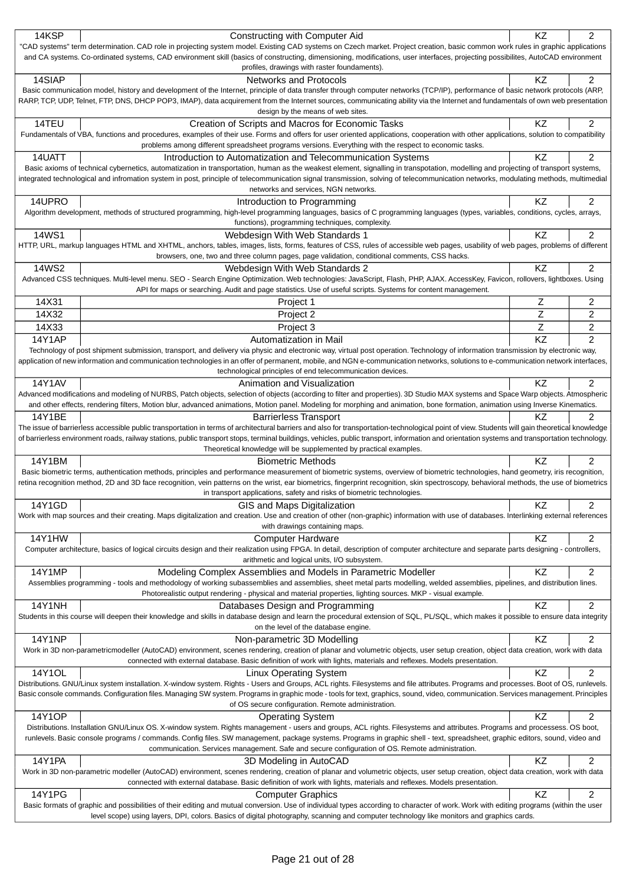| 14KSP         | Constructing with Computer Aid                                                                                                                                                                                                                                                                           | ΚZ              | 2              |
|---------------|----------------------------------------------------------------------------------------------------------------------------------------------------------------------------------------------------------------------------------------------------------------------------------------------------------|-----------------|----------------|
|               | "CAD systems" term determination. CAD role in projecting system model. Existing CAD systems on Czech market. Project creation, basic common work rules in graphic applications                                                                                                                           |                 |                |
|               | and CA systems. Co-ordinated systems, CAD environment skill (basics of constructing, dimensioning, modifications, user interfaces, projecting possibilites, AutoCAD environment                                                                                                                          |                 |                |
|               | profiles, drawings with raster foundaments).                                                                                                                                                                                                                                                             |                 |                |
| 14SIAP        | <b>Networks and Protocols</b>                                                                                                                                                                                                                                                                            | KZ              | 2              |
|               | Basic communication model, history and development of the Internet, principle of data transfer through computer networks (TCP/IP), performance of basic network protocols (ARP,                                                                                                                          |                 |                |
|               | RARP, TCP, UDP, Telnet, FTP, DNS, DHCP POP3, IMAP), data acquirement from the Internet sources, communicating ability via the Internet and fundamentals of own web presentation                                                                                                                          |                 |                |
|               | design by the means of web sites.                                                                                                                                                                                                                                                                        |                 |                |
| 14TEU         | Creation of Scripts and Macros for Economic Tasks                                                                                                                                                                                                                                                        | KZ              | 2              |
|               | Fundamentals of VBA, functions and procedures, examples of their use. Forms and offers for user oriented applications, cooperation with other applications, solution to compatibility<br>problems among different spreadsheet programs versions. Everything with the respect to economic tasks.          |                 |                |
| 14UATT        |                                                                                                                                                                                                                                                                                                          | KZ              | 2              |
|               | Introduction to Automatization and Telecommunication Systems<br>Basic axioms of technical cybernetics, automatization in transportation, human as the weakest element, signalling in transpotation, modelling and projecting of transport systems,                                                       |                 |                |
|               | integrated technological and infromation system in post, principle of telecommunication signal transmission, solving of telecommunication networks, modulating methods, multimedial                                                                                                                      |                 |                |
|               | networks and services, NGN networks.                                                                                                                                                                                                                                                                     |                 |                |
| 14UPRO        | Introduction to Programming                                                                                                                                                                                                                                                                              | KZ              | $\overline{2}$ |
|               | Algorithm development, methods of structured programming, high-level programming languages, basics of C programming languages (types, variables, conditions, cycles, arrays,                                                                                                                             |                 |                |
|               | functions), programming techniques, complexity.                                                                                                                                                                                                                                                          |                 |                |
| 14WS1         | Webdesign With Web Standards 1                                                                                                                                                                                                                                                                           | KZ              | 2              |
|               | HTTP, URL, markup languages HTML and XHTML, anchors, tables, images, lists, forms, features of CSS, rules of accessible web pages, usability of web pages, problems of different                                                                                                                         |                 |                |
|               | browsers, one, two and three column pages, page validation, conditional comments, CSS hacks.                                                                                                                                                                                                             |                 |                |
| 14WS2         | Webdesign With Web Standards 2                                                                                                                                                                                                                                                                           | KZ              | 2              |
|               | Advanced CSS techniques. Multi-level menu. SEO - Search Engine Optimization. Web technologies: JavaScript, Flash, PHP, AJAX. AccessKey, Favicon, rollovers, lightboxes. Using                                                                                                                            |                 |                |
|               | API for maps or searching. Audit and page statistics. Use of useful scripts. Systems for content management.                                                                                                                                                                                             |                 |                |
| 14X31         | Project 1                                                                                                                                                                                                                                                                                                | Ζ               | 2              |
| 14X32         | Project 2                                                                                                                                                                                                                                                                                                | Z               | $\overline{2}$ |
| 14X33         | Project 3                                                                                                                                                                                                                                                                                                | Z               | $\overline{2}$ |
| 14Y1AP        | Automatization in Mail                                                                                                                                                                                                                                                                                   | $\overline{KZ}$ | $\overline{2}$ |
|               | Technology of post shipment submission, transport, and delivery via physic and electronic way, virtual post operation. Technology of information transmission by electronic way,                                                                                                                         |                 |                |
|               | application of new information and communication technologies in an offer of permanent, mobile, and NGN e-communication networks, solutions to e-communication network interfaces                                                                                                                        |                 |                |
|               | technological principles of end telecommunication devices.                                                                                                                                                                                                                                               |                 |                |
| 14Y1AV        | Animation and Visualization                                                                                                                                                                                                                                                                              | KZ              | 2              |
|               | Advanced modifications and modeling of NURBS, Patch objects, selection of objects (according to filter and properties). 3D Studio MAX systems and Space Warp objects. Atmospheric                                                                                                                        |                 |                |
|               | and other effects, rendering filters, Motion blur, advanced animations, Motion panel. Modeling for morphing and animation, bone formation, animation using Inverse Kinematics.                                                                                                                           |                 |                |
| 14Y1BE        | <b>Barrierless Transport</b>                                                                                                                                                                                                                                                                             | ΚZ              | 2              |
|               | The issue of barrierless accessible public transportation in terms of architectural barriers and also for transportation-technological point of view. Students will gain theoretical knowledge                                                                                                           |                 |                |
|               | of barrierless environment roads, railway stations, public transport stops, terminal buildings, vehicles, public transport, information and orientation systems and transportation technology.<br>Theoretical knowledge will be supplemented by practical examples.                                      |                 |                |
| 14Y1BM        | <b>Biometric Methods</b>                                                                                                                                                                                                                                                                                 | KZ              | 2              |
|               | Basic biometric terms, authentication methods, principles and performance measurement of biometric systems, overview of biometric technologies, hand geometry, iris recognition,                                                                                                                         |                 |                |
|               | retina recognition method, 2D and 3D face recognition, vein patterns on the wrist, ear biometrics, fingerprint recognition, skin spectroscopy, behavioral methods, the use of biometrics                                                                                                                 |                 |                |
|               | in transport applications, safety and risks of biometric technologies.                                                                                                                                                                                                                                   |                 |                |
| 14Y1GD        | GIS and Maps Digitalization                                                                                                                                                                                                                                                                              | ΚZ              | 2              |
|               | Work with map sources and their creating. Maps digitalization and creation. Use and creation of other (non-graphic) information with use of databases. Interlinking external references                                                                                                                  |                 |                |
|               | with drawings containing maps.                                                                                                                                                                                                                                                                           |                 |                |
| 14Y1HW        | <b>Computer Hardware</b>                                                                                                                                                                                                                                                                                 | <b>KZ</b>       | 2              |
|               | Computer architecture, basics of logical circuits design and their realization using FPGA. In detail, description of computer architecture and separate parts designing - controllers,                                                                                                                   |                 |                |
|               | arithmetic and logical units, I/O subsystem.                                                                                                                                                                                                                                                             |                 |                |
| 14Y1MP        | Modeling Complex Assemblies and Models in Parametric Modeller                                                                                                                                                                                                                                            | KZ              | 2              |
|               | Assemblies programming - tools and methodology of working subassemblies and assemblies, sheet metal parts modelling, welded assemblies, pipelines, and distribution lines.                                                                                                                               |                 |                |
|               | Photorealistic output rendering - physical and material properties, lighting sources. MKP - visual example.                                                                                                                                                                                              | KZ              |                |
| <b>14Y1NH</b> | Databases Design and Programming<br>Students in this course will deepen their knowledge and skills in database design and learn the procedural extension of SQL, PL/SQL, which makes it possible to ensure data integrity                                                                                |                 | 2              |
|               | on the level of the database engine.                                                                                                                                                                                                                                                                     |                 |                |
| <b>14Y1NP</b> | Non-parametric 3D Modelling                                                                                                                                                                                                                                                                              | KZ              | $\overline{2}$ |
|               | Work in 3D non-parametricmodeller (AutoCAD) environment, scenes rendering, creation of planar and volumetric objects, user setup creation, object data creation, work with data                                                                                                                          |                 |                |
|               | connected with external database. Basic definition of work with lights, materials and reflexes. Models presentation.                                                                                                                                                                                     |                 |                |
| 14Y1OL        | <b>Linux Operating System</b>                                                                                                                                                                                                                                                                            | KZ              | 2              |
|               | Distributions. GNU/Linux system installation. X-window system. Rights - Users and Groups, ACL rights. Filesystems and file attributes. Programs and processes. Boot of OS, runlevels.                                                                                                                    |                 |                |
|               | Basic console commands. Configuration files. Managing SW system. Programs in graphic mode - tools for text, graphics, sound, video, communication. Services management. Principles                                                                                                                       |                 |                |
|               | of OS secure configuration. Remote administration.                                                                                                                                                                                                                                                       |                 |                |
| 14Y1OP        | <b>Operating System</b>                                                                                                                                                                                                                                                                                  | KZ              | $\overline{2}$ |
|               | Distributions. Installation GNU/Linux OS. X-window system. Rights management - users and groups, ACL rights. Filesystems and attributes. Programs and processess. OS boot,                                                                                                                               |                 |                |
|               | runlevels. Basic console programs / commands. Config files. SW management, package systems. Programs in graphic shell - text, spreadsheet, graphic editors, sound, video and                                                                                                                             |                 |                |
|               | communication. Services management. Safe and secure configuration of OS. Remote administration.                                                                                                                                                                                                          |                 |                |
| 14Y1PA        | 3D Modeling in AutoCAD                                                                                                                                                                                                                                                                                   | KZ              | 2              |
|               | Work in 3D non-parametric modeller (AutoCAD) environment, scenes rendering, creation of planar and volumetric objects, user setup creation, object data creation, work with data<br>connected with external database. Basic definition of work with lights, materials and reflexes. Models presentation. |                 |                |
|               |                                                                                                                                                                                                                                                                                                          | KZ              | 2              |
| 14Y1PG        | <b>Computer Graphics</b>                                                                                                                                                                                                                                                                                 |                 |                |
|               | Basic formats of graphic and possibilities of their editing and mutual conversion. Use of individual types according to character of work. Work with editing programs (within the user                                                                                                                   |                 |                |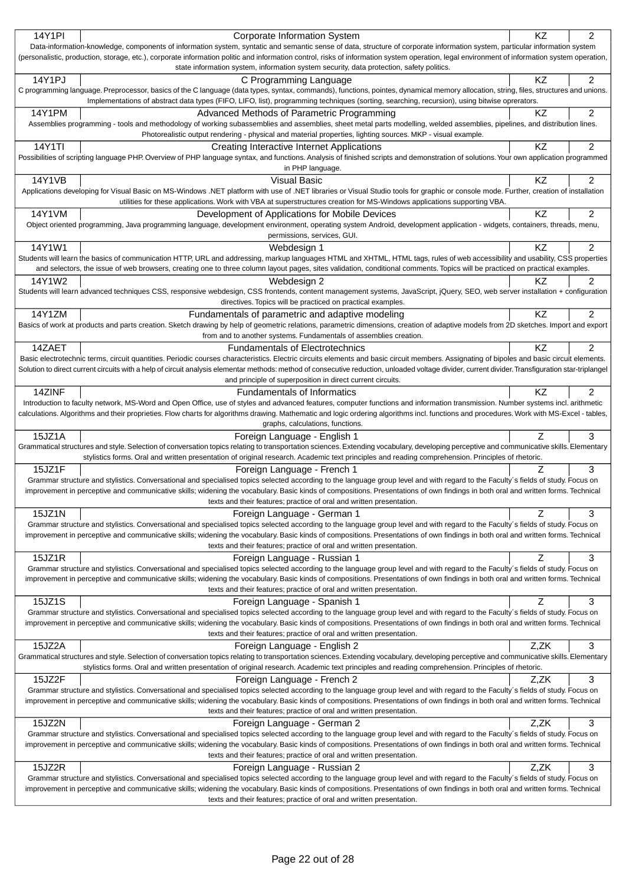| 14Y1PI | Corporate Information System                                                                                                                                                                                                                                                                                                                                   | <b>KZ</b> | $\overline{2}$ |
|--------|----------------------------------------------------------------------------------------------------------------------------------------------------------------------------------------------------------------------------------------------------------------------------------------------------------------------------------------------------------------|-----------|----------------|
|        | Data-information-knowledge, components of information system, syntatic and semantic sense of data, structure of corporate information system, particular information system                                                                                                                                                                                    |           |                |
|        | (personalistic, production, storage, etc.), corporate information politic and information control, risks of information system operation, legal environment of information system operation,                                                                                                                                                                   |           |                |
|        | state information system, information system security, data protection, safety politics.                                                                                                                                                                                                                                                                       |           |                |
| 14Y1PJ | C Programming Language                                                                                                                                                                                                                                                                                                                                         | KZ        | $\overline{2}$ |
|        | C programming language. Preprocessor, basics of the C language (data types, syntax, commands), functions, pointes, dynamical memory allocation, string, files, structures and unions.<br>Implementations of abstract data types (FIFO, LIFO, list), programming techniques (sorting, searching, recursion), using bitwise oprerators.                          |           |                |
| 14Y1PM | Advanced Methods of Parametric Programming                                                                                                                                                                                                                                                                                                                     | ΚZ        | 2              |
|        | Assemblies programming - tools and methodology of working subassemblies and assemblies, sheet metal parts modelling, welded assemblies, pipelines, and distribution lines.                                                                                                                                                                                     |           |                |
|        | Photorealistic output rendering - physical and material properties, lighting sources. MKP - visual example.                                                                                                                                                                                                                                                    |           |                |
| 14Y1TI | Creating Interactive Internet Applications                                                                                                                                                                                                                                                                                                                     | KZ        | $\overline{c}$ |
|        | Possibilities of scripting language PHP. Overview of PHP language syntax, and functions. Analysis of finished scripts and demonstration of solutions. Your own application programmed                                                                                                                                                                          |           |                |
|        | in PHP language.                                                                                                                                                                                                                                                                                                                                               |           |                |
| 14Y1VB | <b>Visual Basic</b>                                                                                                                                                                                                                                                                                                                                            | <b>KZ</b> | 2              |
|        | Applications developing for Visual Basic on MS-Windows .NET platform with use of .NET libraries or Visual Studio tools for graphic or console mode. Further, creation of installation                                                                                                                                                                          |           |                |
|        | utilities for these applications. Work with VBA at superstructures creation for MS-Windows applications supporting VBA.                                                                                                                                                                                                                                        |           |                |
| 14Y1VM | Development of Applications for Mobile Devices                                                                                                                                                                                                                                                                                                                 | KZ        | 2              |
|        | Object oriented programming, Java programming language, development environment, operating system Android, development application - widgets, containers, threads, menu,                                                                                                                                                                                       |           |                |
|        | permissions, services, GUI.                                                                                                                                                                                                                                                                                                                                    |           |                |
| 14Y1W1 | Webdesign 1                                                                                                                                                                                                                                                                                                                                                    | KZ        | $\overline{2}$ |
|        | Students will learn the basics of communication HTTP, URL and addressing, markup languages HTML and XHTML, HTML tags, rules of web accessibility and usability, CSS properties<br>and selectors, the issue of web browsers, creating one to three column layout pages, sites validation, conditional comments. Topics will be practiced on practical examples. |           |                |
| 14Y1W2 | Webdesign 2                                                                                                                                                                                                                                                                                                                                                    | ΚZ        | 2              |
|        | Students will learn advanced techniques CSS, responsive webdesign, CSS frontends, content management systems, JavaScript, jQuery, SEO, web server installation + configuration                                                                                                                                                                                 |           |                |
|        | directives. Topics will be practiced on practical examples.                                                                                                                                                                                                                                                                                                    |           |                |
| 14Y1ZM | Fundamentals of parametric and adaptive modeling                                                                                                                                                                                                                                                                                                               | KZ        | $\overline{2}$ |
|        | Basics of work at products and parts creation. Sketch drawing by help of geometric relations, parametric dimensions, creation of adaptive models from 2D sketches. Import and export                                                                                                                                                                           |           |                |
|        | from and to another systems. Fundamentals of assemblies creation.                                                                                                                                                                                                                                                                                              |           |                |
| 14ZAET | <b>Fundamentals of Electrotechnics</b>                                                                                                                                                                                                                                                                                                                         | KZ        | $\overline{2}$ |
|        | Basic electrotechnic terms, circuit quantities. Periodic courses characteristics. Electric circuits elements and basic circuit members. Assignating of bipoles and basic circuit elements.                                                                                                                                                                     |           |                |
|        | Solution to direct current circuits with a help of circuit analysis elementar methods: method of consecutive reduction, unloaded voltage divider, current divider. Transfiguration star-triplangel                                                                                                                                                             |           |                |
|        | and principle of superposition in direct current circuits.                                                                                                                                                                                                                                                                                                     |           |                |
| 14ZINF | <b>Fundamentals of Informatics</b>                                                                                                                                                                                                                                                                                                                             | ΚZ        | $\overline{2}$ |
|        | Introduction to faculty network, MS-Word and Open Office, use of styles and advanced features, computer functions and information transmission. Number systems incl. arithmetic                                                                                                                                                                                |           |                |
|        | calculations. Algorithms and their proprieties. Flow charts for algorithms drawing. Mathematic and logic ordering algorithms incl. functions and procedures. Work with MS-Excel - tables,<br>graphs, calculations, functions.                                                                                                                                  |           |                |
| 15JZ1A | Foreign Language - English 1                                                                                                                                                                                                                                                                                                                                   | Ζ         | 3              |
|        | Grammatical structures and style. Selection of conversation topics relating to transportation sciences. Extending vocabulary, developing perceptive and communicative skills. Elementary                                                                                                                                                                       |           |                |
|        | stylistics forms. Oral and written presentation of original research. Academic text principles and reading comprehension. Principles of rhetoric.                                                                                                                                                                                                              |           |                |
| 15JZ1F | Foreign Language - French 1                                                                                                                                                                                                                                                                                                                                    | Z         | 3              |
|        | Grammar structure and stylistics. Conversational and specialised topics selected according to the language group level and with regard to the Faculty's fields of study. Focus on                                                                                                                                                                              |           |                |
|        | improvement in perceptive and communicative skills; widening the vocabulary. Basic kinds of compositions. Presentations of own findings in both oral and written forms. Technical                                                                                                                                                                              |           |                |
|        | texts and their features; practice of oral and written presentation.                                                                                                                                                                                                                                                                                           |           |                |
| 15JZ1N | Foreign Language - German 1                                                                                                                                                                                                                                                                                                                                    | Z         | 3              |
|        | Grammar structure and stylistics. Conversational and specialised topics selected according to the language group level and with regard to the Faculty's fields of study. Focus on                                                                                                                                                                              |           |                |
|        | improvement in perceptive and communicative skills; widening the vocabulary. Basic kinds of compositions. Presentations of own findings in both oral and written forms. Technical<br>texts and their features; practice of oral and written presentation.                                                                                                      |           |                |
| 15JZ1R |                                                                                                                                                                                                                                                                                                                                                                | Z         | 3              |
|        | Foreign Language - Russian 1<br>Grammar structure and stylistics. Conversational and specialised topics selected according to the language group level and with regard to the Faculty's fields of study. Focus on                                                                                                                                              |           |                |
|        | improvement in perceptive and communicative skills; widening the vocabulary. Basic kinds of compositions. Presentations of own findings in both oral and written forms. Technical                                                                                                                                                                              |           |                |
|        | texts and their features; practice of oral and written presentation.                                                                                                                                                                                                                                                                                           |           |                |
| 15JZ1S | Foreign Language - Spanish 1                                                                                                                                                                                                                                                                                                                                   | Z         | 3              |
|        | Grammar structure and stylistics. Conversational and specialised topics selected according to the language group level and with regard to the Faculty's fields of study. Focus on                                                                                                                                                                              |           |                |
|        | improvement in perceptive and communicative skills; widening the vocabulary. Basic kinds of compositions. Presentations of own findings in both oral and written forms. Technical                                                                                                                                                                              |           |                |
|        | texts and their features; practice of oral and written presentation.                                                                                                                                                                                                                                                                                           |           |                |
| 15JZ2A | Foreign Language - English 2                                                                                                                                                                                                                                                                                                                                   | Z,ZK      | 3              |
|        | Grammatical structures and style. Selection of conversation topics relating to transportation sciences. Extending vocabulary, developing perceptive and communicative skills. Elementary                                                                                                                                                                       |           |                |
|        | stylistics forms. Oral and written presentation of original research. Academic text principles and reading comprehension. Principles of rhetoric.                                                                                                                                                                                                              |           |                |
| 15JZ2F | Foreign Language - French 2<br>Grammar structure and stylistics. Conversational and specialised topics selected according to the language group level and with regard to the Faculty's fields of study. Focus on                                                                                                                                               | Z,ZK      | $\sqrt{3}$     |
|        | improvement in perceptive and communicative skills; widening the vocabulary. Basic kinds of compositions. Presentations of own findings in both oral and written forms. Technical                                                                                                                                                                              |           |                |
|        | texts and their features; practice of oral and written presentation.                                                                                                                                                                                                                                                                                           |           |                |
| 15JZ2N | Foreign Language - German 2                                                                                                                                                                                                                                                                                                                                    | Z,ZK      | 3              |
|        | Grammar structure and stylistics. Conversational and specialised topics selected according to the language group level and with regard to the Faculty's fields of study. Focus on                                                                                                                                                                              |           |                |
|        | improvement in perceptive and communicative skills; widening the vocabulary. Basic kinds of compositions. Presentations of own findings in both oral and written forms. Technical                                                                                                                                                                              |           |                |
|        | texts and their features; practice of oral and written presentation.                                                                                                                                                                                                                                                                                           |           |                |
| 15JZ2R | Foreign Language - Russian 2                                                                                                                                                                                                                                                                                                                                   | Z,ZK      | 3              |
|        | Grammar structure and stylistics. Conversational and specialised topics selected according to the language group level and with regard to the Faculty's fields of study. Focus on                                                                                                                                                                              |           |                |
|        | improvement in perceptive and communicative skills; widening the vocabulary. Basic kinds of compositions. Presentations of own findings in both oral and written forms. Technical                                                                                                                                                                              |           |                |
|        | texts and their features; practice of oral and written presentation.                                                                                                                                                                                                                                                                                           |           |                |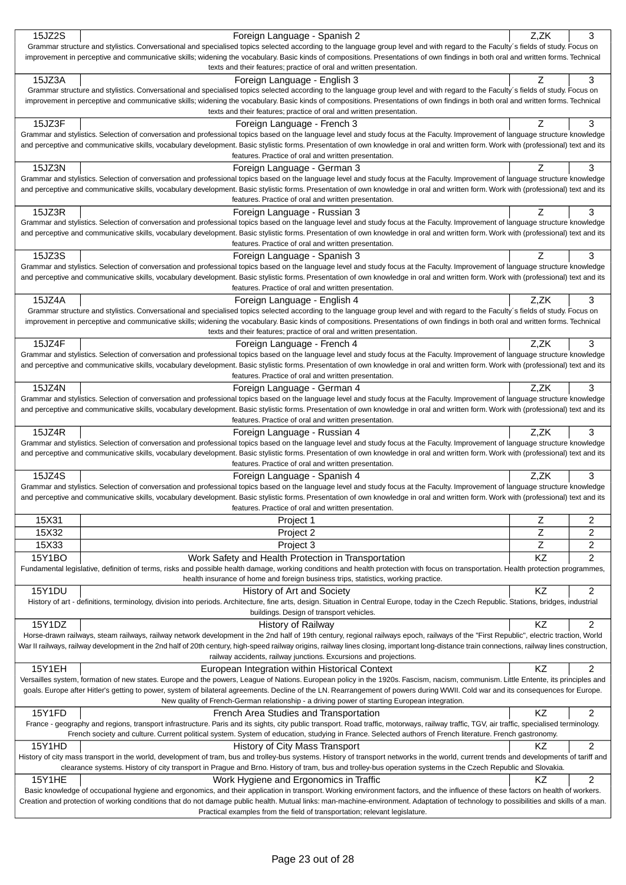| 15JZ2S                                                                                                                                                                                                                                                    | Foreign Language - Spanish 2                                                                                                                                                                                                                                                                                                                                               | Z,ZK           | 3              |  |
|-----------------------------------------------------------------------------------------------------------------------------------------------------------------------------------------------------------------------------------------------------------|----------------------------------------------------------------------------------------------------------------------------------------------------------------------------------------------------------------------------------------------------------------------------------------------------------------------------------------------------------------------------|----------------|----------------|--|
|                                                                                                                                                                                                                                                           | Grammar structure and stylistics. Conversational and specialised topics selected according to the language group level and with regard to the Faculty's fields of study. Focus on                                                                                                                                                                                          |                |                |  |
| improvement in perceptive and communicative skills; widening the vocabulary. Basic kinds of compositions. Presentations of own findings in both oral and written forms. Technical<br>texts and their features; practice of oral and written presentation. |                                                                                                                                                                                                                                                                                                                                                                            |                |                |  |
| 15JZ3A                                                                                                                                                                                                                                                    | Foreign Language - English 3                                                                                                                                                                                                                                                                                                                                               | Ζ              | 3              |  |
|                                                                                                                                                                                                                                                           | Grammar structure and stylistics. Conversational and specialised topics selected according to the language group level and with regard to the Faculty's fields of study. Focus on                                                                                                                                                                                          |                |                |  |
|                                                                                                                                                                                                                                                           | improvement in perceptive and communicative skills; widening the vocabulary. Basic kinds of compositions. Presentations of own findings in both oral and written forms. Technical                                                                                                                                                                                          |                |                |  |
|                                                                                                                                                                                                                                                           | texts and their features; practice of oral and written presentation.                                                                                                                                                                                                                                                                                                       |                |                |  |
| 15JZ3F                                                                                                                                                                                                                                                    | Foreign Language - French 3                                                                                                                                                                                                                                                                                                                                                | Z              | 3              |  |
|                                                                                                                                                                                                                                                           | Grammar and stylistics. Selection of conversation and professional topics based on the language level and study focus at the Faculty. Improvement of language structure knowledge<br>and perceptive and communicative skills, vocabulary development. Basic stylistic forms. Presentation of own knowledge in oral and written form. Work with (professional) text and its |                |                |  |
|                                                                                                                                                                                                                                                           | features. Practice of oral and written presentation.                                                                                                                                                                                                                                                                                                                       |                |                |  |
| 15JZ3N                                                                                                                                                                                                                                                    | Foreign Language - German 3                                                                                                                                                                                                                                                                                                                                                | Z              | 3              |  |
|                                                                                                                                                                                                                                                           | Grammar and stylistics. Selection of conversation and professional topics based on the language level and study focus at the Faculty. Improvement of language structure knowledge                                                                                                                                                                                          |                |                |  |
|                                                                                                                                                                                                                                                           | and perceptive and communicative skills, vocabulary development. Basic stylistic forms. Presentation of own knowledge in oral and written form. Work with (professional) text and its                                                                                                                                                                                      |                |                |  |
|                                                                                                                                                                                                                                                           | features. Practice of oral and written presentation.                                                                                                                                                                                                                                                                                                                       |                |                |  |
| 15JZ3R                                                                                                                                                                                                                                                    | Foreign Language - Russian 3<br>Grammar and stylistics. Selection of conversation and professional topics based on the language level and study focus at the Faculty. Improvement of language structure knowledge                                                                                                                                                          | Z              | 3              |  |
|                                                                                                                                                                                                                                                           | and perceptive and communicative skills, vocabulary development. Basic stylistic forms. Presentation of own knowledge in oral and written form. Work with (professional) text and its                                                                                                                                                                                      |                |                |  |
|                                                                                                                                                                                                                                                           | features. Practice of oral and written presentation.                                                                                                                                                                                                                                                                                                                       |                |                |  |
| 15JZ3S                                                                                                                                                                                                                                                    | Foreign Language - Spanish 3                                                                                                                                                                                                                                                                                                                                               | Z              | 3              |  |
|                                                                                                                                                                                                                                                           | Grammar and stylistics. Selection of conversation and professional topics based on the language level and study focus at the Faculty. Improvement of language structure knowledge                                                                                                                                                                                          |                |                |  |
|                                                                                                                                                                                                                                                           | and perceptive and communicative skills, vocabulary development. Basic stylistic forms. Presentation of own knowledge in oral and written form. Work with (professional) text and its                                                                                                                                                                                      |                |                |  |
| 15JZ4A                                                                                                                                                                                                                                                    | features. Practice of oral and written presentation.                                                                                                                                                                                                                                                                                                                       | Z.ZK           | 3              |  |
|                                                                                                                                                                                                                                                           | Foreign Language - English 4<br>Grammar structure and stylistics. Conversational and specialised topics selected according to the language group level and with regard to the Faculty's fields of study. Focus on                                                                                                                                                          |                |                |  |
|                                                                                                                                                                                                                                                           | improvement in perceptive and communicative skills; widening the vocabulary. Basic kinds of compositions. Presentations of own findings in both oral and written forms. Technical                                                                                                                                                                                          |                |                |  |
|                                                                                                                                                                                                                                                           | texts and their features; practice of oral and written presentation.                                                                                                                                                                                                                                                                                                       |                |                |  |
| 15JZ4F                                                                                                                                                                                                                                                    | Foreign Language - French 4                                                                                                                                                                                                                                                                                                                                                | Z.ZK           | 3              |  |
|                                                                                                                                                                                                                                                           | Grammar and stylistics. Selection of conversation and professional topics based on the language level and study focus at the Faculty. Improvement of language structure knowledge                                                                                                                                                                                          |                |                |  |
|                                                                                                                                                                                                                                                           | and perceptive and communicative skills, vocabulary development. Basic stylistic forms. Presentation of own knowledge in oral and written form. Work with (professional) text and its<br>features. Practice of oral and written presentation.                                                                                                                              |                |                |  |
| 15JZ4N                                                                                                                                                                                                                                                    | Foreign Language - German 4                                                                                                                                                                                                                                                                                                                                                | Z.ZK           | 3              |  |
|                                                                                                                                                                                                                                                           | Grammar and stylistics. Selection of conversation and professional topics based on the language level and study focus at the Faculty. Improvement of language structure knowledge                                                                                                                                                                                          |                |                |  |
|                                                                                                                                                                                                                                                           | and perceptive and communicative skills, vocabulary development. Basic stylistic forms. Presentation of own knowledge in oral and written form. Work with (professional) text and its                                                                                                                                                                                      |                |                |  |
|                                                                                                                                                                                                                                                           | features. Practice of oral and written presentation.                                                                                                                                                                                                                                                                                                                       |                |                |  |
|                                                                                                                                                                                                                                                           |                                                                                                                                                                                                                                                                                                                                                                            |                |                |  |
| 15JZ4R                                                                                                                                                                                                                                                    | Foreign Language - Russian 4                                                                                                                                                                                                                                                                                                                                               | Z,ZK           | 3              |  |
|                                                                                                                                                                                                                                                           | Grammar and stylistics. Selection of conversation and professional topics based on the language level and study focus at the Faculty. Improvement of language structure knowledge                                                                                                                                                                                          |                |                |  |
|                                                                                                                                                                                                                                                           | and perceptive and communicative skills, vocabulary development. Basic stylistic forms. Presentation of own knowledge in oral and written form. Work with (professional) text and its                                                                                                                                                                                      |                |                |  |
|                                                                                                                                                                                                                                                           | features. Practice of oral and written presentation.                                                                                                                                                                                                                                                                                                                       |                |                |  |
| 15JZ4S                                                                                                                                                                                                                                                    | Foreign Language - Spanish 4<br>Grammar and stylistics. Selection of conversation and professional topics based on the language level and study focus at the Faculty. Improvement of language structure knowledge                                                                                                                                                          | Z.ZK           | 3              |  |
|                                                                                                                                                                                                                                                           | and perceptive and communicative skills, vocabulary development. Basic stylistic forms. Presentation of own knowledge in oral and written form. Work with (professional) text and its                                                                                                                                                                                      |                |                |  |
|                                                                                                                                                                                                                                                           | features. Practice of oral and written presentation.                                                                                                                                                                                                                                                                                                                       |                |                |  |
| 15X31                                                                                                                                                                                                                                                     | Project 1                                                                                                                                                                                                                                                                                                                                                                  | Z              | 2              |  |
| 15X32                                                                                                                                                                                                                                                     | Project 2                                                                                                                                                                                                                                                                                                                                                                  | Z              | $\overline{c}$ |  |
| 15X33                                                                                                                                                                                                                                                     | Project 3                                                                                                                                                                                                                                                                                                                                                                  | $\overline{z}$ | 2              |  |
| 15Y1BO                                                                                                                                                                                                                                                    | Work Safety and Health Protection in Transportation                                                                                                                                                                                                                                                                                                                        | KZ             | $\overline{c}$ |  |
|                                                                                                                                                                                                                                                           | Fundamental legislative, definition of terms, risks and possible health damage, working conditions and health protection with focus on transportation. Health protection programmes,                                                                                                                                                                                       |                |                |  |
|                                                                                                                                                                                                                                                           | health insurance of home and foreign business trips, statistics, working practice.                                                                                                                                                                                                                                                                                         |                |                |  |
| <b>15Y1DU</b>                                                                                                                                                                                                                                             | History of Art and Society<br>History of art - definitions, terminology, division into periods. Architecture, fine arts, design. Situation in Central Europe, today in the Czech Republic. Stations, bridges, industrial                                                                                                                                                   | KZ             | 2              |  |
|                                                                                                                                                                                                                                                           | buildings. Design of transport vehicles.                                                                                                                                                                                                                                                                                                                                   |                |                |  |
| 15Y1DZ                                                                                                                                                                                                                                                    | History of Railway                                                                                                                                                                                                                                                                                                                                                         | <b>KZ</b>      | $\overline{c}$ |  |
|                                                                                                                                                                                                                                                           | Horse-drawn railways, steam railways, railway network development in the 2nd half of 19th century, regional railways epoch, railways of the "First Republic", electric traction, World                                                                                                                                                                                     |                |                |  |
|                                                                                                                                                                                                                                                           | War II railways, railway development in the 2nd half of 20th century, high-speed railway origins, railway lines closing, important long-distance train connections, railway lines construction,                                                                                                                                                                            |                |                |  |
|                                                                                                                                                                                                                                                           | railway accidents, railway junctions. Excursions and projections.                                                                                                                                                                                                                                                                                                          |                |                |  |
| <b>15Y1EH</b>                                                                                                                                                                                                                                             | European Integration within Historical Context<br>Versailles system, formation of new states. Europe and the powers, League of Nations. European policy in the 1920s. Fascism, nacism, communism. Little Entente, its principles and                                                                                                                                       | KZ             | 2              |  |
|                                                                                                                                                                                                                                                           | goals. Europe after Hitler's getting to power, system of bilateral agreements. Decline of the LN. Rearrangement of powers during WWII. Cold war and its consequences for Europe.                                                                                                                                                                                           |                |                |  |
|                                                                                                                                                                                                                                                           | New quality of French-German relationship - a driving power of starting European integration.                                                                                                                                                                                                                                                                              |                |                |  |
| 15Y1FD                                                                                                                                                                                                                                                    | French Area Studies and Transportation                                                                                                                                                                                                                                                                                                                                     | KZ             | $\overline{c}$ |  |
|                                                                                                                                                                                                                                                           | France - geography and regions, transport infrastructure. Paris and its sights, city public transport. Road traffic, motorways, railway traffic, TGV, air traffic, specialised terminology.                                                                                                                                                                                |                |                |  |
|                                                                                                                                                                                                                                                           | French society and culture. Current political system. System of education, studying in France. Selected authors of French literature. French gastronomy.                                                                                                                                                                                                                   |                |                |  |
| 15Y1HD                                                                                                                                                                                                                                                    | History of City Mass Transport<br>History of city mass transport in the world, development of tram, bus and trolley-bus systems. History of transport networks in the world, current trends and developments of tariff and                                                                                                                                                 | ΚZ             | $\overline{c}$ |  |
|                                                                                                                                                                                                                                                           | clearance systems. History of city transport in Prague and Brno. History of tram, bus and trolley-bus operation systems in the Czech Republic and Slovakia.                                                                                                                                                                                                                |                |                |  |
| <b>15Y1HE</b>                                                                                                                                                                                                                                             | Work Hygiene and Ergonomics in Traffic                                                                                                                                                                                                                                                                                                                                     | KZ             | 2              |  |
|                                                                                                                                                                                                                                                           | Basic knowledge of occupational hygiene and ergonomics, and their application in transport. Working environment factors, and the influence of these factors on health of workers.                                                                                                                                                                                          |                |                |  |
|                                                                                                                                                                                                                                                           | Creation and protection of working conditions that do not damage public health. Mutual links: man-machine-environment. Adaptation of technology to possibilities and skills of a man.<br>Practical examples from the field of transportation; relevant legislature.                                                                                                        |                |                |  |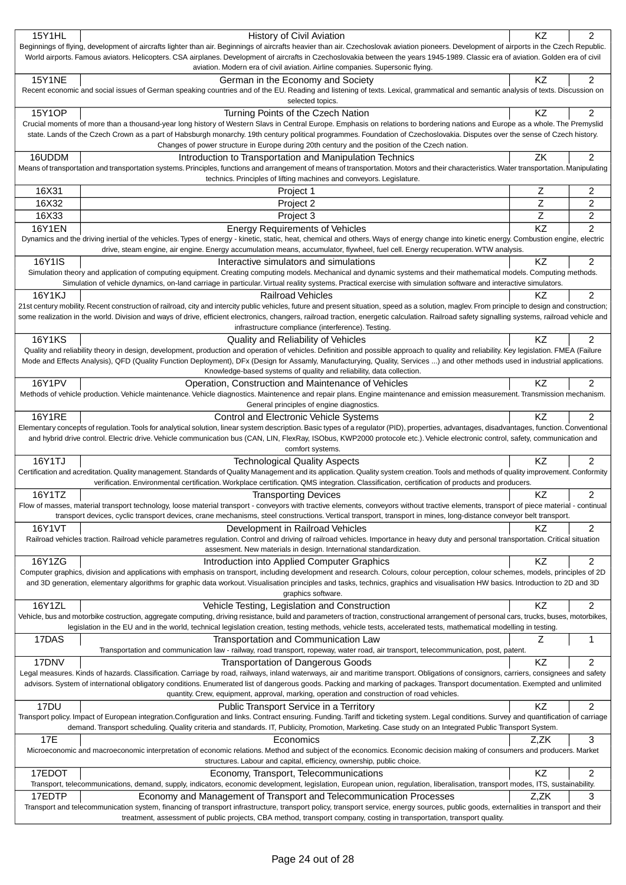| <b>15Y1HL</b>                                                                                                                                                                     | History of Civil Aviation                                                                                                                                                                                                                                                                                                                             | KZ        | $\overline{2}$ |  |
|-----------------------------------------------------------------------------------------------------------------------------------------------------------------------------------|-------------------------------------------------------------------------------------------------------------------------------------------------------------------------------------------------------------------------------------------------------------------------------------------------------------------------------------------------------|-----------|----------------|--|
|                                                                                                                                                                                   | Beginnings of flying, development of aircrafts lighter than air. Beginnings of aircrafts heavier than air. Czechoslovak aviation pioneers. Development of airports in the Czech Republic.                                                                                                                                                             |           |                |  |
| World airports. Famous aviators. Helicopters. CSA airplanes. Development of aircrafts in Czechoslovakia between the years 1945-1989. Classic era of aviation. Golden era of civil |                                                                                                                                                                                                                                                                                                                                                       |           |                |  |
|                                                                                                                                                                                   | aviation. Modern era of civil aviation. Airline companies. Supersonic flying.                                                                                                                                                                                                                                                                         |           |                |  |
| <b>15Y1NE</b>                                                                                                                                                                     | German in the Economy and Society<br>Recent economic and social issues of German speaking countries and of the EU. Reading and listening of texts. Lexical, grammatical and semantic analysis of texts. Discussion on                                                                                                                                 | KZ        | 2              |  |
|                                                                                                                                                                                   | selected topics.                                                                                                                                                                                                                                                                                                                                      |           |                |  |
| 15Y1OP                                                                                                                                                                            | Turning Points of the Czech Nation                                                                                                                                                                                                                                                                                                                    | KZ        | 2              |  |
|                                                                                                                                                                                   | Crucial moments of more than a thousand-year long history of Western Slavs in Central Europe. Emphasis on relations to bordering nations and Europe as a whole. The Premyslid                                                                                                                                                                         |           |                |  |
|                                                                                                                                                                                   | state. Lands of the Czech Crown as a part of Habsburgh monarchy. 19th century political programmes. Foundation of Czechoslovakia. Disputes over the sense of Czech history.                                                                                                                                                                           |           |                |  |
|                                                                                                                                                                                   | Changes of power structure in Europe during 20th century and the position of the Czech nation.                                                                                                                                                                                                                                                        |           |                |  |
| 16UDDM                                                                                                                                                                            | Introduction to Transportation and Manipulation Technics                                                                                                                                                                                                                                                                                              | ZK        | $\overline{2}$ |  |
|                                                                                                                                                                                   | Means of transportation and transportation systems. Principles, functions and arrangement of means of transportation. Motors and their characteristics. Water transportation. Manipulating                                                                                                                                                            |           |                |  |
|                                                                                                                                                                                   | technics. Principles of lifting machines and conveyors. Legislature.                                                                                                                                                                                                                                                                                  |           |                |  |
| 16X31                                                                                                                                                                             | Project 1                                                                                                                                                                                                                                                                                                                                             | Z         | $\overline{2}$ |  |
| 16X32                                                                                                                                                                             | Project 2                                                                                                                                                                                                                                                                                                                                             | Z         | 2              |  |
| 16X33                                                                                                                                                                             | Project 3                                                                                                                                                                                                                                                                                                                                             | Z         | $\overline{c}$ |  |
| <b>16Y1EN</b>                                                                                                                                                                     | <b>Energy Requirements of Vehicles</b>                                                                                                                                                                                                                                                                                                                | KZ        | $\overline{2}$ |  |
|                                                                                                                                                                                   | Dynamics and the driving inertial of the vehicles. Types of energy - kinetic, static, heat, chemical and others. Ways of energy change into kinetic energy. Combustion engine, electric<br>drive, steam engine, air engine. Energy accumulation means, accumulator, flywheel, fuel cell. Energy recuperation. WTW analysis.                           |           |                |  |
| 16Y1IS                                                                                                                                                                            |                                                                                                                                                                                                                                                                                                                                                       | KZ        |                |  |
|                                                                                                                                                                                   | Interactive simulators and simulations<br>Simulation theory and application of computing equipment. Creating computing models. Mechanical and dynamic systems and their mathematical models. Computing methods.                                                                                                                                       |           | $\overline{c}$ |  |
|                                                                                                                                                                                   | Simulation of vehicle dynamics, on-land carriage in particular. Virtual reality systems. Practical exercise with simulation software and interactive simulators.                                                                                                                                                                                      |           |                |  |
| 16Y1KJ                                                                                                                                                                            | <b>Railroad Vehicles</b>                                                                                                                                                                                                                                                                                                                              | ΚZ        | $\overline{2}$ |  |
|                                                                                                                                                                                   | 21st century mobility. Recent construction of railroad, city and intercity public vehicles, future and present situation, speed as a solution, maglev. From principle to design and construction;                                                                                                                                                     |           |                |  |
|                                                                                                                                                                                   | some realization in the world. Division and ways of drive, efficient electronics, changers, railroad traction, energetic calculation. Railroad safety signalling systems, railroad vehicle and                                                                                                                                                        |           |                |  |
|                                                                                                                                                                                   | infrastructure compliance (interference). Testing.                                                                                                                                                                                                                                                                                                    |           |                |  |
| <b>16Y1KS</b>                                                                                                                                                                     | Quality and Reliability of Vehicles                                                                                                                                                                                                                                                                                                                   | ΚZ        | $\overline{2}$ |  |
|                                                                                                                                                                                   | Quality and reliability theory in design, development, production and operation of vehicles. Definition and possible approach to quality and reliability. Key legislation. FMEA (Failure                                                                                                                                                              |           |                |  |
|                                                                                                                                                                                   | Mode and Effects Analysis), QFD (Quality Function Deployment), DFx (Design for Assamly, Manufacturying, Quality, Services ) and other methods used in industrial applications.                                                                                                                                                                        |           |                |  |
|                                                                                                                                                                                   | Knowledge-based systems of quality and reliability, data collection.                                                                                                                                                                                                                                                                                  |           |                |  |
| 16Y1PV                                                                                                                                                                            | Operation, Construction and Maintenance of Vehicles<br>Methods of vehicle production. Vehicle maintenance. Vehicle diagnostics. Maintenence and repair plans. Engine maintenance and emission measurement. Transmission mechanism.                                                                                                                    | KZ        | 2              |  |
|                                                                                                                                                                                   | General principles of engine diagnostics.                                                                                                                                                                                                                                                                                                             |           |                |  |
| <b>16Y1RE</b>                                                                                                                                                                     | Control and Electronic Vehicle Systems                                                                                                                                                                                                                                                                                                                | KZ        | $\overline{2}$ |  |
|                                                                                                                                                                                   | Elementary concepts of regulation. Tools for analytical solution, linear system description. Basic types of a regulator (PID), properties, advantages, disadvantages, function. Conventional                                                                                                                                                          |           |                |  |
|                                                                                                                                                                                   | and hybrid drive control. Electric drive. Vehicle communication bus (CAN, LIN, FlexRay, ISObus, KWP2000 protocole etc.). Vehicle electronic control, safety, communication and                                                                                                                                                                        |           |                |  |
|                                                                                                                                                                                   | comfort systems.                                                                                                                                                                                                                                                                                                                                      |           |                |  |
| 16Y1TJ                                                                                                                                                                            | <b>Technological Quality Aspects</b>                                                                                                                                                                                                                                                                                                                  | <b>KZ</b> | 2              |  |
|                                                                                                                                                                                   | Certification and acreditation. Quality management. Standards of Quality Management and its application. Quality system creation. Tools and methods of quality improvement. Conformity                                                                                                                                                                |           |                |  |
|                                                                                                                                                                                   | verification. Environmental certification. Workplace certification. QMS integration. Classification, certification of products and producers.                                                                                                                                                                                                         |           |                |  |
| 16Y1TZ                                                                                                                                                                            | <b>Transporting Devices</b><br>Flow of masses, material transport technology, loose material transport - conveyors with tractive elements, conveyors without tractive elements, transport of piece material - continual                                                                                                                               | KZ        | 2              |  |
|                                                                                                                                                                                   | transport devices, cyclic transport devices, crane mechanisms, steel constructions. Vertical transport, transport in mines, long-distance conveyor belt transport.                                                                                                                                                                                    |           |                |  |
| 16Y1VT                                                                                                                                                                            | Development in Railroad Vehicles                                                                                                                                                                                                                                                                                                                      | KZ        | $\overline{c}$ |  |
|                                                                                                                                                                                   | Railroad vehicles traction. Railroad vehicle parametres regulation. Control and driving of railroad vehicles. Importance in heavy duty and personal transportation. Critical situation                                                                                                                                                                |           |                |  |
|                                                                                                                                                                                   | assesment. New materials in design. International standardization.                                                                                                                                                                                                                                                                                    |           |                |  |
| 16Y1ZG                                                                                                                                                                            | Introduction into Applied Computer Graphics                                                                                                                                                                                                                                                                                                           | KZ        | 2              |  |
|                                                                                                                                                                                   | Computer graphics, division and applications with emphasis on transport, including development and research. Colours, colour perception, colour schemes, models, principles of 2D                                                                                                                                                                     |           |                |  |
|                                                                                                                                                                                   | and 3D generation, elementary algorithms for graphic data workout. Visualisation principles and tasks, technics, graphics and visualisation HW basics. Introduction to 2D and 3D                                                                                                                                                                      |           |                |  |
|                                                                                                                                                                                   | graphics software.                                                                                                                                                                                                                                                                                                                                    |           |                |  |
| 16Y1ZL                                                                                                                                                                            | Vehicle Testing, Legislation and Construction<br>Vehicle, bus and motorbike costruction, aggregate computing, driving resistance, build and parameters of traction, constructional arrangement of personal cars, trucks, buses, motorbikes,                                                                                                           | KZ        | 2              |  |
|                                                                                                                                                                                   | legislation in the EU and in the world, technical legislation creation, testing methods, vehicle tests, accelerated tests, mathematical modelling in testing.                                                                                                                                                                                         |           |                |  |
| 17DAS                                                                                                                                                                             | Transportation and Communication Law                                                                                                                                                                                                                                                                                                                  | Ζ         | 1              |  |
|                                                                                                                                                                                   | Transportation and communication law - railway, road transport, ropeway, water road, air transport, telecommunication, post, patent.                                                                                                                                                                                                                  |           |                |  |
| 17DNV                                                                                                                                                                             | <b>Transportation of Dangerous Goods</b>                                                                                                                                                                                                                                                                                                              | KZ        | $\overline{c}$ |  |
|                                                                                                                                                                                   | Legal measures. Kinds of hazards. Classification. Carriage by road, railways, inland waterways, air and maritime transport. Obligations of consignors, carriers, consignees and safety                                                                                                                                                                |           |                |  |
|                                                                                                                                                                                   | advisors. System of international obligatory conditions. Enumerated list of dangerous goods. Packing and marking of packages. Transport documentation. Exempted and unlimited                                                                                                                                                                         |           |                |  |
|                                                                                                                                                                                   | quantity. Crew, equipment, approval, marking, operation and construction of road vehicles.                                                                                                                                                                                                                                                            |           |                |  |
| 17DU                                                                                                                                                                              | Public Transport Service in a Territory                                                                                                                                                                                                                                                                                                               | KZ        | 2              |  |
|                                                                                                                                                                                   | Transport policy. Impact of European integration.Configuration and links. Contract ensuring. Funding. Tariff and ticketing system. Legal conditions. Survey and quantification of carriage<br>demand. Transport scheduling. Quality criteria and standards. IT, Publicity, Promotion, Marketing. Case study on an Integrated Public Transport System. |           |                |  |
| 17E                                                                                                                                                                               | Economics                                                                                                                                                                                                                                                                                                                                             | Z,ZK      | 3              |  |
|                                                                                                                                                                                   | Microeconomic and macroeconomic interpretation of economic relations. Method and subject of the economics. Economic decision making of consumers and producers. Market                                                                                                                                                                                |           |                |  |
|                                                                                                                                                                                   | structures. Labour and capital, efficiency, ownership, public choice.                                                                                                                                                                                                                                                                                 |           |                |  |
| 17EDOT                                                                                                                                                                            | Economy, Transport, Telecommunications                                                                                                                                                                                                                                                                                                                | KZ        | $\overline{c}$ |  |
|                                                                                                                                                                                   | Transport, telecommunications, demand, supply, indicators, economic development, legislation, European union, regulation, liberalisation, transport modes, ITS, sustainability.                                                                                                                                                                       |           |                |  |
| 17EDTP                                                                                                                                                                            | Economy and Management of Transport and Telecommunication Processes                                                                                                                                                                                                                                                                                   | Z,ZK      | 3              |  |
|                                                                                                                                                                                   | Transport and telecommunication system, financing of transport infrastructure, transport policy, transport service, energy sources, public goods, externalities in transport and their                                                                                                                                                                |           |                |  |
|                                                                                                                                                                                   | treatment, assessment of public projects, CBA method, transport company, costing in transportation, transport quality.                                                                                                                                                                                                                                |           |                |  |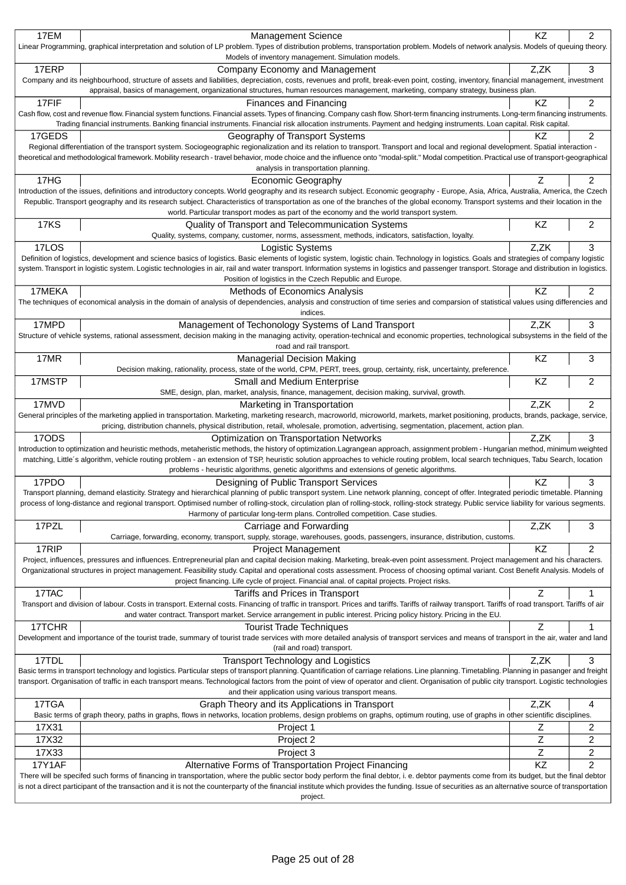| 17EM                                                                                                                                                                                                                                                                                                                                                                                           | <b>Management Science</b><br>Linear Programming, graphical interpretation and solution of LP problem. Types of distribution problems, transportation problem. Models of network analysis. Models of queuing theory.                                                                                                                                                          | KZ        | 2                       |
|------------------------------------------------------------------------------------------------------------------------------------------------------------------------------------------------------------------------------------------------------------------------------------------------------------------------------------------------------------------------------------------------|------------------------------------------------------------------------------------------------------------------------------------------------------------------------------------------------------------------------------------------------------------------------------------------------------------------------------------------------------------------------------|-----------|-------------------------|
| 17ERP                                                                                                                                                                                                                                                                                                                                                                                          | Models of inventory management. Simulation models.<br>Company Economy and Management                                                                                                                                                                                                                                                                                         | Z,ZK      | 3                       |
|                                                                                                                                                                                                                                                                                                                                                                                                | Company and its neighbourhood, structure of assets and liabilities, depreciation, costs, revenues and profit, break-even point, costing, inventory, financial management, investment<br>appraisal, basics of management, organizational structures, human resources management, marketing, company strategy, business plan.                                                  |           |                         |
| 17FIF                                                                                                                                                                                                                                                                                                                                                                                          | Finances and Financing                                                                                                                                                                                                                                                                                                                                                       | KZ        | 2                       |
|                                                                                                                                                                                                                                                                                                                                                                                                | Cash flow, cost and revenue flow. Financial system functions. Financial assets. Types of financing. Company cash flow. Short-term financing instruments. Long-term financing instruments.<br>Trading financial instruments. Banking financial instruments. Financial risk allocation instruments. Payment and hedging instruments. Loan capital. Risk capital.               |           |                         |
| 17GEDS                                                                                                                                                                                                                                                                                                                                                                                         | Geography of Transport Systems<br>Regional differentiation of the transport system. Sociogeographic regionalization and its relation to transport. Transport and local and regional development. Spatial interaction -                                                                                                                                                       | ΚZ        | 2                       |
|                                                                                                                                                                                                                                                                                                                                                                                                | theoretical and methodological framework. Mobility research - travel behavior, mode choice and the influence onto "modal-split." Modal competition. Practical use of transport-geographical<br>analysis in transportation planning.                                                                                                                                          |           |                         |
| 17HG                                                                                                                                                                                                                                                                                                                                                                                           | <b>Economic Geography</b>                                                                                                                                                                                                                                                                                                                                                    | Ζ         | 2                       |
|                                                                                                                                                                                                                                                                                                                                                                                                | Introduction of the issues, definitions and introductory concepts. World geography and its research subject. Economic geography - Europe, Asia, Africa, Australia, America, the Czech<br>Republic. Transport geography and its research subject. Characteristics of transportation as one of the branches of the global economy. Transport systems and their location in the |           |                         |
|                                                                                                                                                                                                                                                                                                                                                                                                | world. Particular transport modes as part of the economy and the world transport system.                                                                                                                                                                                                                                                                                     |           |                         |
| <b>17KS</b>                                                                                                                                                                                                                                                                                                                                                                                    | Quality of Transport and Telecommunication Systems<br>Quality, systems, company, customer, norms, assessment, methods, indicators, satisfaction, loyalty.                                                                                                                                                                                                                    | KZ        | 2                       |
| 17LOS                                                                                                                                                                                                                                                                                                                                                                                          | Logistic Systems                                                                                                                                                                                                                                                                                                                                                             | Z,ZK      | 3                       |
|                                                                                                                                                                                                                                                                                                                                                                                                | Definition of logistics, development and science basics of logistics. Basic elements of logistic system, logistic chain. Technology in logistics. Goals and strategies of company logistic                                                                                                                                                                                   |           |                         |
|                                                                                                                                                                                                                                                                                                                                                                                                | system. Transport in logistic system. Logistic technologies in air, rail and water transport. Information systems in logistics and passenger transport. Storage and distribution in logistics.<br>Position of logistics in the Czech Republic and Europe.                                                                                                                    |           |                         |
| 17MEKA                                                                                                                                                                                                                                                                                                                                                                                         | Methods of Economics Analysis                                                                                                                                                                                                                                                                                                                                                | <b>KZ</b> | $\overline{2}$          |
|                                                                                                                                                                                                                                                                                                                                                                                                | The techniques of economical analysis in the domain of analysis of dependencies, analysis and construction of time series and comparsion of statistical values using differencies and                                                                                                                                                                                        |           |                         |
|                                                                                                                                                                                                                                                                                                                                                                                                | indices.                                                                                                                                                                                                                                                                                                                                                                     |           |                         |
| 17MPD                                                                                                                                                                                                                                                                                                                                                                                          | Management of Techonology Systems of Land Transport<br>Structure of vehicle systems, rational assessment, decision making in the managing activity, operation-technical and economic properties, technological subsystems in the field of the                                                                                                                                | Z,ZK      | 3                       |
|                                                                                                                                                                                                                                                                                                                                                                                                | road and rail transport.                                                                                                                                                                                                                                                                                                                                                     |           |                         |
| 17MR                                                                                                                                                                                                                                                                                                                                                                                           | <b>Managerial Decision Making</b><br>Decision making, rationality, process, state of the world, CPM, PERT, trees, group, certainty, risk, uncertainty, preference.                                                                                                                                                                                                           | KZ        | 3                       |
| 17MSTP                                                                                                                                                                                                                                                                                                                                                                                         | Small and Medium Enterprise                                                                                                                                                                                                                                                                                                                                                  | KZ        | $\overline{\mathbf{c}}$ |
| 17MVD                                                                                                                                                                                                                                                                                                                                                                                          | SME, design, plan, market, analysis, finance, management, decision making, survival, growth.<br>Marketing in Transportation                                                                                                                                                                                                                                                  | Z,ZK      | $\overline{c}$          |
|                                                                                                                                                                                                                                                                                                                                                                                                | General principles of the marketing applied in transportation. Marketing, marketing research, macroworld, microworld, markets, market positioning, products, brands, package, service,                                                                                                                                                                                       |           |                         |
|                                                                                                                                                                                                                                                                                                                                                                                                | pricing, distribution channels, physical distribution, retail, wholesale, promotion, advertising, segmentation, placement, action plan.                                                                                                                                                                                                                                      |           |                         |
| 17ODS                                                                                                                                                                                                                                                                                                                                                                                          | Optimization on Transportation Networks<br>Introduction to optimization and heuristic methods, metaheristic methods, the history of optimization. Lagrangean approach, assignment problem - Hungarian method, minimum weighted                                                                                                                                               | Z,ZK      | 3                       |
|                                                                                                                                                                                                                                                                                                                                                                                                | matching, Little's algorithm, vehicle routing problem - an extension of TSP, heuristic solution approaches to vehicle routing problem, local search techniques, Tabu Search, location                                                                                                                                                                                        |           |                         |
| 17PDO                                                                                                                                                                                                                                                                                                                                                                                          | problems - heuristic algorithms, genetic algorithms and extensions of genetic algorithms.<br>Designing of Public Transport Services                                                                                                                                                                                                                                          | <b>KZ</b> | 3                       |
|                                                                                                                                                                                                                                                                                                                                                                                                | Transport planning, demand elasticity. Strategy and hierarchical planning of public transport system. Line network planning, concept of offer. Integrated periodic timetable. Planning                                                                                                                                                                                       |           |                         |
|                                                                                                                                                                                                                                                                                                                                                                                                | process of long-distance and regional transport. Optimised number of rolling-stock, circulation plan of rolling-stock, rolling-stock strategy. Public service liability for various segments.<br>Harmony of particular long-term plans. Controlled competition. Case studies.                                                                                                |           |                         |
| 17PZL                                                                                                                                                                                                                                                                                                                                                                                          | Carriage and Forwarding                                                                                                                                                                                                                                                                                                                                                      | Z,ZK      | 3                       |
| 17RIP                                                                                                                                                                                                                                                                                                                                                                                          | Carriage, forwarding, economy, transport, supply, storage, warehouses, goods, passengers, insurance, distribution, customs.<br><b>Project Management</b>                                                                                                                                                                                                                     | KZ        | $\overline{c}$          |
|                                                                                                                                                                                                                                                                                                                                                                                                | Project, influences, pressures and influences. Entrepreneurial plan and capital decision making. Marketing, break-even point assessment. Project management and his characters.                                                                                                                                                                                              |           |                         |
|                                                                                                                                                                                                                                                                                                                                                                                                | Organizational structures in project management. Feasibility study. Capital and operational costs assessment. Process of choosing optimal variant. Cost Benefit Analysis. Models of                                                                                                                                                                                          |           |                         |
| 17TAC                                                                                                                                                                                                                                                                                                                                                                                          | project financing. Life cycle of project. Financial anal. of capital projects. Project risks.<br>Tariffs and Prices in Transport                                                                                                                                                                                                                                             | Z         | 1                       |
|                                                                                                                                                                                                                                                                                                                                                                                                | Transport and division of labour. Costs in transport. External costs. Financing of traffic in transport. Prices and tariffs. Tariffs of railway transport. Tariffs of road transport. Tariffs of road transport. Tariffs of ai<br>and water contract. Transport market. Service arrangement in public interest. Pricing policy history. Pricing in the EU.                   |           |                         |
| 17TCHR                                                                                                                                                                                                                                                                                                                                                                                         | <b>Tourist Trade Techniques</b>                                                                                                                                                                                                                                                                                                                                              | z         |                         |
|                                                                                                                                                                                                                                                                                                                                                                                                | Development and importance of the tourist trade, summary of tourist trade services with more detailed analysis of transport services and means of transport in the air, water and land<br>(rail and road) transport.                                                                                                                                                         |           |                         |
| 17TDL                                                                                                                                                                                                                                                                                                                                                                                          | Transport Technology and Logistics                                                                                                                                                                                                                                                                                                                                           | Z,ZK      | 3                       |
| Basic terms in transport technology and logistics. Particular steps of transport planning. Quantification of carriage relations. Line planning. Timetabling. Planning in pasanger and freight<br>transport. Organisation of traffic in each transport means. Technological factors from the point of view of operator and client. Organisation of public city transport. Logistic technologies |                                                                                                                                                                                                                                                                                                                                                                              |           |                         |
| 17TGA                                                                                                                                                                                                                                                                                                                                                                                          | and their application using various transport means.<br>Graph Theory and its Applications in Transport                                                                                                                                                                                                                                                                       | Z,ZK      | 4                       |
|                                                                                                                                                                                                                                                                                                                                                                                                | Basic terms of graph theory, paths in graphs, flows in networks, location problems, design problems on graphs, optimum routing, use of graphs in other scientific disciplines.                                                                                                                                                                                               |           |                         |
| 17X31                                                                                                                                                                                                                                                                                                                                                                                          | Project 1                                                                                                                                                                                                                                                                                                                                                                    | Ζ<br>Ζ    | 2                       |
| 17X32<br>17X33                                                                                                                                                                                                                                                                                                                                                                                 | Project 2<br>Project 3                                                                                                                                                                                                                                                                                                                                                       | Ζ         | 2<br>2                  |
| <b>17Y1AF</b>                                                                                                                                                                                                                                                                                                                                                                                  | Alternative Forms of Transportation Project Financing                                                                                                                                                                                                                                                                                                                        | KZ        | $\overline{2}$          |
|                                                                                                                                                                                                                                                                                                                                                                                                | There will be specifed such forms of financing in transportation, where the public sector body perform the final debtor, i. e. debtor payments come from its budget, but the final debtor                                                                                                                                                                                    |           |                         |
| is not a direct participant of the transaction and it is not the counterparty of the financial institute which provides the funding. Issue of securities as an alternative source of transportation                                                                                                                                                                                            |                                                                                                                                                                                                                                                                                                                                                                              |           |                         |
|                                                                                                                                                                                                                                                                                                                                                                                                | project.                                                                                                                                                                                                                                                                                                                                                                     |           |                         |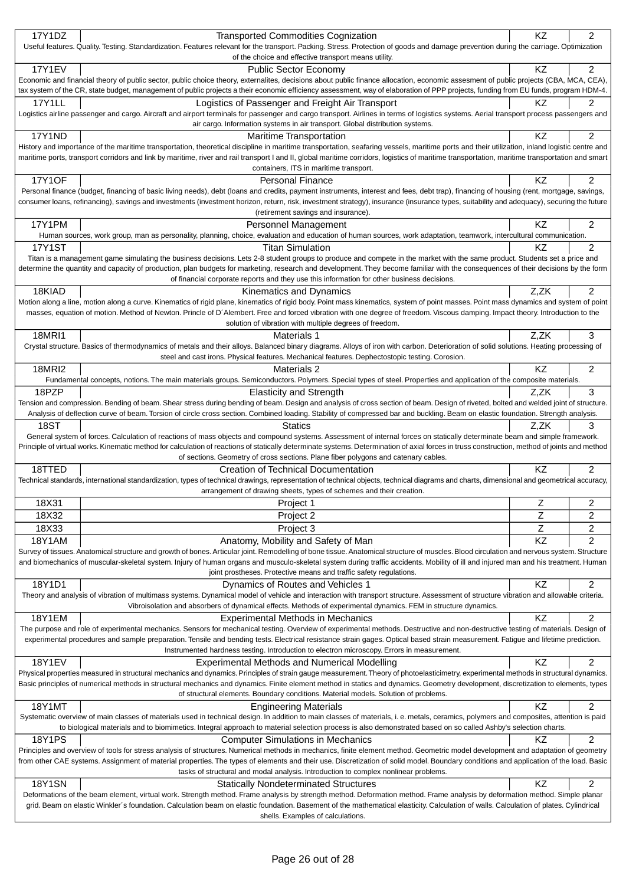|               | <b>Transported Commodities Cognization</b>                                                                                                                                                                                                                                                                                                                                 | ΚZ   | $\overline{2}$ |
|---------------|----------------------------------------------------------------------------------------------------------------------------------------------------------------------------------------------------------------------------------------------------------------------------------------------------------------------------------------------------------------------------|------|----------------|
|               | Useful features. Quality. Testing. Standardization. Features relevant for the transport. Packing. Stress. Protection of goods and damage prevention during the carriage. Optimization                                                                                                                                                                                      |      |                |
|               | of the choice and effective transport means utility.                                                                                                                                                                                                                                                                                                                       |      |                |
| <b>17Y1EV</b> | <b>Public Sector Economy</b>                                                                                                                                                                                                                                                                                                                                               | KZ   | 2              |
|               | Economic and financial theory of public sector, public choice theory, externalites, decisions about public finance allocation, economic assesment of public projects (CBA, MCA, CEA),                                                                                                                                                                                      |      |                |
|               | tax system of the CR, state budget, management of public projects a their economic efficiency assessment, way of elaboration of PPP projects, funding from EU funds, program HDM-4.                                                                                                                                                                                        |      |                |
| 17Y1LL        | Logistics of Passenger and Freight Air Transport                                                                                                                                                                                                                                                                                                                           | ΚZ   | 2              |
|               | Logistics airline passenger and cargo. Aircraft and airport terminals for passenger and cargo transport. Airlines in terms of logistics systems. Aerial transport process passengers and                                                                                                                                                                                   |      |                |
|               | air cargo. Information systems in air transport. Global distribution systems.                                                                                                                                                                                                                                                                                              |      |                |
| 17Y1ND        | <b>Maritime Transportation</b>                                                                                                                                                                                                                                                                                                                                             | KZ   | $\overline{2}$ |
|               | History and importance of the maritime transportation, theoretical discipline in maritime transportation, seafaring vessels, maritime ports and their utilization, inland logistic centre and                                                                                                                                                                              |      |                |
|               | maritime ports, transport corridors and link by maritime, river and rail transport I and II, global maritime corridors, logistics of maritime transportation, maritime transportation and smart                                                                                                                                                                            |      |                |
|               | containers, ITS in maritime transport.                                                                                                                                                                                                                                                                                                                                     |      |                |
| <b>17Y1OF</b> | <b>Personal Finance</b>                                                                                                                                                                                                                                                                                                                                                    | KZ   | $\overline{c}$ |
|               | Personal finance (budget, financing of basic living needs), debt (loans and credits, payment instruments, interest and fees, debt trap), financing of housing (rent, mortgage, savings,                                                                                                                                                                                    |      |                |
|               | consumer loans, refinancing), savings and investments (investment horizon, return, risk, investment strategy), insurance (insurance types, suitability and adequacy), securing the future<br>(retirement savings and insurance).                                                                                                                                           |      |                |
| 17Y1PM        | Personnel Management                                                                                                                                                                                                                                                                                                                                                       | KZ   | 2              |
|               | Human sources, work group, man as personality, planning, choice, evaluation and education of human sources, work adaptation, teamwork, intercultural communication.                                                                                                                                                                                                        |      |                |
| <b>17Y1ST</b> | <b>Titan Simulation</b>                                                                                                                                                                                                                                                                                                                                                    | KZ   | 2              |
|               | Titan is a management game simulating the business decisions. Lets 2-8 student groups to produce and compete in the market with the same product. Students set a price and                                                                                                                                                                                                 |      |                |
|               | determine the quantity and capacity of production, plan budgets for marketing, research and development. They become familiar with the consequences of their decisions by the form                                                                                                                                                                                         |      |                |
|               | of financial corporate reports and they use this information for other business decisions.                                                                                                                                                                                                                                                                                 |      |                |
| 18KIAD        | Kinematics and Dynamics                                                                                                                                                                                                                                                                                                                                                    | Z,ZK | 2              |
|               | Motion along a line, motion along a curve. Kinematics of rigid plane, kinematics of rigid body. Point mass kinematics, system of point masses. Point mass dynamics and system of point                                                                                                                                                                                     |      |                |
|               | masses, equation of motion. Method of Newton. Princle of D'Alembert. Free and forced vibration with one degree of freedom. Viscous damping. Impact theory. Introduction to the                                                                                                                                                                                             |      |                |
|               | solution of vibration with multiple degrees of freedom.                                                                                                                                                                                                                                                                                                                    |      |                |
| <b>18MRI1</b> | Materials 1                                                                                                                                                                                                                                                                                                                                                                | Z,ZK | 3              |
|               | Crystal structure. Basics of thermodynamics of metals and their alloys. Balanced binary diagrams. Alloys of iron with carbon. Deterioration of solid solutions. Heating processing of                                                                                                                                                                                      |      |                |
|               | steel and cast irons. Physical features. Mechanical features. Dephectostopic testing. Corosion.                                                                                                                                                                                                                                                                            |      |                |
| <b>18MRI2</b> | Materials 2                                                                                                                                                                                                                                                                                                                                                                | KZ   | 2              |
|               | Fundamental concepts, notions. The main materials groups. Semiconductors. Polymers. Special types of steel. Properties and application of the composite materials.                                                                                                                                                                                                         |      |                |
| 18PZP         | <b>Elasticity and Strength</b>                                                                                                                                                                                                                                                                                                                                             | Z.ZK | 3              |
|               | Tension and compression. Bending of beam. Shear stress during bending of beam. Design and analysis of cross section of beam. Design of riveted, bolted and welded joint of structure.                                                                                                                                                                                      |      |                |
|               | Analysis of deflection curve of beam. Torsion of circle cross section. Combined loading. Stability of compressed bar and buckling. Beam on elastic foundation. Strength analysis.                                                                                                                                                                                          |      |                |
| 18ST          | Statics                                                                                                                                                                                                                                                                                                                                                                    | Z,ZK | 3              |
|               |                                                                                                                                                                                                                                                                                                                                                                            |      |                |
|               | General system of forces. Calculation of reactions of mass objects and compound systems. Assessment of internal forces on statically determinate beam and simple framework.                                                                                                                                                                                                |      |                |
|               | Principle of virtual works. Kinematic method for calculation of reactions of statically determinate systems. Determination of axial forces in truss construction, method of joints and method                                                                                                                                                                              |      |                |
|               | of sections. Geometry of cross sections. Plane fiber polygons and catenary cables.                                                                                                                                                                                                                                                                                         |      |                |
| 18TTED        | Creation of Technical Documentation                                                                                                                                                                                                                                                                                                                                        | KZ   | $\overline{2}$ |
|               | Technical standards, international standardization, types of technical drawings, representation of technical objects, technical diagrams and charts, dimensional and geometrical accuracy,                                                                                                                                                                                 |      |                |
|               | arrangement of drawing sheets, types of schemes and their creation.                                                                                                                                                                                                                                                                                                        |      |                |
| 18X31         | Project 1                                                                                                                                                                                                                                                                                                                                                                  | L    | 2              |
| 18X32         | Project 2                                                                                                                                                                                                                                                                                                                                                                  | Z    | $\overline{c}$ |
| 18X33         | Project 3                                                                                                                                                                                                                                                                                                                                                                  | Z    | $\overline{c}$ |
| <b>18Y1AM</b> |                                                                                                                                                                                                                                                                                                                                                                            | KZ   | 2              |
|               | Anatomy, Mobility and Safety of Man<br>Survey of tissues. Anatomical structure and growth of bones. Articular joint. Remodelling of bone tissue. Anatomical structure of muscles. Blood circulation and nervous system. Structure                                                                                                                                          |      |                |
|               | and biomechanics of muscular-skeletal system. Injury of human organs and musculo-skeletal system during traffic accidents. Mobility of ill and injured man and his treatment. Human                                                                                                                                                                                        |      |                |
|               | joint prostheses. Protective means and traffic safety regulations.                                                                                                                                                                                                                                                                                                         |      |                |
| 18Y1D1        | Dynamics of Routes and Vehicles 1                                                                                                                                                                                                                                                                                                                                          | KZ   | 2              |
|               | Theory and analysis of vibration of multimass systems. Dynamical model of vehicle and interaction with transport structure. Assessment of structure vibration and allowable criteria.                                                                                                                                                                                      |      |                |
|               | Vibroisolation and absorbers of dynamical effects. Methods of experimental dynamics. FEM in structure dynamics.                                                                                                                                                                                                                                                            |      |                |
| <b>18Y1EM</b> | <b>Experimental Methods in Mechanics</b>                                                                                                                                                                                                                                                                                                                                   | KZ   | $\overline{c}$ |
|               | The purpose and role of experimental mechanics. Sensors for mechanical testing. Overview of experimental methods. Destructive and non-destructive testing of materials. Design of                                                                                                                                                                                          |      |                |
|               | experimental procedures and sample preparation. Tensile and bending tests. Electrical resistance strain gages. Optical based strain measurement. Fatigue and lifetime prediction.                                                                                                                                                                                          |      |                |
|               | Instrumented hardness testing. Introduction to electron microscopy. Errors in measurement.                                                                                                                                                                                                                                                                                 |      |                |
| 18Y1EV        | <b>Experimental Methods and Numerical Modelling</b>                                                                                                                                                                                                                                                                                                                        | KZ   | 2              |
|               | Physical properties measured in structural mechanics and dynamics. Principles of strain gauge measurement. Theory of photoelasticimetry, experimental methods in structural dynamics.                                                                                                                                                                                      |      |                |
|               | Basic principles of numerical methods in structural mechanics and dynamics. Finite element method in statics and dynamics. Geometry development, discretization to elements, types                                                                                                                                                                                         |      |                |
|               | of structural elements. Boundary conditions. Material models. Solution of problems.                                                                                                                                                                                                                                                                                        |      |                |
| 18Y1MT        | <b>Engineering Materials</b>                                                                                                                                                                                                                                                                                                                                               | KZ   | 2              |
|               | Systematic overview of main classes of materials used in technical design. In addition to main classes of materials, i. e. metals, ceramics, polymers and composites, attention is paid                                                                                                                                                                                    |      |                |
|               | to biological materials and to biomimetics. Integral approach to material selection process is also demonstrated based on so called Ashby's selection charts.                                                                                                                                                                                                              |      |                |
| <b>18Y1PS</b> | <b>Computer Simulations in Mechanics</b>                                                                                                                                                                                                                                                                                                                                   | KZ   | $\overline{c}$ |
|               | Principles and overview of tools for stress analysis of structures. Numerical methods in mechanics, finite element method. Geometric model development and adaptation of geometry<br>from other CAE systems. Assignment of material properties. The types of elements and their use. Discretization of solid model. Boundary conditions and application of the load. Basic |      |                |
|               | tasks of structural and modal analysis. Introduction to complex nonlinear problems.                                                                                                                                                                                                                                                                                        |      |                |
| <b>18Y1SN</b> |                                                                                                                                                                                                                                                                                                                                                                            | KZ   | 2              |
|               | <b>Statically Nondeterminated Structures</b><br>Deformations of the beam element, virtual work. Strength method. Frame analysis by strength method. Deformation method. Frame analysis by deformation method. Simple planar                                                                                                                                                |      |                |
|               | grid. Beam on elastic Winkler's foundation. Calculation beam on elastic foundation. Basement of the mathematical elasticity. Calculation of walls. Calculation of plates. Cylindrical                                                                                                                                                                                      |      |                |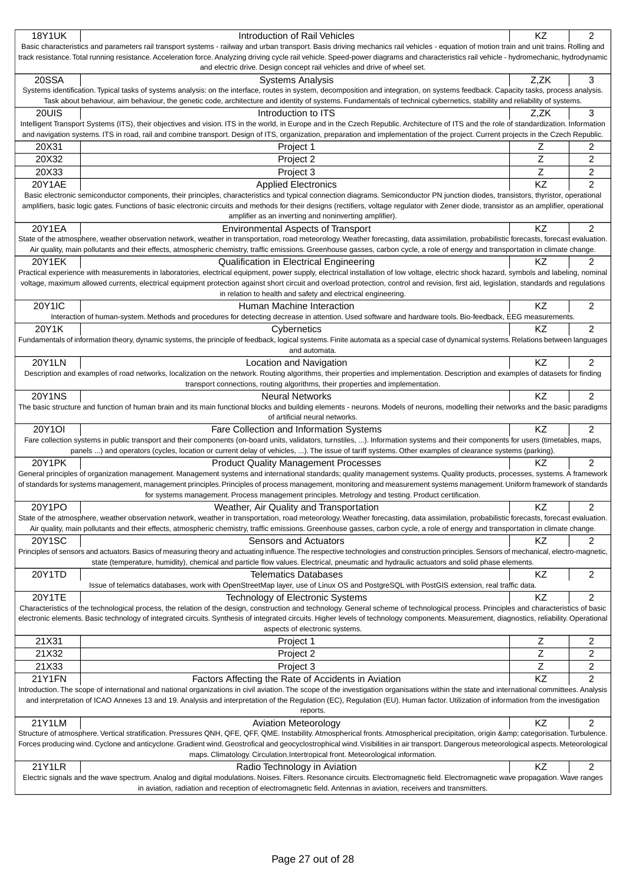| <b>18Y1UK</b>                                                                                                                                                                      | Introduction of Rail Vehicles                                                                                                                                                                                                                                                                                                                                                         | ΚZ        | 2              |  |
|------------------------------------------------------------------------------------------------------------------------------------------------------------------------------------|---------------------------------------------------------------------------------------------------------------------------------------------------------------------------------------------------------------------------------------------------------------------------------------------------------------------------------------------------------------------------------------|-----------|----------------|--|
|                                                                                                                                                                                    | Basic characteristics and parameters rail transport systems - railway and urban transport. Basis driving mechanics rail vehicles - equation of motion train and unit trains. Rolling and                                                                                                                                                                                              |           |                |  |
|                                                                                                                                                                                    | track resistance. Total running resistance. Acceleration force. Analyzing driving cycle rail vehicle. Speed-power diagrams and characteristics rail vehicle - hydromechanic, hydrodynamic                                                                                                                                                                                             |           |                |  |
|                                                                                                                                                                                    | and electric drive. Design concept rail vehicles and drive of wheel set.                                                                                                                                                                                                                                                                                                              |           |                |  |
| 20SSA                                                                                                                                                                              | <b>Systems Analysis</b>                                                                                                                                                                                                                                                                                                                                                               | Z,ZK      | 3              |  |
|                                                                                                                                                                                    | Systems identification. Typical tasks of systems analysis: on the interface, routes in system, decomposition and integration, on systems feedback. Capacity tasks, process analysis.<br>Task about behaviour, aim behaviour, the genetic code, architecture and identity of systems. Fundamentals of technical cybernetics, stability and reliability of systems.                     |           |                |  |
| 20UIS                                                                                                                                                                              | Introduction to ITS                                                                                                                                                                                                                                                                                                                                                                   | Z.ZK      | 3              |  |
|                                                                                                                                                                                    | Intelligent Transport Systems (ITS), their objectives and vision. ITS in the world, in Europe and in the Czech Republic. Architecture of ITS and the role of standardization. Information                                                                                                                                                                                             |           |                |  |
|                                                                                                                                                                                    | and navigation systems. ITS in road, rail and combine transport. Design of ITS, organization, preparation and implementation of the project. Current projects in the Czech Republic.                                                                                                                                                                                                  |           |                |  |
| 20X31                                                                                                                                                                              | Project 1                                                                                                                                                                                                                                                                                                                                                                             | z         | 2              |  |
| 20X32                                                                                                                                                                              | Project 2                                                                                                                                                                                                                                                                                                                                                                             | Z         | 2              |  |
| 20X33                                                                                                                                                                              | Project 3                                                                                                                                                                                                                                                                                                                                                                             | Z         | 2              |  |
| 20Y1AE                                                                                                                                                                             | <b>Applied Electronics</b>                                                                                                                                                                                                                                                                                                                                                            | KZ        | 2              |  |
|                                                                                                                                                                                    | Basic electronic semiconductor components, their principles, characteristics and typical connection diagrams. Semiconductor PN junction diodes, transistors, thyristor, operational                                                                                                                                                                                                   |           |                |  |
|                                                                                                                                                                                    | amplifiers, basic logic gates. Functions of basic electronic circuits and methods for their designs (rectifiers, voltage regulator with Zener diode, transistor as an amplifier, operational                                                                                                                                                                                          |           |                |  |
|                                                                                                                                                                                    | amplifier as an inverting and noninverting amplifier).                                                                                                                                                                                                                                                                                                                                |           |                |  |
| 20Y1EA                                                                                                                                                                             | <b>Environmental Aspects of Transport</b>                                                                                                                                                                                                                                                                                                                                             | ΚZ        | 2              |  |
|                                                                                                                                                                                    | State of the atmosphere, weather observation network, weather in transportation, road meteorology. Weather forecasting, data assimilation, probabilistic forecasts, forecast evaluation.                                                                                                                                                                                              |           |                |  |
|                                                                                                                                                                                    | Air quality, main pollutants and their effects, atmospheric chemistry, traffic emissions. Greenhouse gasses, carbon cycle, a role of energy and transportation in climate change.                                                                                                                                                                                                     |           |                |  |
| 20Y1EK                                                                                                                                                                             | <b>Qualification in Electrical Engineering</b>                                                                                                                                                                                                                                                                                                                                        | ΚZ        | 2              |  |
|                                                                                                                                                                                    | Practical experience with measurements in laboratories, electrical equipment, power supply, electrical installation of low voltage, electric shock hazard, symbols and labeling, nominal                                                                                                                                                                                              |           |                |  |
|                                                                                                                                                                                    | voltage, maximum allowed currents, electrical equipment protection against short circuit and overload protection, control and revision, first aid, legislation, standards and regulations<br>in relation to health and safety and electrical engineering.                                                                                                                             |           |                |  |
| <b>20Y1IC</b>                                                                                                                                                                      | Human Machine Interaction                                                                                                                                                                                                                                                                                                                                                             | KZ        | 2              |  |
|                                                                                                                                                                                    | Interaction of human-system. Methods and procedures for detecting decrease in attention. Used software and hardware tools. Bio-feedback, EEG measurements.                                                                                                                                                                                                                            |           |                |  |
| 20Y1K                                                                                                                                                                              | Cybernetics                                                                                                                                                                                                                                                                                                                                                                           | ΚZ        | $\overline{2}$ |  |
|                                                                                                                                                                                    | Fundamentals of information theory, dynamic systems, the principle of feedback, logical systems. Finite automata as a special case of dynamical systems. Relations between languages                                                                                                                                                                                                  |           |                |  |
|                                                                                                                                                                                    | and automata.                                                                                                                                                                                                                                                                                                                                                                         |           |                |  |
| <b>20Y1LN</b>                                                                                                                                                                      | Location and Navigation                                                                                                                                                                                                                                                                                                                                                               | KZ        | 2              |  |
|                                                                                                                                                                                    | Description and examples of road networks, localization on the network. Routing algorithms, their properties and implementation. Description and examples of datasets for finding                                                                                                                                                                                                     |           |                |  |
|                                                                                                                                                                                    | transport connections, routing algorithms, their properties and implementation.                                                                                                                                                                                                                                                                                                       |           |                |  |
| <b>20Y1NS</b>                                                                                                                                                                      | <b>Neural Networks</b>                                                                                                                                                                                                                                                                                                                                                                | KZ        | 2              |  |
|                                                                                                                                                                                    | The basic structure and function of human brain and its main functional blocks and building elements - neurons. Models of neurons, modelling their networks and the basic paradigms                                                                                                                                                                                                   |           |                |  |
|                                                                                                                                                                                    | of artificial neural networks.                                                                                                                                                                                                                                                                                                                                                        |           |                |  |
| 20Y1OI                                                                                                                                                                             | Fare Collection and Information Systems                                                                                                                                                                                                                                                                                                                                               | ΚZ        | 2              |  |
|                                                                                                                                                                                    | Fare collection systems in public transport and their components (on-board units, validators, turnstiles, ). Information systems and their components for users (timetables, maps,<br>panels ) and operators (cycles, location or current delay of vehicles, ). The issue of tariff systems. Other examples of clearance systems (parking).                                           |           |                |  |
| 20Y1PK                                                                                                                                                                             | <b>Product Quality Management Processes</b>                                                                                                                                                                                                                                                                                                                                           | ΚZ        | $\overline{2}$ |  |
|                                                                                                                                                                                    | General principles of organization management. Management systems and international standards; quality management systems. Quality products, processes, systems. A framework                                                                                                                                                                                                          |           |                |  |
|                                                                                                                                                                                    | of standards for systems management, management principles. Principles of process management, monitoring and measurement systems management. Uniform framework of standards                                                                                                                                                                                                           |           |                |  |
|                                                                                                                                                                                    | for systems management. Process management principles. Metrology and testing. Product certification.                                                                                                                                                                                                                                                                                  |           |                |  |
| 20Y1PO                                                                                                                                                                             | Weather, Air Quality and Transportation                                                                                                                                                                                                                                                                                                                                               | KZ        | 2              |  |
|                                                                                                                                                                                    | State of the atmosphere, weather observation network, weather in transportation, road meteorology. Weather forecasting, data assimilation, probabilistic forecasts, forecast evaluation.                                                                                                                                                                                              |           |                |  |
|                                                                                                                                                                                    | Air quality, main pollutants and their effects, atmospheric chemistry, traffic emissions. Greenhouse gasses, carbon cycle, a role of energy and transportation in climate change.                                                                                                                                                                                                     |           |                |  |
| 20Y1SC                                                                                                                                                                             | Sensors and Actuators                                                                                                                                                                                                                                                                                                                                                                 | KZ        | 2              |  |
|                                                                                                                                                                                    | Principles of sensors and actuators. Basics of measuring theory and actuating influence. The respective technologies and construction principles. Sensors of mechanical, electro-magnetic,                                                                                                                                                                                            |           |                |  |
|                                                                                                                                                                                    | state (temperature, humidity), chemical and particle flow values. Electrical, pneumatic and hydraulic actuators and solid phase elements.                                                                                                                                                                                                                                             |           |                |  |
| 20Y1TD                                                                                                                                                                             | <b>Telematics Databases</b>                                                                                                                                                                                                                                                                                                                                                           | ΚZ        | $\overline{2}$ |  |
|                                                                                                                                                                                    | Issue of telematics databases, work with OpenStreetMap layer, use of Linux OS and PostgreSQL with PostGIS extension, real traffic data.                                                                                                                                                                                                                                               |           |                |  |
| <b>20Y1TE</b>                                                                                                                                                                      | Technology of Electronic Systems                                                                                                                                                                                                                                                                                                                                                      | KZ        | 2              |  |
|                                                                                                                                                                                    | Characteristics of the technological process, the relation of the design, construction and technology. General scheme of technological process. Principles and characteristics of basic<br>electronic elements. Basic technology of integrated circuits. Synthesis of integrated circuits. Higher levels of technology components. Measurement, diagnostics, reliability. Operational |           |                |  |
|                                                                                                                                                                                    | aspects of electronic systems.                                                                                                                                                                                                                                                                                                                                                        |           |                |  |
| 21X31                                                                                                                                                                              | Project 1                                                                                                                                                                                                                                                                                                                                                                             | Ζ         | 2              |  |
| 21X32                                                                                                                                                                              | Project 2                                                                                                                                                                                                                                                                                                                                                                             | Z         | 2              |  |
| 21X33                                                                                                                                                                              | Project 3                                                                                                                                                                                                                                                                                                                                                                             | Z         | 2              |  |
| 21Y1FN                                                                                                                                                                             | Factors Affecting the Rate of Accidents in Aviation                                                                                                                                                                                                                                                                                                                                   | KZ        | $\overline{2}$ |  |
|                                                                                                                                                                                    | Introduction. The scope of international and national organizations in civil aviation. The scope of the investigation organisations within the state and international committees. Analysis                                                                                                                                                                                           |           |                |  |
| and interpretation of ICAO Annexes 13 and 19. Analysis and interpretation of the Regulation (EC), Regulation (EU). Human factor. Utilization of information from the investigation |                                                                                                                                                                                                                                                                                                                                                                                       |           |                |  |
| reports.                                                                                                                                                                           |                                                                                                                                                                                                                                                                                                                                                                                       |           |                |  |
| 21Y1LM                                                                                                                                                                             | <b>Aviation Meteorology</b>                                                                                                                                                                                                                                                                                                                                                           | <b>KZ</b> | $\overline{2}$ |  |
|                                                                                                                                                                                    | Structure of atmosphere. Vertical stratification. Pressures QNH, QFE, QFF, QME. Instability. Atmospherical fronts. Atmospherical precipitation, origin & categorisation. Turbulence.                                                                                                                                                                                                  |           |                |  |
|                                                                                                                                                                                    | Forces producing wind. Cyclone and anticyclone. Gradient wind. Geostrofical and geocyclostrophical wind. Visibilities in air transport. Dangerous meteorological aspects. Meteorological                                                                                                                                                                                              |           |                |  |
| maps. Climatology. Circulation. Intertropical front. Meteorological information.                                                                                                   |                                                                                                                                                                                                                                                                                                                                                                                       |           |                |  |
| 21Y1LR                                                                                                                                                                             | Radio Technology in Aviation                                                                                                                                                                                                                                                                                                                                                          | KZ        | 2              |  |
|                                                                                                                                                                                    | Electric signals and the wave spectrum. Analog and digital modulations. Noises. Filters. Resonance circuits. Electromagnetic field. Electromagnetic wave propagation. Wave ranges                                                                                                                                                                                                     |           |                |  |
|                                                                                                                                                                                    | in aviation, radiation and reception of electromagnetic field. Antennas in aviation, receivers and transmitters.                                                                                                                                                                                                                                                                      |           |                |  |